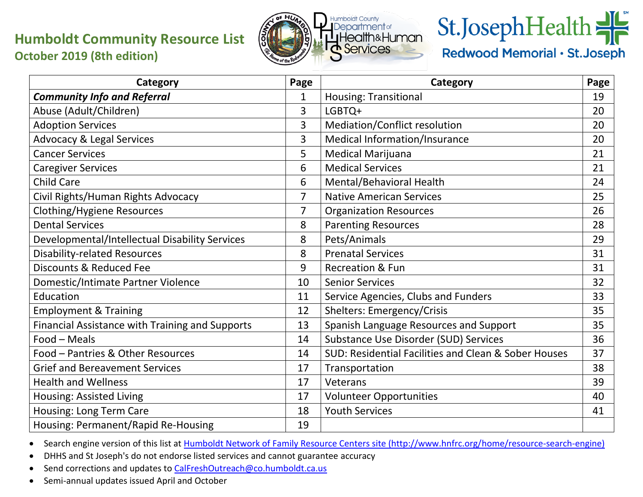## **Humboldt Community Resource List October 2019 (8th edition)**



## St.JosephHealth

Redwood Memorial · St. Joseph

| Category                                        | Page           | Category                                             | Page |
|-------------------------------------------------|----------------|------------------------------------------------------|------|
| <b>Community Info and Referral</b>              | 1              | <b>Housing: Transitional</b>                         | 19   |
| Abuse (Adult/Children)                          | 3              | LGBTQ+                                               | 20   |
| <b>Adoption Services</b>                        | 3              | Mediation/Conflict resolution                        | 20   |
| <b>Advocacy &amp; Legal Services</b>            | 3              | Medical Information/Insurance                        | 20   |
| <b>Cancer Services</b>                          | 5              | <b>Medical Marijuana</b>                             | 21   |
| <b>Caregiver Services</b>                       | 6              | <b>Medical Services</b>                              | 21   |
| <b>Child Care</b>                               | 6              | Mental/Behavioral Health                             | 24   |
| Civil Rights/Human Rights Advocacy              | $\overline{7}$ | <b>Native American Services</b>                      | 25   |
| Clothing/Hygiene Resources                      | $\overline{7}$ | <b>Organization Resources</b>                        | 26   |
| <b>Dental Services</b>                          | 8              | <b>Parenting Resources</b>                           | 28   |
| Developmental/Intellectual Disability Services  | 8              | Pets/Animals                                         | 29   |
| <b>Disability-related Resources</b>             | 8              | <b>Prenatal Services</b>                             | 31   |
| Discounts & Reduced Fee                         | 9              | <b>Recreation &amp; Fun</b>                          | 31   |
| Domestic/Intimate Partner Violence              | 10             | <b>Senior Services</b>                               | 32   |
| Education                                       | 11             | Service Agencies, Clubs and Funders                  | 33   |
| <b>Employment &amp; Training</b>                | 12             | <b>Shelters: Emergency/Crisis</b>                    | 35   |
| Financial Assistance with Training and Supports | 13             | Spanish Language Resources and Support               | 35   |
| Food - Meals                                    | 14             | Substance Use Disorder (SUD) Services                | 36   |
| Food - Pantries & Other Resources               | 14             | SUD: Residential Facilities and Clean & Sober Houses | 37   |
| <b>Grief and Bereavement Services</b>           | 17             | Transportation                                       | 38   |
| <b>Health and Wellness</b>                      | 17             | Veterans                                             | 39   |
| Housing: Assisted Living                        | 17             | <b>Volunteer Opportunities</b>                       | 40   |
| Housing: Long Term Care                         | 18             | <b>Youth Services</b>                                | 41   |
| Housing: Permanent/Rapid Re-Housing             | 19             |                                                      |      |

• Search engine version of this list at [Humboldt Network of Family Resource Centers site \(http://www.hnfrc.org/home/resource-search-engine\)](https://www.hnfrc.org/home/resource-search-engine)

• DHHS and St Joseph's do not endorse listed services and cannot guarantee accuracy

• Send corrections and updates t[o CalFreshOutreach@co.humboldt.ca.us](mailto:CalFreshOutreach@co.humboldt.ca.us)

• Semi-annual updates issued April and October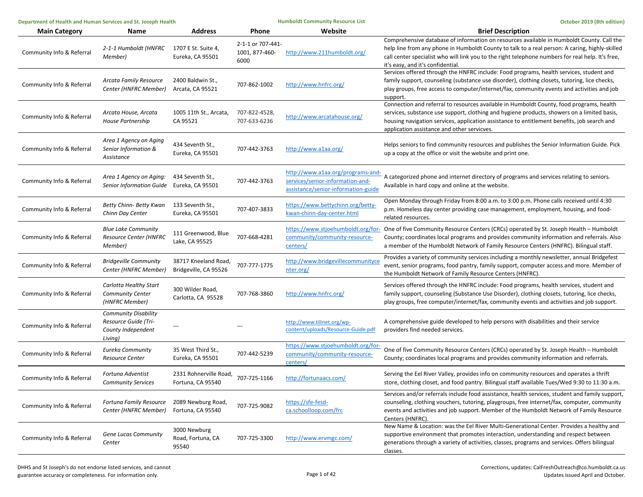| Department of Health and Human Services and St. Joseph Health |                                                                                      |                                               | <b>Humboldt Community Resource List</b>     |                                                                                                              | October 2019 (8th edition)                                                                                                                                                                                                                                                                                                            |
|---------------------------------------------------------------|--------------------------------------------------------------------------------------|-----------------------------------------------|---------------------------------------------|--------------------------------------------------------------------------------------------------------------|---------------------------------------------------------------------------------------------------------------------------------------------------------------------------------------------------------------------------------------------------------------------------------------------------------------------------------------|
| <b>Main Category</b>                                          | Name                                                                                 | <b>Address</b>                                | Phone                                       | Website                                                                                                      | <b>Brief Description</b>                                                                                                                                                                                                                                                                                                              |
| Community Info & Referral                                     | 2-1-1 Humboldt (HNFRC<br>Member)                                                     | 1707 E St. Suite 4,<br>Eureka, CA 95501       | 2-1-1 or 707-441-<br>1001, 877-460-<br>6000 | http://www.211humboldt.org/                                                                                  | Comprehensive database of information on resources available in Humboldt County. Call the<br>help line from any phone in Humboldt County to talk to a real person: A caring, highly-skilled<br>call center specialist who will link you to the right telephone numbers for real help. It's free,<br>it's easy, and it's confidential. |
| Community Info & Referral                                     | <b>Arcata Family Resource</b><br>Center (HNFRC Member)                               | 2400 Baldwin St.,<br>Arcata, CA 95521         | 707-862-1002                                | http://www.hnfrc.org/                                                                                        | Services offered through the HNFRC include: Food programs, health services, student and<br>family support, counseling (substance use disorder), clothing closets, tutoring, lice checks,<br>play groups, free access to computer/internet/fax, community events and activities and job<br>support.                                    |
| Community Info & Referral                                     | Arcata House, Arcata<br>House Partnership                                            | 1005 11th St., Arcata,<br>CA 95521            | 707-822-4528,<br>707-633-6236               | http://www.arcatahouse.org/                                                                                  | Connection and referral to resources available in Humboldt County, food programs, health<br>services, substance use support, clothing and hygiene products, showers on a limited basis,<br>housing navigation services, application assistance to entitlement benefits, job search and<br>application assistance and other servicves. |
| Community Info & Referral                                     | Area 1 Agency on Aging<br>Senior Information &<br>Assistance                         | 434 Seventh St.,<br>Eureka, CA 95501          | 707-442-3763                                | http://www.a1aa.org/                                                                                         | Helps seniors to find community resources and publishes the Senior Information Guide. Pick<br>up a copy at the office or visit the website and print one.                                                                                                                                                                             |
| Community Info & Referral                                     | Area 1 Agency on Aging:<br><b>Senior Information Guide</b>                           | 434 Seventh St.,<br>Eureka, CA 95501          | 707-442-3763                                | http://www.a1aa.org/programs-and-<br>services/senior-information-and-<br>assistance/senior-information-guide | A categorized phone and internet directory of programs and services relating to seniors.<br>Available in hard copy and online at the website.                                                                                                                                                                                         |
| Community Info & Referral                                     | Betty Chinn- Betty Kwan<br>Chinn Day Center                                          | 133 Seventh St.,<br>Eureka, CA 95501          | 707-407-3833                                | https://www.bettychinn.org/betty-<br>kwan-chinn-day-center.html                                              | Open Monday through Friday from 8:00 a.m. to 3:00 p.m. Phone calls received until 4:30<br>p.m. Homeless day center providing case management, employment, housing, and food-<br>related resources.                                                                                                                                    |
| Community Info & Referral                                     | <b>Blue Lake Community</b><br>Resource Center (HNFRC<br>Member)                      | 111 Greenwood, Blue<br>Lake, CA 95525         | 707-668-4281                                | community/community-resource-<br>centers/                                                                    | https://www.stjoehumboldt.org/for- One of five Community Resource Centers (CRCs) operated by St. Joseph Health - Humboldt<br>County; coordinates local programs and provides community information and referrals. Also<br>a member of the Humboldt Network of Family Resource Centers (HNFRC). Bilingual staff.                       |
| Community Info & Referral                                     | <b>Bridgeville Community</b><br>Center (HNFRC Member)                                | 38717 Kneeland Road,<br>Bridgeville, CA 95526 | 707-777-1775                                | http://www.bridgevillecommunityce<br>nter.org/                                                               | Provides a variety of community services including a monthly newsletter, annual Bridgefest<br>event, senior programs, food pantry, family support, computer access and more. Member of<br>the Humboldt Network of Family Resource Centers (HNFRC).                                                                                    |
| Community Info & Referral                                     | Carlotta Healthy Start<br>Community Center<br>(HNFRC Member)                         | 300 Wilder Road,<br>Carlotta, CA 95528        | 707-768-3860                                | http://www.hnfrc.org/                                                                                        | Services offered through the HNFRC include: Food programs, health services, student and<br>family support, counseling (Substance Use Disorder), clothing closets, tutoring, lice checks,<br>play groups, free computer/internet/fax, community events and activities and job support.                                                 |
| Community Info & Referral                                     | <b>Community Disability</b><br>Resource Guide (Tri-<br>County Independent<br>Living) |                                               |                                             | http://www.tilinet.org/wp-<br>content/uploads/Resource-Guide.pdf                                             | A comprehensive guide developed to help persons with disabilities and their service<br>providers find needed services.                                                                                                                                                                                                                |
| Community Info & Referral                                     | Eureka Community<br><b>Resource Center</b>                                           | 35 West Third St.,<br>Eureka, CA 95501        | 707-442-5239                                | https://www.stjoehumboldt.org/for-<br>community/community-resource-<br>centers/                              | One of five Community Resource Centers (CRCs) operated by St. Joseph Health - Humboldt<br>County; coordinates local programs and provides community information and referrals.                                                                                                                                                        |
| Community Info & Referral                                     | <b>Fortuna Adventist</b><br><b>Community Services</b>                                | 2331 Rohnerville Road,<br>Fortuna, CA 95540   | 707-725-1166                                | http://fortunaacs.com/                                                                                       | Serving the Eel River Valley, provides info on community resources and operates a thrift<br>store, clothing closet, and food pantry. Bilingual staff available Tues/Wed 9:30 to 11:30 a.m.                                                                                                                                            |
| Community Info & Referral                                     | Fortuna Family Resource<br>Center (HNFRC Member)                                     | 2089 Newburg Road,<br>Fortuna, CA 95540       | 707-725-9082                                | https://sfe-fesd-<br>ca.schoolloop.com/frc                                                                   | Services and/or referrals include food assistance, health services, student and family support,<br>counseling, clothing vouchers, tutoring, playgroups, free internet/fax, computer, community<br>events and activities and job support. Member of the Humboldt Network of Family Resource<br>Centers (HNFRC).                        |
| Community Info & Referral                                     | Gene Lucas Community<br>Center                                                       | 3000 Newburg<br>Road, Fortuna, CA<br>95540    | 707-725-3300                                | http://www.ervmgc.com/                                                                                       | New Name & Location: was the Eel River Multi-Generational Center. Provides a healthy and<br>supportive environment that promotes interaction, understanding and respect between<br>generations through a variety of activities, classes, programs and services. Offers bilingual<br>classes.                                          |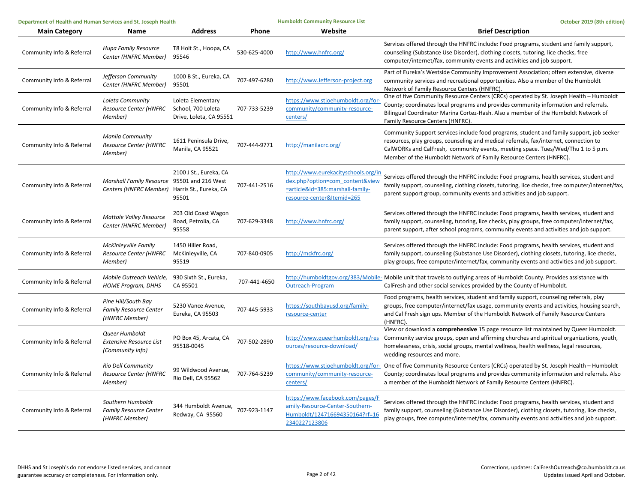| Department of Health and Human Services and St. Joseph Health |                                                                                              | <b>Humboldt Community Resource List</b>                            |              | October 2019 (8th edition)                                                                                                               |                                                                                                                                                                                                                                                                                                                                             |
|---------------------------------------------------------------|----------------------------------------------------------------------------------------------|--------------------------------------------------------------------|--------------|------------------------------------------------------------------------------------------------------------------------------------------|---------------------------------------------------------------------------------------------------------------------------------------------------------------------------------------------------------------------------------------------------------------------------------------------------------------------------------------------|
| <b>Main Category</b>                                          | <b>Name</b>                                                                                  | <b>Address</b>                                                     | Phone        | Website                                                                                                                                  | <b>Brief Description</b>                                                                                                                                                                                                                                                                                                                    |
| Community Info & Referral                                     | <b>Hupa Family Resource</b><br>Center (HNFRC Member)                                         | T8 Holt St., Hoopa, CA<br>95546                                    | 530-625-4000 | http://www.hnfrc.org/                                                                                                                    | Services offered through the HNFRC include: Food programs, student and family support,<br>counseling (Substance Use Disorder), clothing closets, tutoring, lice checks, free<br>computer/internet/fax, community events and activities and job support.                                                                                     |
| Community Info & Referral                                     | Jefferson Community<br>Center (HNFRC Member)                                                 | 1000 B St., Eureka, CA<br>95501                                    | 707-497-6280 | http://www.Jefferson-project.org                                                                                                         | Part of Eureka's Westside Community Improvement Association; offers extensive, diverse<br>community services and recreational opportunities. Also a member of the Humboldt<br>Network of Family Resource Centers (HNFRC).                                                                                                                   |
| Community Info & Referral                                     | Loleta Community<br>Resource Center (HNFRC<br>Member)                                        | Loleta Elementary<br>School, 700 Loleta<br>Drive, Loleta, CA 95551 | 707-733-5239 | https://www.stjoehumboldt.org/for-<br>community/community-resource-<br>centers/                                                          | One of five Community Resource Centers (CRCs) operated by St. Joseph Health - Humboldt<br>County; coordinates local programs and provides community information and referrals.<br>Bilingual Coordinator Marina Cortez-Hash. Also a member of the Humboldt Network of<br>Family Resource Centers (HNFRC).                                    |
| Community Info & Referral                                     | <b>Manila Community</b><br><b>Resource Center (HNFRC</b><br>Member)                          | 1611 Peninsula Drive,<br>Manila, CA 95521                          | 707-444-9771 | http://manilacrc.org/                                                                                                                    | Community Support services include food programs, student and family support, job seeker<br>resources, play groups, counseling and medical referrals, fax/internet, connection to<br>CalWORKs and CalFresh, community events, meeting space. Tues/Wed/Thu 1 to 5 p.m.<br>Member of the Humboldt Network of Family Resource Centers (HNFRC). |
| Community Info & Referral                                     | Marshall Family Resource 95501 and 216 West<br>Centers (HNFRC Member) Harris St., Eureka, CA | 2100 J St., Eureka, CA<br>95501                                    | 707-441-2516 | http://www.eurekacityschools.org/in<br>dex.php?option=com content&view<br>=article&id=385:marshall-family-<br>resource-center&Itemid=265 | Services offered through the HNFRC include: Food programs, health services, student and<br>family support, counseling, clothing closets, tutoring, lice checks, free computer/internet/fax,<br>parent support group, community events and activities and job support.                                                                       |
| Community Info & Referral                                     | <b>Mattole Valley Resource</b><br>Center (HNFRC Member)                                      | 203 Old Coast Wagon<br>Road, Petrolia, CA<br>95558                 | 707-629-3348 | http://www.hnfrc.org/                                                                                                                    | Services offered through the HNFRC include: Food programs, health services, student and<br>family support, counseling, tutoring, lice checks, play groups, free computer/internet/fax,<br>parent support, after school programs, community events and activities and job support.                                                           |
| Community Info & Referral                                     | McKinleyville Family<br>Resource Center (HNFRC<br>Member)                                    | 1450 Hiller Road,<br>McKinleyville, CA<br>95519                    | 707-840-0905 | http://mckfrc.org/                                                                                                                       | Services offered through the HNFRC include: Food programs, health services, student and<br>family support, counseling (Substance Use Disorder), clothing closets, tutoring, lice checks,<br>play groups, free computer/internet/fax, community events and activities and job support.                                                       |
| Community Info & Referral                                     | Mobile Outreach Vehicle,<br><b>HOME Program, DHHS</b>                                        | 930 Sixth St., Eureka,<br>CA 95501                                 | 707-441-4650 | Outreach-Program                                                                                                                         | http://humboldtgov.org/383/Mobile- Mobile unit that travels to outlying areas of Humboldt County. Provides assistance with<br>CalFresh and other social services provided by the County of Humboldt.                                                                                                                                        |
| Community Info & Referral                                     | Pine Hill/South Bay<br><b>Family Resource Center</b><br>(HNFRC Member)                       | 5230 Vance Avenue,<br>Eureka, CA 95503                             | 707-445-5933 | https://southbayusd.org/family-<br>resource-center                                                                                       | Food programs, health services, student and family support, counseling referrals, play<br>groups, free computer/internet/fax usage, community events and activities, housing search,<br>and Cal Fresh sign ups. Member of the Humboldt Network of Family Resource Centers<br>(HNFRC).                                                       |
| Community Info & Referral                                     | Queer Humboldt<br><b>Extensive Resource List</b><br>(Community Info)                         | PO Box 45, Arcata, CA<br>95518-0045                                | 707-502-2890 | http://www.queerhumboldt.org/res<br>ources/resource-download/                                                                            | View or download a comprehensive 15 page resource list maintained by Queer Humboldt.<br>Community service groups, open and affirming churches and spiritual organizations, youth,<br>homelessness, crisis, social groups, mental wellness, health wellness, legal resources,<br>wedding resources and more.                                 |
| Community Info & Referral                                     | Rio Dell Community<br>Resource Center (HNFRC<br>Member)                                      | 99 Wildwood Avenue,<br>Rio Dell, CA 95562                          | 707-764-5239 | community/community-resource-<br>centers/                                                                                                | https://www.stjoehumboldt.org/for- One of five Community Resource Centers (CRCs) operated by St. Joseph Health - Humboldt<br>County; coordinates local programs and provides community information and referrals. Also<br>a member of the Humboldt Network of Family Resource Centers (HNFRC).                                              |
| Community Info & Referral                                     | Southern Humboldt<br><b>Family Resource Center</b><br>(HNFRC Member)                         | 344 Humboldt Avenue, 707-923-1147<br>Redway, CA 95560              |              | https://www.facebook.com/pages/F<br>amily-Resource-Center-Southern-<br>Humboldt/124716694350164?rf=16<br>2340227123806                   | Services offered through the HNFRC include: Food programs, health services, student and<br>family support, counseling (Substance Use Disorder), clothing closets, tutoring, lice checks,<br>play groups, free computer/internet/fax, community events and activities and job support.                                                       |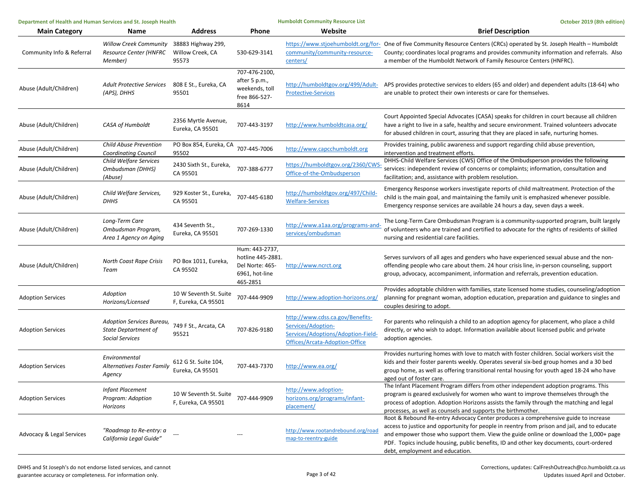| Department of Health and Human Services and St. Joseph Health |                                                                             | <b>Humboldt Community Resource List</b>         |                                                                                      | October 2019 (8th edition)                                                                                                     |                                                                                                                                                                                                                                                                                                                                                                                                           |
|---------------------------------------------------------------|-----------------------------------------------------------------------------|-------------------------------------------------|--------------------------------------------------------------------------------------|--------------------------------------------------------------------------------------------------------------------------------|-----------------------------------------------------------------------------------------------------------------------------------------------------------------------------------------------------------------------------------------------------------------------------------------------------------------------------------------------------------------------------------------------------------|
| <b>Main Category</b>                                          | Name                                                                        | <b>Address</b>                                  | Phone                                                                                | Website                                                                                                                        | <b>Brief Description</b>                                                                                                                                                                                                                                                                                                                                                                                  |
| Community Info & Referral                                     | <b>Willow Creek Community</b><br>Resource Center (HNFRC<br>Member)          | 38883 Highway 299,<br>Willow Creek, CA<br>95573 | 530-629-3141                                                                         | community/community-resource-<br>centers/                                                                                      | https://www.stjoehumboldt.org/for-One of five Community Resource Centers (CRCs) operated by St. Joseph Health - Humboldt<br>County; coordinates local programs and provides community information and referrals. Also<br>a member of the Humboldt Network of Family Resource Centers (HNFRC).                                                                                                             |
| Abuse (Adult/Children)                                        | <b>Adult Protective Services</b><br>(APS), DHHS                             | 808 E St., Eureka, CA<br>95501                  | 707-476-2100,<br>after 5 p.m.,<br>weekends, toll<br>free 866-527-<br>8614            | <b>Protective-Services</b>                                                                                                     | http://humboldtgov.org/499/Adult- APS provides protective services to elders (65 and older) and dependent adults (18-64) who<br>are unable to protect their own interests or care for themselves.                                                                                                                                                                                                         |
| Abuse (Adult/Children)                                        | CASA of Humboldt                                                            | 2356 Myrtle Avenue,<br>Eureka, CA 95501         | 707-443-3197                                                                         | http://www.humboldtcasa.org/                                                                                                   | Court Appointed Special Advocates (CASA) speaks for children in court because all children<br>have a right to live in a safe, healthy and secure environment. Trained volunteers advocate<br>for abused children in court, assuring that they are placed in safe, nurturing homes.                                                                                                                        |
| Abuse (Adult/Children)                                        | <b>Child Abuse Prevention</b><br><b>Coordinating Council</b>                | PO Box 854, Eureka, CA<br>95502                 | 707-445-7006                                                                         | http://www.capcchumboldt.org                                                                                                   | Provides training, public awareness and support regarding child abuse prevention,<br>intervention and treatment efforts.                                                                                                                                                                                                                                                                                  |
| Abuse (Adult/Children)                                        | Child Welfare Services<br>Ombudsman (DHHS)<br>(Abuse)                       | 2430 Sixth St., Eureka,<br>CA 95501             | 707-388-6777                                                                         | https://humboldtgov.org/2360/CWS-<br>Office-of-the-Ombudsperson                                                                | DHHS-Child Welfare Services (CWS) Office of the Ombudsperson provides the following<br>services: independent review of concerns or complaints; information, consultation and<br>facilitation; and, assistance with problem resolution.                                                                                                                                                                    |
| Abuse (Adult/Children)                                        | Child Welfare Services,<br><b>DHHS</b>                                      | 929 Koster St., Eureka,<br>CA 95501             | 707-445-6180                                                                         | http://humboldtgov.org/497/Child-<br><b>Welfare-Services</b>                                                                   | Emergency Response workers investigate reports of child maltreatment. Protection of the<br>child is the main goal, and maintaining the family unit is emphasized whenever possible.<br>Emergency response services are available 24 hours a day, seven days a week.                                                                                                                                       |
| Abuse (Adult/Children)                                        | Long-Term Care<br>Ombudsman Program,<br>Area 1 Agency on Aging              | 434 Seventh St.,<br>Eureka, CA 95501            | 707-269-1330                                                                         | http://www.a1aa.org/programs-and-<br>services/ombudsman                                                                        | The Long-Term Care Ombudsman Program is a community-supported program, built largely<br>of volunteers who are trained and certified to advocate for the rights of residents of skilled<br>nursing and residential care facilities.                                                                                                                                                                        |
| Abuse (Adult/Children)                                        | North Coast Rape Crisis<br>Team                                             | PO Box 1011, Eureka,<br>CA 95502                | Hum: 443-2737,<br>hotline 445-2881.<br>Del Norte: 465-<br>6961, hot-line<br>465-2851 | http://www.ncrct.org                                                                                                           | Serves survivors of all ages and genders who have experienced sexual abuse and the non-<br>offending people who care about them. 24 hour crisis line, in-person counseling, support<br>group, advocacy, accompaniment, information and referrals, prevention education.                                                                                                                                   |
| <b>Adoption Services</b>                                      | Adoption<br>Horizons/Licensed                                               | 10 W Seventh St. Suite<br>F, Eureka, CA 95501   | 707-444-9909                                                                         | http://www.adoption-horizons.org/                                                                                              | Provides adoptable children with families, state licensed home studies, counseling/adoption<br>planning for pregnant woman, adoption education, preparation and guidance to singles and<br>couples desiring to adopt.                                                                                                                                                                                     |
| <b>Adoption Services</b>                                      | Adoption Services Bureau,<br>State Deptartment of<br><b>Social Services</b> | 749 F St., Arcata, CA<br>95521                  | 707-826-9180                                                                         | http://www.cdss.ca.gov/Benefits-<br>Services/Adoption-<br>Services/Adoptions/Adoption-Field-<br>Offices/Arcata-Adoption-Office | For parents who relinquish a child to an adoption agency for placement, who place a child<br>directly, or who wish to adopt. Information available about licensed public and private<br>adoption agencies.                                                                                                                                                                                                |
| <b>Adoption Services</b>                                      | Environmental<br>Alternatives Foster Family<br>Agency                       | 612 G St. Suite 104,<br>Eureka, CA 95501        | 707-443-7370                                                                         | http://www.ea.org/                                                                                                             | Provides nurturing homes with love to match with foster children. Social workers visit the<br>kids and their foster parents weekly. Operates several six-bed group homes and a 30 bed<br>group home, as well as offering transitional rental housing for youth aged 18-24 who have<br>aged out of foster care.                                                                                            |
| <b>Adoption Services</b>                                      | <b>Infant Placement</b><br>Program: Adoption<br>Horizons                    | 10 W Seventh St. Suite<br>F, Eureka, CA 95501   | 707-444-9909                                                                         | http://www.adoption-<br>horizons.org/programs/infant-<br>placement/                                                            | The Infant Placement Program differs from other independent adoption programs. This<br>program is geared exclusively for women who want to improve themselves through the<br>process of adoption. Adoption Horizons assists the family through the matching and legal<br>processes, as well as counsels and supports the birthmother.                                                                     |
| Advocacy & Legal Services                                     | "Roadmap to Re-entry: a<br>California Legal Guide"                          |                                                 |                                                                                      | http://www.rootandrebound.org/road<br>map-to-reentry-guide                                                                     | Root & Rebound Re-entry Advocacy Center produces a comprehensive guide to increase<br>access to justice and opportunity for people in reentry from prison and jail, and to educate<br>and empower those who support them. View the guide online or download the 1,000+ page<br>PDF. Topics include housing, public benefits, ID and other key documents, court-ordered<br>debt, employment and education. |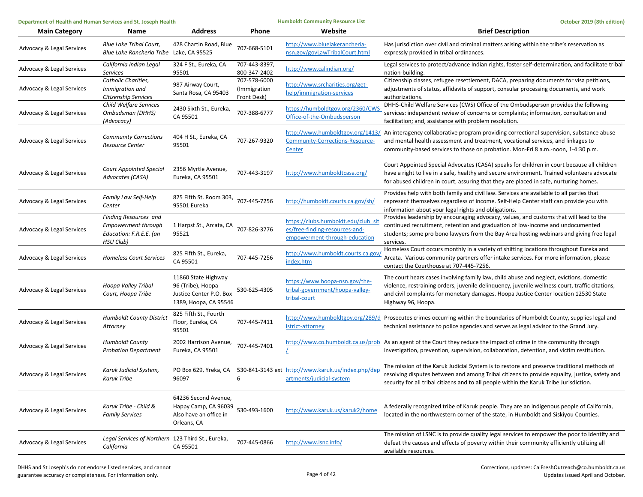| Department of Health and Human Services and St. Joseph Health |                                                                                             | <b>Humboldt Community Resource List</b>                                                      |                                             | October 2019 (8th edition)                                                                            |                                                                                                                                                                                                                                                                                                           |
|---------------------------------------------------------------|---------------------------------------------------------------------------------------------|----------------------------------------------------------------------------------------------|---------------------------------------------|-------------------------------------------------------------------------------------------------------|-----------------------------------------------------------------------------------------------------------------------------------------------------------------------------------------------------------------------------------------------------------------------------------------------------------|
| <b>Main Category</b>                                          | Name                                                                                        | <b>Address</b>                                                                               | Phone                                       | Website                                                                                               | <b>Brief Description</b>                                                                                                                                                                                                                                                                                  |
| <b>Advocacy &amp; Legal Services</b>                          | <b>Blue Lake Tribal Court,</b><br>Blue Lake Rancheria Tribe Lake, CA 95525                  | 428 Chartin Road, Blue                                                                       | 707-668-5101                                | http://www.bluelakerancheria-<br>nsn.gov/govLawTribalCourt.html                                       | Has jurisdiction over civil and criminal matters arising within the tribe's reservation as<br>expressly provided in tribal ordinances.                                                                                                                                                                    |
| Advocacy & Legal Services                                     | California Indian Legal<br><b>Services</b>                                                  | 324 F St., Eureka, CA<br>95501                                                               | 707-443-8397,<br>800-347-2402               | http://www.calindian.org/                                                                             | Legal services to protect/advance Indian rights, foster self-determination, and facilitate tribal<br>nation-building.                                                                                                                                                                                     |
| Advocacy & Legal Services                                     | Catholic Charities,<br>Immigration and<br>Citizenship Services                              | 987 Airway Court,<br>Santa Rosa, CA 95403                                                    | 707-578-6000<br>(Immigration<br>Front Desk) | http://www.srcharities.org/get-<br>help/immigration-services                                          | Citizenship classes, refugee resettlement, DACA, preparing documents for visa petitions,<br>adjustments of status, affidavits of support, consular processing documents, and work<br>authorizations.                                                                                                      |
| <b>Advocacy &amp; Legal Services</b>                          | Child Welfare Services<br>Ombudsman (DHHS)<br>(Advocacy)                                    | 2430 Sixth St., Eureka,<br>CA 95501                                                          | 707-388-6777                                | https://humboldtgov.org/2360/CWS-<br>Office-of-the-Ombudsperson                                       | DHHS-Child Welfare Services (CWS) Office of the Ombudsperson provides the following<br>services: independent review of concerns or complaints; information, consultation and<br>facilitation; and, assistance with problem resolution.                                                                    |
| <b>Advocacy &amp; Legal Services</b>                          | <b>Community Corrections</b><br><b>Resource Center</b>                                      | 404 H St., Eureka, CA<br>95501                                                               | 707-267-9320                                | Community-Corrections-Resource-<br>Center                                                             | http://www.humboldtgov.org/1413/ An interagency collaborative program providing correctional supervision, substance abuse<br>and mental health assessment and treatment, vocational services, and linkages to<br>community-based services to those on probation. Mon-Fri 8 a.m.-noon, 1-4:30 p.m.         |
| Advocacy & Legal Services                                     | <b>Court Appointed Special</b><br>Advocates (CASA)                                          | 2356 Myrtle Avenue,<br>Eureka, CA 95501                                                      | 707-443-3197                                | http://www.humboldtcasa.org/                                                                          | Court Appointed Special Advocates (CASA) speaks for children in court because all children<br>have a right to live in a safe, healthy and secure environment. Trained volunteers advocate<br>for abused children in court, assuring that they are placed in safe, nurturing homes.                        |
| Advocacy & Legal Services                                     | Family Law Self-Help<br>Center                                                              | 825 Fifth St. Room 303, 707-445-7256<br>95501 Eureka                                         |                                             | http://humboldt.courts.ca.gov/sh/                                                                     | Provides help with both family and civil law. Services are available to all parties that<br>represent themselves regardless of income. Self-Help Center staff can provide you with<br>information about your legal rights and obligations.                                                                |
| <b>Advocacy &amp; Legal Services</b>                          | <b>Finding Resources and</b><br>Empowerment through<br>Education: F.R.E.E. (an<br>HSU Club) | 1 Harpst St., Arcata, CA<br>95521                                                            | 707-826-3776                                | https://clubs.humboldt.edu/club_si<br>es/free-finding-resources-and-<br>empowerment-through-education | Provides leadership by encouraging advocacy, values, and customs that will lead to the<br>continued recruitment, retention and graduation of low-income and undocumented<br>students; some pro bono lawyers from the Bay Area hosting webinars and giving free legal<br>services.                         |
| Advocacy & Legal Services                                     | <b>Homeless Court Services</b>                                                              | 825 Fifth St., Eureka,<br>CA 95501                                                           | 707-445-7256                                | http://www.humboldt.courts.ca.gov<br>index.htm                                                        | Homeless Court occurs monthly in a variety of shifting locations throughout Eureka and<br>Arcata. Various community partners offer intake services. For more information, please<br>contact the Courthouse at 707-445-7256.                                                                               |
| Advocacy & Legal Services                                     | Hoopa Valley Tribal<br>Court, Hoopa Tribe                                                   | 11860 State Highway<br>96 (Tribe), Hoopa<br>Justice Center P.O. Box<br>1389, Hoopa, CA 95546 | 530-625-4305                                | https://www.hoopa-nsn.gov/the-<br>tribal-government/hoopa-valley-<br>tribal-court                     | The court hears cases involving family law, child abuse and neglect, evictions, domestic<br>violence, restraining orders, juvenile delinquency, juvenile wellness court, traffic citations,<br>and civil complaints for monetary damages. Hoopa Justice Center location 12530 State<br>Highway 96, Hoopa. |
| <b>Advocacy &amp; Legal Services</b>                          | <b>Humboldt County District</b><br>Attorney                                                 | 825 Fifth St., Fourth<br>Floor, Eureka, CA<br>95501                                          | 707-445-7411                                | istrict-attorney                                                                                      | http://www.humboldtgov.org/289/d Prosecutes crimes occurring within the boundaries of Humboldt County, supplies legal and<br>technical assistance to police agencies and serves as legal advisor to the Grand Jury.                                                                                       |
| Advocacy & Legal Services                                     | <b>Humboldt County</b><br><b>Probation Department</b>                                       | 2002 Harrison Avenue,<br>Eureka, CA 95501                                                    | 707-445-7401                                |                                                                                                       | http://www.co.humboldt.ca.us/prob As an agent of the Court they reduce the impact of crime in the community through<br>investigation, prevention, supervision, collaboration, detention, and victim restitution.                                                                                          |
| Advocacy & Legal Services                                     | Karuk Judicial System,<br>Karuk Tribe                                                       | PO Box 629, Yreka, CA<br>96097                                                               | 6                                           | 530-841-3143 ext http://www.karuk.us/index.php/dep<br>artments/judicial-system                        | The mission of the Karuk Judicial System is to restore and preserve traditional methods of<br>resolving disputes between and among Tribal citizens to provide equality, justice, safety and<br>security for all tribal citizens and to all people within the Karuk Tribe Jurisdiction.                    |
| <b>Advocacy &amp; Legal Services</b>                          | Karuk Tribe - Child &<br><b>Family Services</b>                                             | 64236 Second Avenue,<br>Happy Camp, CA 96039<br>Also have an office in<br>Orleans, CA        | 530-493-1600                                | http://www.karuk.us/karuk2/home                                                                       | A federally recognized tribe of Karuk people. They are an indigenous people of California,<br>located in the northwestern corner of the state, in Humboldt and Siskiyou Counties.                                                                                                                         |
| Advocacy & Legal Services                                     | Legal Services of Northern 123 Third St., Eureka,<br>California                             | CA 95501                                                                                     | 707-445-0866                                | http://www.lsnc.info/                                                                                 | The mission of LSNC is to provide quality legal services to empower the poor to identify and<br>defeat the causes and effects of poverty within their community efficiently utilizing all<br>available resources.                                                                                         |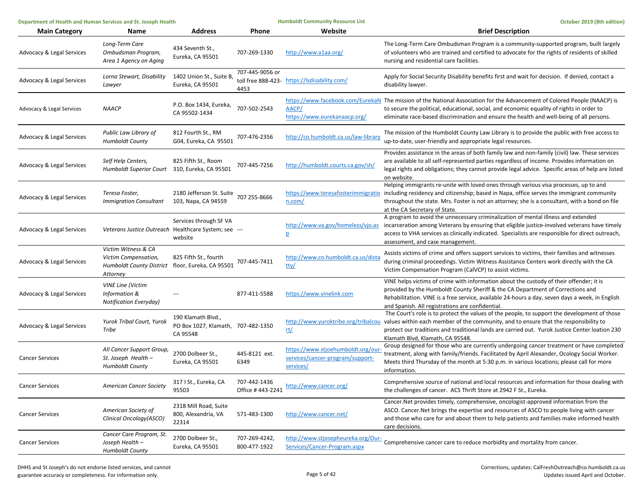| Department of Health and Human Services and St. Joseph Health |                                                                                                             |                                                                      | <b>Humboldt Community Resource List</b> | October 2019 (8th edition)                                                          |                                                                                                                                                                                                                                                                                                                                                                |
|---------------------------------------------------------------|-------------------------------------------------------------------------------------------------------------|----------------------------------------------------------------------|-----------------------------------------|-------------------------------------------------------------------------------------|----------------------------------------------------------------------------------------------------------------------------------------------------------------------------------------------------------------------------------------------------------------------------------------------------------------------------------------------------------------|
| <b>Main Category</b>                                          | Name                                                                                                        | <b>Address</b>                                                       | Phone                                   | Website                                                                             | <b>Brief Description</b>                                                                                                                                                                                                                                                                                                                                       |
| Advocacy & Legal Services                                     | Long-Term Care<br>Ombudsman Program,<br>Area 1 Agency on Aging                                              | 434 Seventh St.,<br>Eureka, CA 95501                                 | 707-269-1330                            | http://www.a1aa.org/                                                                | The Long-Term Care Ombudsman Program is a community-supported program, built largely<br>of volunteers who are trained and certified to advocate for the rights of residents of skilled<br>nursing and residential care facilities.                                                                                                                             |
| Advocacy & Legal Services                                     | Lorna Stewart, Disability<br>Lawyer                                                                         | 1402 Union St., Suite B,<br>Eureka, CA 95501                         | 707-445-9056 or<br>4453                 | toll free 888-423- https://lsdisability.com/                                        | Apply for Social Security Disability benefits first and wait for decision. If denied, contact a<br>disability lawyer.                                                                                                                                                                                                                                          |
| Advocacy & Legal Services                                     | <b>NAACP</b>                                                                                                | P.O. Box 1434, Eureka,<br>CA 95502-1434                              | 707-502-2543                            | AACP/<br>https://www.eurekanaacp.org/                                               | https://www.facebook.com/EurekaN The mission of the National Association for the Advancement of Colored People (NAACP) is<br>to secure the political, educational, social, and economic equality of rights in order to<br>eliminate race-based discrimination and ensure the health and well-being of all persons.                                             |
| Advocacy & Legal Services                                     | Public Law Library of<br><b>Humboldt County</b>                                                             | 812 Fourth St., RM<br>G04, Eureka, CA 95501                          | 707-476-2356                            | http://co.humboldt.ca.us/law-library                                                | The mission of the Humboldt County Law Library is to provide the public with free access to<br>up-to-date, user-friendly and appropriate legal resources.                                                                                                                                                                                                      |
| <b>Advocacy &amp; Legal Services</b>                          | Self Help Centers,<br>Humboldt Superior Court 310, Eureka, CA 95501                                         | 825 Fifth St., Room                                                  | 707-445-7256                            | http://humboldt.courts.ca.gov/sh/                                                   | Provides assistance in the areas of both family law and non-family (civil) law. These services<br>are available to all self-represented parties regardless of income. Provides information on<br>legal rights and obligations; they cannot provide legal advice. Specific areas of help are listed<br>on website.                                              |
| <b>Advocacy &amp; Legal Services</b>                          | Teresa Foster,<br><b>Immigration Consultant</b>                                                             | 2180 Jefferson St. Suite<br>103, Napa, CA 94559                      | 707 255-8666                            | n.com/                                                                              | Helping immigrants re-unite with loved ones through various visa processes, up to and<br>https://www.teresafosterimmigratio including residency and citizenship; based in Napa, office serves the immigrant community<br>throughout the state. Mrs. Foster is not an attorney; she is a consultant, with a bond on file<br>at the CA Secretary of State.       |
| <b>Advocacy &amp; Legal Services</b>                          | Veterans Justice Outreach Healthcare System; see ---                                                        | Services through SF VA<br>website                                    |                                         | http://www.va.gov/homeless/vjo.as<br>$\overline{p}$                                 | A program to avoid the unnecessary criminalization of mental illness and extended<br>incarceration among Veterans by ensuring that eligible justice-involved veterans have timely<br>access to VHA services as clinically indicated. Specialists are responsible for direct outreach,<br>assessment, and case management.                                      |
| Advocacy & Legal Services                                     | Victim Witness & CA<br>Victim Compensation,<br>Humboldt County District floor, Eureka, CA 95501<br>Attorney | 825 Fifth St., fourth                                                | 707-445-7411                            | http://www.co.humboldt.ca.us/dista<br>tty/                                          | Assists victims of crime and offers support services to victims, their families and witnesses<br>during criminal proceedings. Victim Witness Assistance Centers work directly with the CA<br>Victim Compensation Program (CalVCP) to assist victims.                                                                                                           |
| <b>Advocacy &amp; Legal Services</b>                          | <b>VINE Line (Victim</b><br><b>Information &amp;</b><br><b>Notification Everyday)</b>                       |                                                                      | 877-411-5588                            | https://www.vinelink.com                                                            | VINE helps victims of crime with information about the custody of their offender; it is<br>provided by the Humboldt County Sheriff & the CA Department of Corrections and<br>Rehabilitation. VINE is a free service, available 24-hours a day, seven days a week, in English<br>and Spanish. All registrations are confidential.                               |
| Advocacy & Legal Services                                     | Yurok Tribal Court, Yurok<br>Tribe                                                                          | 190 Klamath Blvd.,<br>PO Box 1027, Klamath, 707-482-1350<br>CA 95548 |                                         | rt/                                                                                 | The Court's role is to protect the values of the people, to support the development of those<br>http://www.yuroktribe.org/tribalcou values within each member of the community, and to ensure that the responsibility to<br>protect our traditions and traditional lands are carried out. Yurok Justice Center loation 230<br>Klamath Blvd, Klamath, CA 95548. |
| <b>Cancer Services</b>                                        | All Cancer Support Group,<br>St. Joseph Health-<br><b>Humboldt County</b>                                   | 2700 Dolbeer St.,<br>Eureka, CA 95501                                | 445-8121 ext.<br>6349                   | https://www.stjoehumboldt.org/our-<br>services/cancer-program/support-<br>services/ | Group designed for those who are currently undergoing cancer treatment or have completed<br>treatment, along with family/friends. Facilitated by April Alexander, Ocology Social Worker.<br>Meets third Thursday of the month at 5:30 p.m. in various locations; please call for more<br>information.                                                          |
| <b>Cancer Services</b>                                        | <b>American Cancer Society</b>                                                                              | 317 I St., Eureka, CA<br>95503                                       | 707-442-1436<br>Office #443-2241        | http://www.cancer.org/                                                              | Comprehensive source of national and local resources and information for those dealing with<br>the challenges of cancer. ACS Thrift Store at 2942 F St., Eureka.                                                                                                                                                                                               |
| <b>Cancer Services</b>                                        | American Society of<br>Clinical Oncology(ASCO)                                                              | 2318 Mill Road, Suite<br>800, Alexandria, VA<br>22314                | 571-483-1300                            | http://www.cancer.net/                                                              | Cancer. Net provides timely, comprehensive, oncologist-approved information from the<br>ASCO. Cancer. Net brings the expertise and resources of ASCO to people living with cancer<br>and those who care for and about them to help patients and families make informed health<br>care decisions.                                                               |
| <b>Cancer Services</b>                                        | Cancer Care Program, St.<br>Joseph Health -<br><b>Humboldt County</b>                                       | 2700 Dolbeer St.,<br>Eureka, CA 95501                                | 707-269-4242,<br>800-477-1922           | Services/Cancer-Program.aspx                                                        | http://www.stjosepheureka.org/Our-<br>Comprehensive cancer care to reduce morbidity and mortality from cancer.                                                                                                                                                                                                                                                 |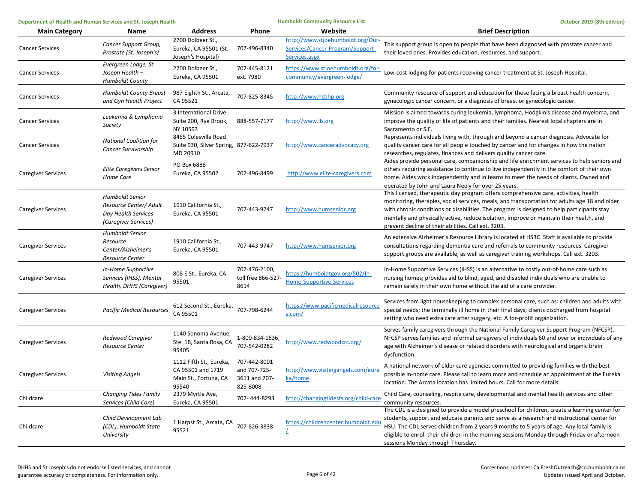| Department of Health and Human Services and St. Joseph Health |                                                                                                 | <b>Humboldt Community Resource List</b>                                        |                                                           | October 2019 (8th edition)                                                             |                                                                                                                                                                                                                                                                                                                                                                                                                                       |
|---------------------------------------------------------------|-------------------------------------------------------------------------------------------------|--------------------------------------------------------------------------------|-----------------------------------------------------------|----------------------------------------------------------------------------------------|---------------------------------------------------------------------------------------------------------------------------------------------------------------------------------------------------------------------------------------------------------------------------------------------------------------------------------------------------------------------------------------------------------------------------------------|
| <b>Main Category</b>                                          | Name                                                                                            | <b>Address</b>                                                                 | Phone                                                     | Website                                                                                | <b>Brief Description</b>                                                                                                                                                                                                                                                                                                                                                                                                              |
| <b>Cancer Services</b>                                        | Cancer Support Group,<br>Prostate (St. Joseph's)                                                | 2700 Dolbeer St.,<br>Eureka, CA 95501 (St.<br>Joseph's Hospital)               | 707-496-8340                                              | http://www.stjoehumboldt.org/Our-<br>Services/Cancer-Program/Support-<br>Services.aspx | This support group is open to people that have been diagnosed with prostate cancer and<br>their loved ones. Provides education, resources, and support.                                                                                                                                                                                                                                                                               |
| <b>Cancer Services</b>                                        | Evergreen Lodge, St.<br>Joseph Health -<br><b>Humboldt County</b>                               | 2700 Dolbeer St.,<br>Eureka, CA 95501                                          | 707-445-8121<br>ext. 7980                                 | https://www.stjoehumboldt.org/for-<br>community/evergreen-lodge/                       | Low-cost lodging for patients receiving cancer treatment at St. Joseph Hospital.                                                                                                                                                                                                                                                                                                                                                      |
| <b>Cancer Services</b>                                        | <b>Humboldt County Breast</b><br>and Gyn Health Project                                         | 987 Eighth St., Arcata,<br>CA 95521                                            | 707-825-8345                                              | http://www.hcbhp.org                                                                   | Community resource of support and education for those facing a breast health concern,<br>gynecologic cancer concern, or a diagnosis of breast or gynecologic cancer.                                                                                                                                                                                                                                                                  |
| <b>Cancer Services</b>                                        | Leukemia & Lymphoma<br>Society                                                                  | 3 International Drive<br>Suite 200, Rye Brook,<br>NY 10593                     | 888-557-7177                                              | http://www.lls.org                                                                     | Mission is aimed towards curing leukemia, lymphoma, Hodgkin's disease and myeloma, and<br>improve the quality of life of patients and their families. Nearest local chapters are in<br>Sacramento or S.F.                                                                                                                                                                                                                             |
| <b>Cancer Services</b>                                        | <b>National Coalition for</b><br>Cancer Survivorship                                            | 8455 Colesville Road<br>Suite 930, Silver Spring, 877-622-7937<br>MD 20910     |                                                           | http://www.canceradvocacy.org                                                          | Represents individuals living with, through and beyond a cancer diagnosis. Advocate for<br>quality cancer care for all people touched by cancer and for changes in how the nation<br>researches, regulates, finances and delivers quality cancer care.                                                                                                                                                                                |
| <b>Caregiver Services</b>                                     | <b>Elite Caregivers Senior</b><br>Home Care                                                     | PO Box 6888<br>Eureka, CA 95502                                                | 707-496-8499                                              | http://www.elite-caregivers.com                                                        | Aides provide personal care, companionship and life enrichment services to help seniors and<br>others requiring assistance to continue to live independently in the comfort of their own<br>home. Aides work independently and in teams to meet the needs of clients. Owned and<br>operated by John and Laura Neely for over 25 years.                                                                                                |
| <b>Caregiver Services</b>                                     | <b>Humboldt Senior</b><br>Resource Center/ Adult<br>Day Health Services<br>(Caregiver Services) | 1910 California St.,<br>Eureka, CA 95501                                       | 707-443-9747                                              | http://www.humsenior.org                                                               | This licensed, therapeutic day program offers comprehensive care, activities, health<br>monitoring, therapies, social services, meals, and transportation for adults age 18 and older<br>with chronic conditions or disabilities. The program is designed to help participants stay<br>mentally and physically active, reduce isolation, improve or maintain their health, and<br>prevent decline of their abilities. Call ext. 3203. |
| Caregiver Services                                            | Humboldt Senior<br>Resource<br>Center/Alzheimer's<br><b>Resource Center</b>                     | 1910 California St.,<br>Eureka, CA 95501                                       | 707-443-9747                                              | http://www.humsenior.org                                                               | An extensive Alzheimer's Resource Library is located at HSRC. Staff is available to provide<br>consultations regarding dementia care and referrals to community resources. Caregiver<br>support groups are available, as well as caregiver training workshops. Call ext. 3203.                                                                                                                                                        |
| Caregiver Services                                            | In-Home Supportive<br>Services (IHSS), Mental<br>Health, DHHS (Caregiver)                       | 808 E St., Eureka, CA<br>95501                                                 | 707-476-2100,<br>toll free 866-527-<br>8614               | https://humboldtgov.org/502/In-<br><b>Home-Supportive-Services</b>                     | In-Home Supportive Services (IHSS) is an alternative to costly out-of-home care such as<br>nursing homes; provides aid to blind, aged, and disabled individuals who are unable to<br>remain safely in their own home without the aid of a care provider.                                                                                                                                                                              |
| Caregiver Services                                            | <b>Pacific Medical Resources</b>                                                                | 612 Second St., Eureka,<br>CA 95501                                            | 707-798-6244                                              | https://www.pacificmedicalresource<br>s.com/                                           | Services from light housekeeping to complex personal care, such as: children and adults with<br>special needs; the terminally ill home in their final days; clients discharged from hospital<br>setting who need extra care after surgery, etc. A for-profit organization.                                                                                                                                                            |
| <b>Caregiver Services</b>                                     | Redwood Caregiver<br>Resource Center                                                            | 1140 Sonoma Avenue,<br>Ste. 1B, Santa Rosa, CA<br>95405                        | 1-800-834-1636<br>707-542-0282                            | http://www.redwoodcrc.org/                                                             | Serves family caregivers through the National Family Caregiver Support Program (NFCSP).<br>NFCSP serves families and informal caregivers of individuals 60 and over or individuals of any<br>age with Alzheimer's disease or related disorders with neurological and organic brain<br>dysfunction.                                                                                                                                    |
| Caregiver Services                                            | Visiting Angels                                                                                 | 1112 Fifth St., Eureka,<br>CA 95501 and 1719<br>Main St., Fortuna, CA<br>95540 | 707-442-8001<br>and 707-725-<br>3611 and 707-<br>825-8008 | http://www.visitingangels.com/eure<br>ka/home                                          | A national network of elder care agencies committed to providing families with the best<br>possible in-home care. Please call to learn more and schedule an appointment at the Eureka<br>location. The Arcata location has limited hours. Call for more details.                                                                                                                                                                      |
| Childcare                                                     | <b>Changing Tides Family</b><br>Services (Child Care)                                           | 2379 Myrtle Ave,<br>Eureka, CA 95501                                           | 707-444-8293                                              | http://changingtidesfs.org/child-care                                                  | Child Care, counseling, respite care, developmental and mental health services and other<br>community resources.                                                                                                                                                                                                                                                                                                                      |
| Childcare                                                     | Child Development Lab<br>(CDL), Humboldt State<br>University                                    | 1 Harpst St., Arcata, CA<br>95521                                              | 707-826-3838                                              | https://childrencenter.humboldt.edu                                                    | The CDL is a designed to provide a model preschool for children, create a learning center for<br>students, support and educate parents and serve as a research and instructional center for<br>HSU. The CDL serves children from 2 years 9 months to 5 years of age. Any local family is<br>eligible to enroll their children in the morning sessions Monday through Friday or afternoon<br>sessions Monday through Thursday.         |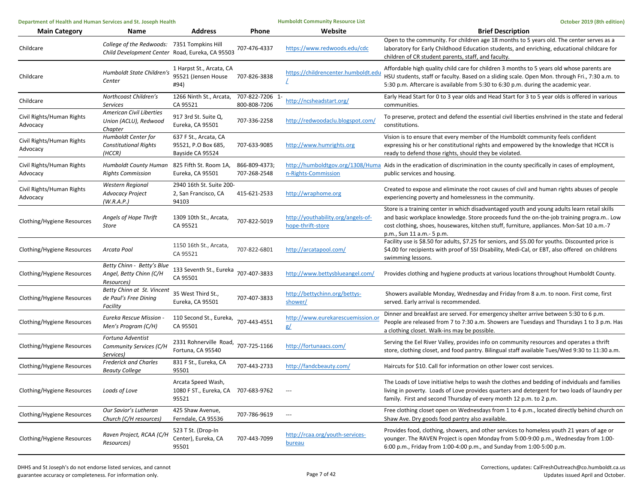| Department of Health and Human Services and St. Joseph Health |                                                                                                | <b>Humboldt Community Resource List</b>                            |                                 | October 2019 (8th edition)                              |                                                                                                                                                                                                                                                                                                                    |
|---------------------------------------------------------------|------------------------------------------------------------------------------------------------|--------------------------------------------------------------------|---------------------------------|---------------------------------------------------------|--------------------------------------------------------------------------------------------------------------------------------------------------------------------------------------------------------------------------------------------------------------------------------------------------------------------|
| <b>Main Category</b>                                          | <b>Name</b>                                                                                    | <b>Address</b>                                                     | Phone                           | Website                                                 | <b>Brief Description</b>                                                                                                                                                                                                                                                                                           |
| Childcare                                                     | College of the Redwoods: 7351 Tompkins Hill<br>Child Development Center Road, Eureka, CA 95503 |                                                                    | 707-476-4337                    | https://www.redwoods.edu/cdc                            | Open to the community. For children age 18 months to 5 years old. The center serves as a<br>laboratory for Early Childhood Education students, and enriching, educational childcare for<br>children of CR student parents, staff, and faculty.                                                                     |
| Childcare                                                     | Humboldt State Children's<br>Center                                                            | 1 Harpst St., Arcata, CA<br>95521 (Jensen House<br>#94)            | 707-826-3838                    | https://childrencenter.humboldt.edu                     | Affordable high quality child care for children 3 months to 5 years old whose parents are<br>HSU students, staff or faculty. Based on a sliding scale. Open Mon. through Fri., 7:30 a.m. to<br>5:30 p.m. Aftercare is available from 5:30 to 6:30 p.m. during the academic year.                                   |
| Childcare                                                     | Northcoast Children's<br>Services                                                              | 1266 Ninth St., Arcata,<br>CA 95521                                | 707-822-7206 1-<br>800-808-7206 | http://ncsheadstart.org/                                | Early Head Start for 0 to 3 year olds and Head Start for 3 to 5 year olds is offered in various<br>communities.                                                                                                                                                                                                    |
| Civil Rights/Human Rights<br>Advocacy                         | <b>American Civil Liberties</b><br>Union (ACLU), Redwood<br>Chapter                            | 917 3rd St. Suite Q,<br>Eureka, CA 95501                           | 707-336-2258                    | http://redwoodaclu.blogspot.com/                        | To preserve, protect and defend the essential civil liberties enshrined in the state and federal<br>constitutions.                                                                                                                                                                                                 |
| Civil Rights/Human Rights<br>Advocacy                         | Humboldt Center for<br><b>Constitutional Rights</b><br>(HCCR)                                  | 637 F St., Arcata, CA<br>95521, P.O Box 685,<br>Bayside CA 95524   | 707-633-9085                    | http://www.humrights.org                                | Vision is to ensure that every member of the Humboldt community feels confident<br>expressing his or her constitutional rights and empowered by the knowledge that HCCR is<br>ready to defend those rights, should they be violated.                                                                               |
| Civil Rights/Human Rights<br>Advocacy                         | <b>Humboldt County Human</b><br><b>Rights Commission</b>                                       | 825 Fifth St. Room 1A,<br>Eureka, CA 95501                         | 866-809-4373;<br>707-268-2548   | n-Rights-Commission                                     | http://humboldtgov.org/1308/Huma Aids in the eradication of discrimination in the county specifically in cases of employment,<br>public services and housing.                                                                                                                                                      |
| Civil Rights/Human Rights<br>Advocacy                         | <b>Western Regional</b><br><b>Advocacy Project</b><br>(W.R.A.P.)                               | 2940 16th St. Suite 200-<br>2, San Francisco, CA<br>94103          | 415-621-2533                    | http://wraphome.org                                     | Created to expose and eliminate the root causes of civil and human rights abuses of people<br>experiencing poverty and homelessness in the community.                                                                                                                                                              |
| Clothing/Hygiene Resources                                    | Angels of Hope Thrift<br>Store                                                                 | 1309 10th St., Arcata,<br>CA 95521                                 | 707-822-5019                    | http://youthability.org/angels-of-<br>hope-thrift-store | Store is a training center in which disadvantaged youth and young adults learn retail skills<br>and basic workplace knowledge. Store proceeds fund the on-the-job training progra.m Low<br>cost clothing, shoes, housewares, kitchen stuff, furniture, appliances. Mon-Sat 10 a.m.-7<br>p.m., Sun 11 a.m. - 5 p.m. |
| Clothing/Hygiene Resources                                    | Arcata Pool                                                                                    | 1150 16th St., Arcata,<br>CA 95521                                 | 707-822-6801                    | http://arcatapool.com/                                  | Facility use is \$8.50 for adults, \$7.25 for seniors, and \$5.00 for youths. Discounted price is<br>\$4.00 for recipients with proof of SSI Disability, Medi-Cal, or EBT, also offered on childrens<br>swimming lessons.                                                                                          |
| Clothing/Hygiene Resources                                    | Betty Chinn - Betty's Blue<br>Angel, Betty Chinn (C/H<br>Resources)                            | 133 Seventh St., Eureka<br>CA 95501                                | 707-407-3833                    | http://www.bettysblueangel.com/                         | Provides clothing and hygiene products at various locations throughout Humboldt County.                                                                                                                                                                                                                            |
| Clothing/Hygiene Resources                                    | Betty Chinn at St. Vincent<br>de Paul's Free Dining<br>Facility                                | 35 West Third St.,<br>Eureka, CA 95501                             | 707-407-3833                    | http://bettychinn.org/bettys-<br>shower/                | Showers available Monday, Wednesday and Friday from 8 a.m. to noon. First come, first<br>served. Early arrival is recommended.                                                                                                                                                                                     |
| Clothing/Hygiene Resources                                    | Eureka Rescue Mission<br>Men's Program (C/H)                                                   | 110 Second St., Eureka,<br>CA 95501                                | 707-443-4551                    | http://www.eurekarescuemission.o<br>g/                  | Dinner and breakfast are served. For emergency shelter arrive between 5:30 to 6 p.m.<br>People are released from 7 to 7:30 a.m. Showers are Tuesdays and Thursdays 1 to 3 p.m. Has<br>a clothing closet. Walk-ins may be possible.                                                                                 |
| Clothing/Hygiene Resources                                    | Fortuna Adventist<br>Community Services (C/H<br>Services)                                      | 2331 Rohnerville Road, 707-725-1166<br>Fortuna, CA 95540           |                                 | http://fortunaacs.com/                                  | Serving the Eel River Valley, provides info on community resources and operates a thrift<br>store, clothing closet, and food pantry. Bilingual staff available Tues/Wed 9:30 to 11:30 a.m.                                                                                                                         |
| Clothing/Hygiene Resources                                    | <b>Frederick and Charles</b><br><b>Beauty College</b>                                          | 831 F St., Eureka, CA<br>95501                                     | 707-443-2733                    | http://fandcbeauty.com/                                 | Haircuts for \$10. Call for information on other lower cost services.                                                                                                                                                                                                                                              |
| Clothing/Hygiene Resources                                    | Loads of Love                                                                                  | Arcata Speed Wash,<br>1080 F ST., Eureka, CA 707-683-9762<br>95521 |                                 | $\hspace{0.05cm} \ldots$                                | The Loads of Love initiative helps to wash the clothes and bedding of indviduals and families<br>living in poverty. Loads of Love provides quarters and detergent for two loads of laundry per<br>family. First and second Thursday of every month 12 p.m. to 2 p.m.                                               |
| Clothing/Hygiene Resources                                    | Our Savior's Lutheran<br>Church (C/H resources)                                                | 425 Shaw Avenue,<br>Ferndale, CA 95536                             | 707-786-9619                    | $\hspace{0.05cm} \cdots$                                | Free clothing closet open on Wednesdays from 1 to 4 p.m., located directly behind church on<br>Shaw Ave. Dry goods food pantry also available.                                                                                                                                                                     |
| Clothing/Hygiene Resources                                    | Raven Project, RCAA (C/H<br>Resources)                                                         | 523 T St. (Drop-In<br>Center), Eureka, CA<br>95501                 | 707-443-7099                    | http://rcaa.org/youth-services-<br><b>bureau</b>        | Provides food, clothing, showers, and other services to homeless youth 21 years of age or<br>younger. The RAVEN Project is open Monday from 5:00-9:00 p.m., Wednesday from 1:00-<br>6:00 p.m., Friday from 1:00-4:00 p.m., and Sunday from 1:00-5:00 p.m.                                                          |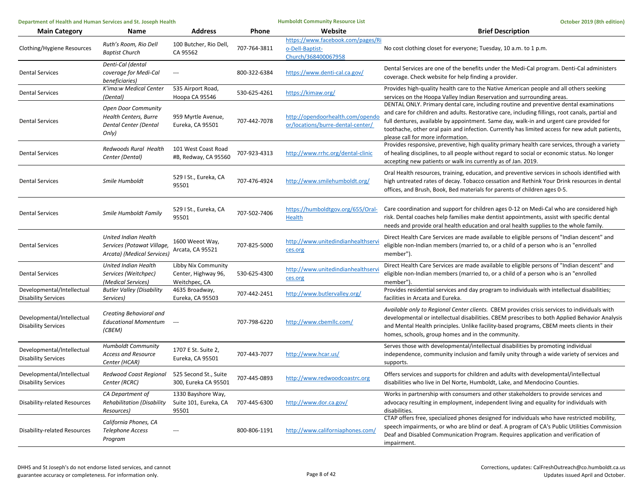| Department of Health and Human Services and St. Joseph Health |                                                                                              | <b>Humboldt Community Resource List</b>                     |              | October 2019 (8th edition)                                                  |                                                                                                                                                                                                                                                                                                                                                                                                                              |
|---------------------------------------------------------------|----------------------------------------------------------------------------------------------|-------------------------------------------------------------|--------------|-----------------------------------------------------------------------------|------------------------------------------------------------------------------------------------------------------------------------------------------------------------------------------------------------------------------------------------------------------------------------------------------------------------------------------------------------------------------------------------------------------------------|
| <b>Main Category</b>                                          | Name                                                                                         | <b>Address</b>                                              | Phone        | Website                                                                     | <b>Brief Description</b>                                                                                                                                                                                                                                                                                                                                                                                                     |
| Clothing/Hygiene Resources                                    | Ruth's Room, Rio Dell<br><b>Baptist Church</b>                                               | 100 Butcher, Rio Dell,<br>CA 95562                          | 707-764-3811 | https://www.facebook.com/pages/Ri<br>o-Dell-Baptist-<br>Church/368400067958 | No cost clothing closet for everyone; Tuesday, 10 a.m. to 1 p.m.                                                                                                                                                                                                                                                                                                                                                             |
| <b>Dental Services</b>                                        | Denti-Cal (dental<br>coverage for Medi-Cal<br>beneficiaries)                                 | $\hspace{0.05cm} \ldots$                                    | 800-322-6384 | https://www.denti-cal.ca.gov/                                               | Dental Services are one of the benefits under the Medi-Cal program. Denti-Cal administers<br>coverage. Check website for help finding a provider.                                                                                                                                                                                                                                                                            |
| <b>Dental Services</b>                                        | K'ima:w Medical Center<br>(Dental)                                                           | 535 Airport Road,<br>Hoopa CA 95546                         | 530-625-4261 | https://kimaw.org/                                                          | Provides high-quality health care to the Native American people and all others seeking<br>services on the Hoopa Valley Indian Reservation and surrounding areas.                                                                                                                                                                                                                                                             |
| <b>Dental Services</b>                                        | <b>Open Door Community</b><br><b>Health Centers, Burre</b><br>Dental Center (Dental<br>Only) | 959 Myrtle Avenue,<br>Eureka, CA 95501                      | 707-442-7078 | http://opendoorhealth.com/opendo<br>or/locations/burre-dental-center/       | DENTAL ONLY. Primary dental care, including routine and preventive dental examinations<br>and care for children and adults. Restorative care, including fillings, root canals, partial and<br>full dentures, available by appointment. Same day, walk-in and urgent care provided for<br>toothache, other oral pain and infection. Currently has limited access for new adult patients,<br>please call for more information. |
| <b>Dental Services</b>                                        | Redwoods Rural Health<br>Center (Dental)                                                     | 101 West Coast Road<br>#B, Redway, CA 95560                 | 707-923-4313 | http://www.rrhc.org/dental-clinic                                           | Provides responsive, preventive, high quality primary health care services, through a variety<br>of healing disciplines, to all people without regard to social or economic status. No longer<br>accepting new patients or walk ins currently as of Jan. 2019.                                                                                                                                                               |
| <b>Dental Services</b>                                        | Smile Humboldt                                                                               | 529 I St., Eureka, CA<br>95501                              | 707-476-4924 | http://www.smilehumboldt.org/                                               | Oral Health resources, training, education, and preventive services in schools identified with<br>high untreated rates of decay. Tobacco cessation and Rethink Your Drink resources in dental<br>offices, and Brush, Book, Bed materials for parents of children ages 0-5.                                                                                                                                                   |
| <b>Dental Services</b>                                        | Smile Humboldt Family                                                                        | 529 I St., Eureka, CA<br>95501                              | 707-502-7406 | https://humboldtgov.org/655/Oral-<br>Health                                 | Care coordination and support for children ages 0-12 on Medi-Cal who are considered high<br>risk. Dental coaches help families make dentist appointments, assist with specific dental<br>needs and provide oral health education and oral health supplies to the whole family.                                                                                                                                               |
| <b>Dental Services</b>                                        | <b>United Indian Health</b><br>Services (Potawat Village,<br>Arcata) (Medical Services)      | 1600 Weeot Way,<br>Arcata, CA 95521                         | 707-825-5000 | http://www.unitedindianhealthserv<br>ces.org                                | Direct Health Care Services are made available to eligible persons of "Indian descent" and<br>eligible non-Indian members (married to, or a child of a person who is an "enrolled<br>member").                                                                                                                                                                                                                               |
| <b>Dental Services</b>                                        | United Indian Health<br>Services (Weitchpec)<br>(Medical Services)                           | Libby Nix Community<br>Center, Highway 96,<br>Weitchpec, CA | 530-625-4300 | http://www.unitedindianhealthserv<br>ces.org                                | Direct Health Care Services are made available to eligible persons of "Indian descent" and<br>eligible non-Indian members (married to, or a child of a person who is an "enrolled<br>member")                                                                                                                                                                                                                                |
| Developmental/Intellectual<br><b>Disability Services</b>      | <b>Butler Valley (Disability</b><br>Services)                                                | 4635 Broadway,<br>Eureka, CA 95503                          | 707-442-2451 | http://www.butlervalley.org/                                                | Provides residential services and day program to individuals with intellectual disabilities;<br>facilities in Arcata and Eureka.                                                                                                                                                                                                                                                                                             |
| Developmental/Intellectual<br><b>Disability Services</b>      | Creating Behavioral and<br><b>Educational Momentum</b><br>(CBEM)                             | $\overline{\phantom{a}}$                                    | 707-798-6220 | http://www.cbemllc.com/                                                     | Available only to Regional Center clients. CBEM provides crisis services to individuals with<br>developmental or intellectual disabilities. CBEM prescribes to both Applied Behavior Analysis<br>and Mental Health principles. Unlike facility-based programs, CBEM meets clients in their<br>homes, schools, group homes and in the community.                                                                              |
| Developmental/Intellectual<br><b>Disability Services</b>      | <b>Humboldt Community</b><br>Access and Resource<br>Center (HCAR)                            | 1707 E St. Suite 2,<br>Eureka, CA 95501                     | 707-443-7077 | http://www.hcar.us/                                                         | Serves those with developmental/intellectual disabilities by promoting individual<br>independence, community inclusion and family unity through a wide variety of services and<br>supports.                                                                                                                                                                                                                                  |
| Developmental/Intellectual<br><b>Disability Services</b>      | Redwood Coast Regional<br>Center (RCRC)                                                      | 525 Second St., Suite<br>300, Eureka CA 95501               | 707-445-0893 | http://www.redwoodcoastrc.org                                               | Offers services and supports for children and adults with developmental/intellectual<br>disabilities who live in Del Norte, Humboldt, Lake, and Mendocino Counties.                                                                                                                                                                                                                                                          |
| <b>Disability-related Resources</b>                           | CA Department of<br><b>Rehabilitation (Disability</b><br>Resources)                          | 1330 Bayshore Way,<br>Suite 101, Eureka, CA<br>95501        | 707-445-6300 | http://www.dor.ca.gov/                                                      | Works in partnership with consumers and other stakeholders to provide services and<br>advocacy resulting in employment, independent living and equality for individuals with<br>disabilities.                                                                                                                                                                                                                                |
| Disability-related Resources                                  | California Phones, CA<br><b>Telephone Access</b><br>Program                                  | $---$                                                       | 800-806-1191 | http://www.californiaphones.com/                                            | CTAP offers free, specialized phones designed for individuals who have restricted mobility,<br>speech impairments, or who are blind or deaf. A program of CA's Public Utilities Commission<br>Deaf and Disabled Communication Program. Requires application and verification of<br>impairment.                                                                                                                               |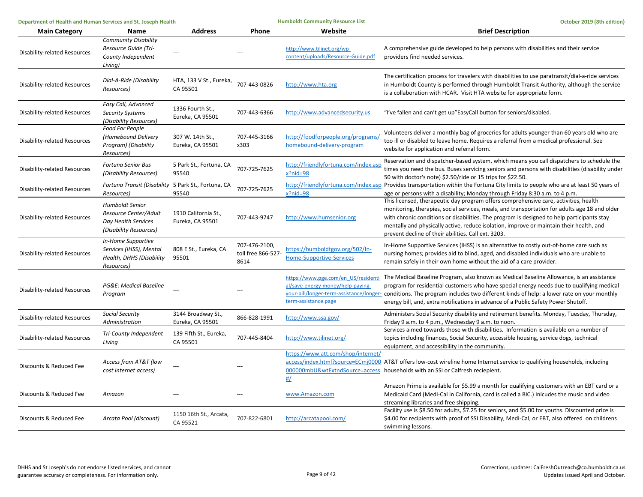| Department of Health and Human Services and St. Joseph Health |                                                                                                  | <b>Humboldt Community Resource List</b>  |                                             | October 2019 (8th edition)                                                                       |                                                                                                                                                                                                                                                                                                                                                                                                                                       |
|---------------------------------------------------------------|--------------------------------------------------------------------------------------------------|------------------------------------------|---------------------------------------------|--------------------------------------------------------------------------------------------------|---------------------------------------------------------------------------------------------------------------------------------------------------------------------------------------------------------------------------------------------------------------------------------------------------------------------------------------------------------------------------------------------------------------------------------------|
| <b>Main Category</b>                                          | Name                                                                                             | <b>Address</b>                           | Phone                                       | Website                                                                                          | <b>Brief Description</b>                                                                                                                                                                                                                                                                                                                                                                                                              |
| <b>Disability-related Resources</b>                           | <b>Community Disability</b><br>Resource Guide (Tri-<br>County Independent<br>Living)             |                                          |                                             | http://www.tilinet.org/wp-<br>content/uploads/Resource-Guide.pdf                                 | A comprehensive guide developed to help persons with disabilities and their service<br>providers find needed services.                                                                                                                                                                                                                                                                                                                |
| <b>Disability-related Resources</b>                           | Dial-A-Ride (Disability<br>Resources)                                                            | HTA, 133 V St., Eureka,<br>CA 95501      | 707-443-0826                                | http://www.hta.org                                                                               | The certification process for travelers with disabilities to use paratransit/dial-a-ride services<br>in Humboldt County is performed through Humboldt Transit Authority, although the service<br>is a collaboration with HCAR. Visit HTA website for appropriate form.                                                                                                                                                                |
| <b>Disability-related Resources</b>                           | Easy Call, Advanced<br><b>Security Systems</b><br>(Disability Resources)                         | 1336 Fourth St.,<br>Eureka, CA 95501     | 707-443-6366                                | http://www.advancedsecurity.us                                                                   | "I've fallen and can't get up"EasyCall button for seniors/disabled.                                                                                                                                                                                                                                                                                                                                                                   |
| <b>Disability-related Resources</b>                           | <b>Food For People</b><br>(Homebound Delivery<br>Program) (Disability<br>Resources)              | 307 W. 14th St.,<br>Eureka, CA 95501     | 707-445-3166<br>x303                        | http://foodforpeople.org/programs/<br>homebound-delivery-program                                 | Volunteers deliver a monthly bag of groceries for adults younger than 60 years old who are<br>too ill or disabled to leave home. Requires a referral from a medical professional. See<br>website for application and referral form.                                                                                                                                                                                                   |
| <b>Disability-related Resources</b>                           | <b>Fortuna Senior Bus</b><br>(Disability Resources)                                              | 5 Park St., Fortuna, CA<br>95540         | 707-725-7625                                | http://friendlyfortuna.com/index.asp<br>x?nid=98                                                 | Reservation and dispatcher-based system, which means you call dispatchers to schedule the<br>times you need the bus. Buses servicing seniors and persons with disabilities (disability under<br>50 with doctor's note) \$2.50/ride or 15 trips for \$22.50.                                                                                                                                                                           |
| Disability-related Resources                                  | Fortuna Transit (Disability 5 Park St., Fortuna, CA<br>Resources)                                | 95540                                    | 707-725-7625                                | $x?$ nid=98                                                                                      | http://friendlyfortuna.com/index.asp Provides transportation within the Fortuna City limits to people who are at least 50 years of<br>age or persons with a disability; Monday through Friday 8:30 a.m. to 4 p.m.                                                                                                                                                                                                                     |
| <b>Disability-related Resources</b>                           | <b>Humboldt Senior</b><br>Resource Center/Adult<br>Day Health Services<br>(Disability Resources) | 1910 California St.,<br>Eureka, CA 95501 | 707-443-9747                                | http://www.humsenior.org                                                                         | This licensed, therapeutic day program offers comprehensive care, activities, health<br>monitoring, therapies, social services, meals, and transportation for adults age 18 and older<br>with chronic conditions or disabilities. The program is designed to help participants stay<br>mentally and physically active, reduce isolation, improve or maintain their health, and<br>prevent decline of their abilities. Call ext. 3203. |
| Disability-related Resources                                  | In-Home Supportive<br>Services (IHSS), Mental<br>Health, DHHS (Disability<br>Resources)          | 808 E St., Eureka, CA<br>95501           | 707-476-2100,<br>toll free 866-527-<br>8614 | https://humboldtgov.org/502/In-<br><b>Home-Supportive-Services</b>                               | In-Home Supportive Services (IHSS) is an alternative to costly out-of-home care such as<br>nursing homes; provides aid to blind, aged, and disabled individuals who are unable to<br>remain safely in their own home without the aid of a care provider.                                                                                                                                                                              |
| <b>Disability-related Resources</b>                           | PG&E: Medical Baseline<br>Program                                                                |                                          |                                             | https://www.pge.com/en_US/residenti<br>al/save-energy-money/help-paying-<br>term-assistance.page | The Medical Baseline Program, also known as Medical Baseline Allowance, is an assistance<br>program for residential customers who have special energy needs due to qualifying medical<br>your-bill/longer-term-assistance/longer- conditions. The program includes two different kinds of help: a lower rate on your monthly<br>energy bill, and, extra notifications in advance of a Public Safety Power Shutoff.                    |
| <b>Disability-related Resources</b>                           | <b>Social Security</b><br>Administration                                                         | 3144 Broadway St.,<br>Eureka, CA 95501   | 866-828-1991                                | http://www.ssa.gov/                                                                              | Administers Social Security disability and retirement benefits. Monday, Tuesday, Thursday,<br>Friday 9 a.m. to 4 p.m., Wednesday 9 a.m. to noon.                                                                                                                                                                                                                                                                                      |
| <b>Disability-related Resources</b>                           | Tri-County Independent<br>Living                                                                 | 139 Fifth St., Eureka,<br>CA 95501       | 707-445-8404                                | http://www.tilinet.org/                                                                          | Services aimed towards those with disabilities. Information is available on a number of<br>topics including finances, Social Security, accessible housing, service dogs, technical<br>equipment, and accessibility in the community.                                                                                                                                                                                                  |
| Discounts & Reduced Fee                                       | Access from AT&T (low<br>cost internet access)                                                   |                                          |                                             | https://www.att.com/shop/internet/<br>#/                                                         | access/index.html?source=ECmj0000_AT&T offers low-cost wireline home Internet service to qualifying households, including<br>000000mbU&wtExtndSource=access households with an SSI or Calfresh reciepient.                                                                                                                                                                                                                            |
| Discounts & Reduced Fee                                       | Amazon                                                                                           |                                          |                                             | www.Amazon.com                                                                                   | Amazon Prime is available for \$5.99 a month for qualifying customers with an EBT card or a<br>Medicaid Card (Medi-Cal in California, card is called a BIC.) Inlcudes the music and video<br>streaming libraries and free shipping.                                                                                                                                                                                                   |
| Discounts & Reduced Fee                                       | Arcata Pool (discount)                                                                           | 1150 16th St., Arcata,<br>CA 95521       | 707-822-6801                                | http://arcatapool.com/                                                                           | Facility use is \$8.50 for adults, \$7.25 for seniors, and \$5.00 for youths. Discounted price is<br>\$4.00 for recipients with proof of SSI Disability, Medi-Cal, or EBT, also offered on childrens<br>swimming lessons.                                                                                                                                                                                                             |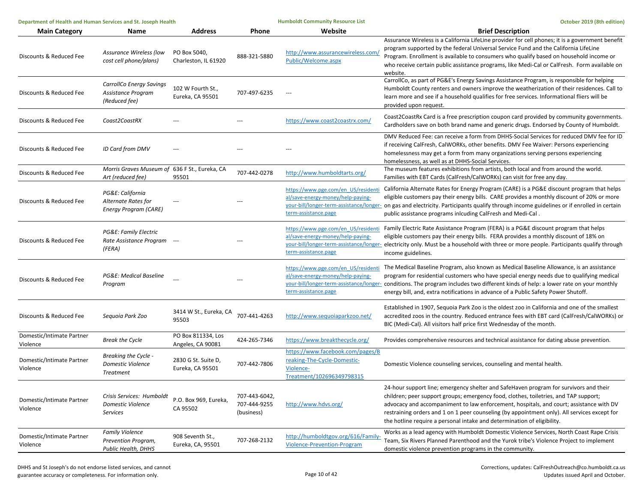| Department of Health and Human Services and St. Joseph Health |                                                                             | <b>Humboldt Community Resource List</b> |                                             | October 2019 (8th edition)                                                                                |                                                                                                                                                                                                                                                                                                                                                                                                                                                        |
|---------------------------------------------------------------|-----------------------------------------------------------------------------|-----------------------------------------|---------------------------------------------|-----------------------------------------------------------------------------------------------------------|--------------------------------------------------------------------------------------------------------------------------------------------------------------------------------------------------------------------------------------------------------------------------------------------------------------------------------------------------------------------------------------------------------------------------------------------------------|
| <b>Main Category</b>                                          | Name                                                                        | <b>Address</b>                          | Phone                                       | Website                                                                                                   | <b>Brief Description</b>                                                                                                                                                                                                                                                                                                                                                                                                                               |
| Discounts & Reduced Fee                                       | Assurance Wireless (low<br>cost cell phone/plans)                           | PO Box 5040,<br>Charleston, IL 61920    | 888-321-5880                                | http://www.assurancewireless.com<br>Public/Welcome.aspx                                                   | Assurance Wireless is a California LifeLine provider for cell phones; it is a government benefit<br>program supported by the federal Universal Service Fund and the California LifeLine<br>Program. Enrollment is available to consumers who qualify based on household income or<br>who receive certain public assistance programs, like Medi-Cal or CalFresh. Form available on<br>website.                                                          |
| Discounts & Reduced Fee                                       | CarrollCo Energy Savings<br>Assistance Program<br>(Reduced fee)             | 102 W Fourth St.,<br>Eureka, CA 95501   | 707-497-6235                                | $\overline{a}$                                                                                            | CarrollCo, as part of PG&E's Energy Savings Assistance Program, is responsible for helping<br>Humboldt County renters and owners improve the weatherization of their residences. Call to<br>learn more and see if a household qualifies for free services. Informational fliers will be<br>provided upon request.                                                                                                                                      |
| Discounts & Reduced Fee                                       | Coast2CoastRX                                                               |                                         |                                             | https://www.coast2coastrx.com/                                                                            | Coast2CoastRx Card is a free prescription coupon card provided by community governments.<br>Cardholders save on both brand name and generic drugs. Endorsed by County of Humboldt.                                                                                                                                                                                                                                                                     |
| Discounts & Reduced Fee                                       | <b>ID Card from DMV</b>                                                     |                                         |                                             |                                                                                                           | DMV Reduced Fee: can receive a form from DHHS-Social Services for reduced DMV fee for ID<br>if receiving CalFresh, CalWORKs, other benefits. DMV Fee Waiver: Persons experiencing<br>homelessness may get a form from many organizations serving persons experiencing<br>homelessness, as well as at DHHS-Social Services.                                                                                                                             |
| Discounts & Reduced Fee                                       | Morris Graves Museum of 636 F St., Eureka, CA<br>Art (reduced fee)          | 95501                                   | 707-442-0278                                | http://www.humboldtarts.org/                                                                              | The museum features exhibitions from artists, both local and from around the world.<br>Families with EBT Cards (CalFresh/CalWORKs) can visit for free any day.                                                                                                                                                                                                                                                                                         |
| Discounts & Reduced Fee                                       | PG&E: California<br>Alternate Rates for<br><b>Energy Program (CARE)</b>     | ---                                     |                                             | https://www.pge.com/en US/residenti<br>al/save-energy-money/help-paying-<br>term-assistance.page          | California Alternate Rates for Energy Program (CARE) is a PG&E discount program that helps<br>eligible customers pay their energy bills. CARE provides a monthly discount of 20% or more<br>your-bill/longer-term-assistance/longer- on gas and electricity. Participants qualify through income guidelines or if enrolled in certain<br>public assistance programs inlcuding CalFresh and Medi-Cal.                                                   |
| Discounts & Reduced Fee                                       | PG&E: Family Electric<br>Rate Assistance Program ---<br>(FERA)              |                                         |                                             | https://www.pge.com/en US/residenti<br>al/save-energy-money/help-paying-<br>term-assistance.page          | Family Electric Rate Assistance Program (FERA) is a PG&E discount program that helps<br>eligible customers pay their energy bills. FERA provides a monthly discount of 18% on<br>your-bill/longer-term-assistance/longer- electricity only. Must be a household with three or more people. Participants qualify through<br>income guidelines.                                                                                                          |
| Discounts & Reduced Fee                                       | PG&E: Medical Baseline<br>Program                                           |                                         |                                             | al/save-energy-money/help-paying-<br>term-assistance.page                                                 | https://www.pge.com/en US/residenti The Medical Baseline Program, also known as Medical Baseline Allowance, is an assistance<br>program for residential customers who have special energy needs due to qualifying medical<br>your-bill/longer-term-assistance/longer- conditions. The program includes two different kinds of help: a lower rate on your monthly<br>energy bill, and, extra notifications in advance of a Public Safety Power Shutoff. |
| Discounts & Reduced Fee                                       | Seguoia Park Zoo                                                            | 3414 W St., Eureka, CA<br>95503         | 707-441-4263                                | http://www.sequoiaparkzoo.net/                                                                            | Established in 1907, Sequoia Park Zoo is the oldest zoo in California and one of the smallest<br>accredited zoos in the country. Reduced entrance fees with EBT card (CalFresh/CalWORKs) or<br>BIC (Medi-Cal). All visitors half price first Wednesday of the month.                                                                                                                                                                                   |
| Domestic/Intimate Partner<br>Violence                         | <b>Break the Cycle</b>                                                      | PO Box 811334, Los<br>Angeles, CA 90081 | 424-265-7346                                | https://www.breakthecycle.org/                                                                            | Provides comprehensive resources and technical assistance for dating abuse prevention.                                                                                                                                                                                                                                                                                                                                                                 |
| Domestic/Intimate Partner<br>Violence                         | Breaking the Cycle -<br><b>Domestic Violence</b><br>Treatment               | 2830 G St. Suite D,<br>Eureka, CA 95501 | 707-442-7806                                | https://www.facebook.com/pages/B<br>reaking-The-Cycle-Domestic-<br>Violence-<br>Treatment/102696349798315 | Domestic Violence counseling services, counseling and mental health.                                                                                                                                                                                                                                                                                                                                                                                   |
| Domestic/Intimate Partner<br>Violence                         | Crisis Services: Humboldt<br><b>Domestic Violence</b><br>Services           | P.O. Box 969, Eureka,<br>CA 95502       | 707-443-6042,<br>707-444-9255<br>(business) | http://www.hdvs.org/                                                                                      | 24-hour support line; emergency shelter and SafeHaven program for survivors and their<br>children; peer support groups; emergency food, clothes, toiletries, and TAP support;<br>advocacy and accompaniment to law enforcement, hospitals, and court; assistance with DV<br>restraining orders and 1 on 1 peer counseling (by appointment only). All services except for<br>the hotline require a personal intake and determination of eligibility.    |
| Domestic/Intimate Partner<br>Violence                         | <b>Family Violence</b><br>Prevention Program,<br><b>Public Health, DHHS</b> | 908 Seventh St.,<br>Eureka, CA, 95501   | 707-268-2132                                | http://humboldtgov.org/616/Family-<br>Violence-Prevention-Program                                         | Works as a lead agency with Humboldt Domestic Violence Services, North Coast Rape Crisis<br>Team, Six Rivers Planned Parenthood and the Yurok tribe's Violence Project to implement<br>domestic violence prevention programs in the community.                                                                                                                                                                                                         |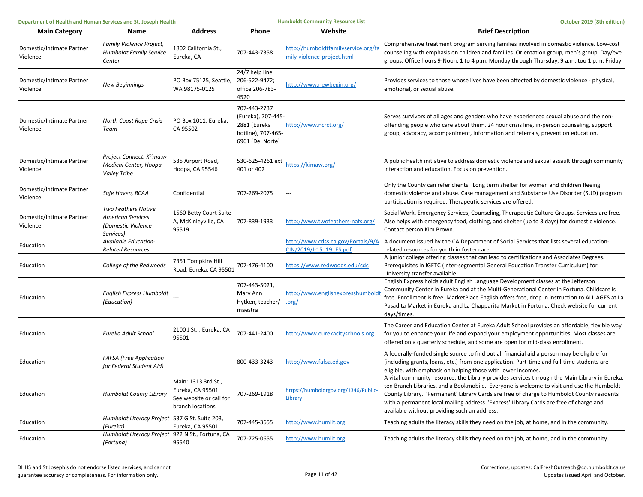| Department of Health and Human Services and St. Joseph Health |                                                                                           | <b>Humboldt Community Resource List</b>                                                |                                                                                              | October 2019 (8th edition)                                        |                                                                                                                                                                                                                                                                                                                                                                                                                                   |
|---------------------------------------------------------------|-------------------------------------------------------------------------------------------|----------------------------------------------------------------------------------------|----------------------------------------------------------------------------------------------|-------------------------------------------------------------------|-----------------------------------------------------------------------------------------------------------------------------------------------------------------------------------------------------------------------------------------------------------------------------------------------------------------------------------------------------------------------------------------------------------------------------------|
| <b>Main Category</b>                                          | Name                                                                                      | <b>Address</b>                                                                         | Phone                                                                                        | Website                                                           | <b>Brief Description</b>                                                                                                                                                                                                                                                                                                                                                                                                          |
| Domestic/Intimate Partner<br>Violence                         | Family Violence Project,<br><b>Humboldt Family Service</b><br>Center                      | 1802 California St.,<br>Eureka, CA                                                     | 707-443-7358                                                                                 | http://humboldtfamilyservice.org/fa<br>mily-violence-project.html | Comprehensive treatment program serving families involved in domestic violence. Low-cost<br>counseling with emphasis on children and families. Orientation group, men's group. Day/eve<br>groups. Office hours 9-Noon, 1 to 4 p.m. Monday through Thursday, 9 a.m. too 1 p.m. Friday.                                                                                                                                             |
| Domestic/Intimate Partner<br>Violence                         | New Beginnings                                                                            | PO Box 75125, Seattle,<br>WA 98175-0125                                                | 24/7 help line<br>206-522-9472;<br>office 206-783-<br>4520                                   | http://www.newbegin.org/                                          | Provides services to those whose lives have been affected by domestic violence - physical,<br>emotional, or sexual abuse.                                                                                                                                                                                                                                                                                                         |
| Domestic/Intimate Partner<br>Violence                         | North Coast Rape Crisis<br>Team                                                           | PO Box 1011, Eureka,<br>CA 95502                                                       | 707-443-2737<br>(Eureka), 707-445-<br>2881 (Eureka<br>hotline), 707-465-<br>6961 (Del Norte) | http://www.ncrct.org/                                             | Serves survivors of all ages and genders who have experienced sexual abuse and the non-<br>offending people who care about them. 24 hour crisis line, in-person counseling, support<br>group, advocacy, accompaniment, information and referrals, prevention education.                                                                                                                                                           |
| Domestic/Intimate Partner<br>Violence                         | Project Connect, Ki'ma:w<br>Medical Center, Hoopa<br><b>Valley Tribe</b>                  | 535 Airport Road,<br>Hoopa, CA 95546                                                   | 530-625-4261 ext<br>401 or 402                                                               | https://kimaw.org/                                                | A public health initiative to address domestic violence and sexual assault through community<br>interaction and education. Focus on prevention.                                                                                                                                                                                                                                                                                   |
| Domestic/Intimate Partner<br>Violence                         | Safe Haven, RCAA                                                                          | Confidential                                                                           | 707-269-2075                                                                                 |                                                                   | Only the County can refer clients. Long term shelter for women and children fleeing<br>domestic violence and abuse. Case management and Substance Use Disorder (SUD) program<br>participation is required. Therapeutic services are offered.                                                                                                                                                                                      |
| Domestic/Intimate Partner<br>Violence                         | <b>Two Feathers Native</b><br><b>American Services</b><br>(Domestic Violence<br>Services) | 1560 Betty Court Suite<br>A, McKinleyville, CA<br>95519                                | 707-839-1933                                                                                 | http://www.twofeathers-nafs.org/                                  | Social Work, Emergency Services, Counseling, Therapeutic Culture Groups. Services are free.<br>Also helps with emergency food, clothing, and shelter (up to 3 days) for domestic violence.<br>Contact person Kim Brown.                                                                                                                                                                                                           |
| Education                                                     | Available Education-<br><b>Related Resources</b>                                          |                                                                                        |                                                                                              | CIN/2019/I-15 19 ES.pdf                                           | http://www.cdss.ca.gov/Portals/9/A A document issued by the CA Department of Social Services that lists several education-<br>related resources for youth in foster care.                                                                                                                                                                                                                                                         |
| Education                                                     | College of the Redwoods                                                                   | 7351 Tompkins Hill<br>Road, Eureka, CA 95501                                           | 707-476-4100                                                                                 | https://www.redwoods.edu/cdc                                      | A junior college offering classes that can lead to certifications and Associates Degrees.<br>Prerequisites in IGETC (Inter-segmental General Education Transfer Curriculum) for<br>University transfer available.                                                                                                                                                                                                                 |
| Education                                                     | English Express Humboldt<br>(Education)                                                   |                                                                                        | 707-443-5021,<br>Mary Ann<br>Hytken, teacher/<br>maestra                                     | http://www.englishexpresshumbold<br>$.$ org $/$                   | English Express holds adult English Language Development classes at the Jefferson<br>Community Center in Eureka and at the Multi-Generational Center in Fortuna. Childcare is<br>free. Enrollment is free. MarketPlace English offers free, drop in instruction to ALL AGES at La<br>Pasadita Market in Eureka and La Chapparita Market in Fortuna. Check website for current<br>days/times.                                      |
| Education                                                     | Eureka Adult School                                                                       | 2100 J St., Eureka, CA<br>95501                                                        | 707-441-2400                                                                                 | http://www.eurekacityschools.org                                  | The Career and Education Center at Eureka Adult School provides an affordable, flexible way<br>for you to enhance your life and expand your employment opportunities. Most classes are<br>offered on a quarterly schedule, and some are open for mid-class enrollment.                                                                                                                                                            |
| Education                                                     | <b>FAFSA</b> (Free Application<br>for Federal Student Aid)                                |                                                                                        | 800-433-3243                                                                                 | http://www.fafsa.ed.gov                                           | A federally-funded single source to find out all financial aid a person may be eligible for<br>(including grants, loans, etc.) from one application. Part-time and full-time students are<br>eligible, with emphasis on helping those with lower incomes.                                                                                                                                                                         |
| Education                                                     | <b>Humboldt County Library</b>                                                            | Main: 1313 3rd St.,<br>Eureka, CA 95501<br>See website or call for<br>branch locations | 707-269-1918                                                                                 | https://humboldtgov.org/1346/Public-<br>Library                   | A vital community resource, the Library provides services through the Main Library in Eureka,<br>ten Branch Libraries, and a Bookmobile. Everyone is welcome to visit and use the Humboldt<br>County Library. 'Permanent' Library Cards are free of charge to Humboldt County residents<br>with a permanent local mailing address. 'Express' Library Cards are free of charge and<br>available without providing such an address. |
| Education                                                     | Humboldt Literacy Project 537 G St. Suite 203,<br>(Eureka)                                | Eureka, CA 95501                                                                       | 707-445-3655                                                                                 | http://www.humlit.org                                             | Teaching adults the literacy skills they need on the job, at home, and in the community.                                                                                                                                                                                                                                                                                                                                          |
| Education                                                     | Humboldt Literacy Project 922 N St., Fortuna, CA<br>(Fortuna)                             | 95540                                                                                  | 707-725-0655                                                                                 | http://www.humlit.org                                             | Teaching adults the literacy skills they need on the job, at home, and in the community.                                                                                                                                                                                                                                                                                                                                          |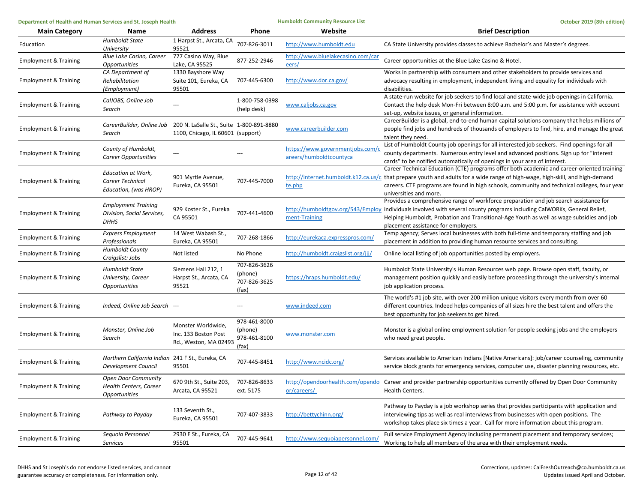| Department of Health and Human Services and St. Joseph Health |                                                                         |                                                                               |                                                  | <b>Humboldt Community Resource List</b>                     | October 2019 (8th edition)                                                                                                                                                                                                                                                                                                                            |
|---------------------------------------------------------------|-------------------------------------------------------------------------|-------------------------------------------------------------------------------|--------------------------------------------------|-------------------------------------------------------------|-------------------------------------------------------------------------------------------------------------------------------------------------------------------------------------------------------------------------------------------------------------------------------------------------------------------------------------------------------|
| <b>Main Category</b>                                          | Name                                                                    | <b>Address</b>                                                                | Phone                                            | Website                                                     | <b>Brief Description</b>                                                                                                                                                                                                                                                                                                                              |
| Education                                                     | <b>Humboldt State</b><br>University                                     | 1 Harpst St., Arcata, CA<br>95521                                             | 707-826-3011                                     | http://www.humboldt.edu                                     | CA State University provides classes to achieve Bachelor's and Master's degrees.                                                                                                                                                                                                                                                                      |
| <b>Employment &amp; Training</b>                              | <b>Blue Lake Casino, Career</b><br><i><b>Opportunities</b></i>          | 777 Casino Way, Blue<br>Lake, CA 95525                                        | 877-252-2946                                     | http://www.bluelakecasino.com/car<br>eers/                  | Career opportunities at the Blue Lake Casino & Hotel.                                                                                                                                                                                                                                                                                                 |
| <b>Employment &amp; Training</b>                              | CA Department of<br>Rehabilitation<br>(Employment)                      | 1330 Bayshore Way<br>Suite 101, Eureka, CA<br>95501                           | 707-445-6300                                     | http://www.dor.ca.gov/                                      | Works in partnership with consumers and other stakeholders to provide services and<br>advocacy resulting in employment, independent living and equality for individuals with<br>disabilities.                                                                                                                                                         |
| <b>Employment &amp; Training</b>                              | CalJOBS, Online Job<br>Search                                           |                                                                               | 1-800-758-0398<br>(help desk)                    | www.caljobs.ca.gov                                          | A state-run website for job seekers to find local and state-wide job openings in California.<br>Contact the help desk Mon-Fri between 8:00 a.m. and 5:00 p.m. for assistance with account<br>set-up, website issues, or general information.                                                                                                          |
| <b>Employment &amp; Training</b>                              | CareerBuilder, Online Job<br>Search                                     | 200 N. LaSalle St., Suite 1-800-891-8880<br>1100, Chicago, IL 60601 (support) |                                                  | www.careerbuilder.com                                       | CareerBuilder is a global, end-to-end human capital solutions company that helps millions of<br>people find jobs and hundreds of thousands of employers to find, hire, and manage the great<br>talent they need.                                                                                                                                      |
| <b>Employment &amp; Training</b>                              | County of Humboldt,<br>Career Opportunities                             | $---$                                                                         |                                                  | https://www.governmentjobs.com/c<br>areers/humboldtcountyca | List of Humboldt County job openings for all interested job seekers. Find openings for all<br>county departments. Numerous entry level and advanced positions. Sign up for "interest<br>cards" to be notified automatically of openings in your area of interest.                                                                                     |
| <b>Employment &amp; Training</b>                              | <b>Education at Work,</b><br>Career Technical<br>Education, (was HROP)  | 901 Myrtle Avenue,<br>Eureka, CA 95501                                        | 707-445-7000                                     | te.php                                                      | Career Technical Education (CTE) programs offer both academic and career-oriented training<br>http://internet.humboldt.k12.ca.us/c that prepare youth and adults for a wide range of high-wage, high-skill, and high-demand<br>careers. CTE programs are found in high schools, community and technical colleges, four year<br>universities and more. |
| <b>Employment &amp; Training</b>                              | <b>Employment Training</b><br>Division, Social Services,<br>DHHS        | 929 Koster St., Eureka<br>CA 95501                                            | 707-441-4600                                     | ment-Training                                               | Provides a comprehensive range of workforce preparation and job search assistance for<br>http://humboldtgov.org/543/Employ individuals involved with several county programs including CalWORKs, General Relief,<br>Helping Humboldt, Probation and Transitional-Age Youth as well as wage subsidies and job<br>placement assistance for employers.   |
| <b>Employment &amp; Training</b>                              | <b>Express Employment</b><br>Professionals                              | 14 West Wabash St.,<br>Eureka, CA 95501                                       | 707-268-1866                                     | http://eurekaca.expresspros.com/                            | Temp agency; Serves local businesses with both full-time and temporary staffing and job<br>placement in addition to providing human resource services and consulting.                                                                                                                                                                                 |
| <b>Employment &amp; Training</b>                              | <b>Humboldt County</b><br>Craigslist: Jobs                              | Not listed                                                                    | No Phone                                         | http://humboldt.craigslist.org/jjj/                         | Online local listing of job opportunities posted by employers.                                                                                                                                                                                                                                                                                        |
| <b>Employment &amp; Training</b>                              | Humboldt State<br>University, Career<br><i><b>Opportunities</b></i>     | Siemens Hall 212, 1<br>Harpst St., Arcata, CA<br>95521                        | 707-826-3626<br>(phone)<br>707-826-3625<br>(fax) | https://hraps.humboldt.edu/                                 | Humboldt State University's Human Resources web page. Browse open staff, faculty, or<br>management position quickly and easily before proceeding through the university's internal<br>job application process.                                                                                                                                        |
| <b>Employment &amp; Training</b>                              | Indeed, Online Job Search ---                                           |                                                                               |                                                  | www.indeed.com                                              | The world's #1 job site, with over 200 million unique visitors every month from over 60<br>different countries. Indeed helps companies of all sizes hire the best talent and offers the<br>best opportunity for job seekers to get hired.                                                                                                             |
| <b>Employment &amp; Training</b>                              | Monster, Online Job<br>Search                                           | Monster Worldwide,<br>Inc. 133 Boston Post<br>Rd., Weston, MA 02493           | 978-461-8000<br>(phone)<br>978-461-8100<br>(fax) | www.monster.com                                             | Monster is a global online employment solution for people seeking jobs and the employers<br>who need great people.                                                                                                                                                                                                                                    |
| <b>Employment &amp; Training</b>                              | Northern California Indian 241 F St., Eureka, CA<br>Development Council | 95501                                                                         | 707-445-8451                                     | http://www.ncidc.org/                                       | Services available to American Indians [Native Americans]: job/career counseling, community<br>service block grants for emergency services, computer use, disaster planning resources, etc.                                                                                                                                                           |
| <b>Employment &amp; Training</b>                              | <b>Open Door Community</b><br>Health Centers, Career<br>Opportunities   | 670 9th St., Suite 203,<br>Arcata, CA 95521                                   | 707-826-8633<br>ext. 5175                        | or/careers/                                                 | http://opendoorhealth.com/opendo Career and provider partnership opportunities currently offered by Open Door Community<br>Health Centers.                                                                                                                                                                                                            |
| <b>Employment &amp; Training</b>                              | Pathway to Payday                                                       | 133 Seventh St.,<br>Eureka, CA 95501                                          | 707-407-3833                                     | http://bettychinn.org/                                      | Pathway to Payday is a job workshop series that provides participants with application and<br>interviewing tips as well as real interviews from businesses with open positions. The<br>workshop takes place six times a year. Call for more information about this program.                                                                           |
| <b>Employment &amp; Training</b>                              | Sequoia Personnel<br>Services                                           | 2930 E St., Eureka, CA<br>95501                                               | 707-445-9641                                     | http://www.sequoiapersonnel.com/                            | Full service Employment Agency including permanent placement and temporary services;<br>Working to help all members of the area with their employment needs.                                                                                                                                                                                          |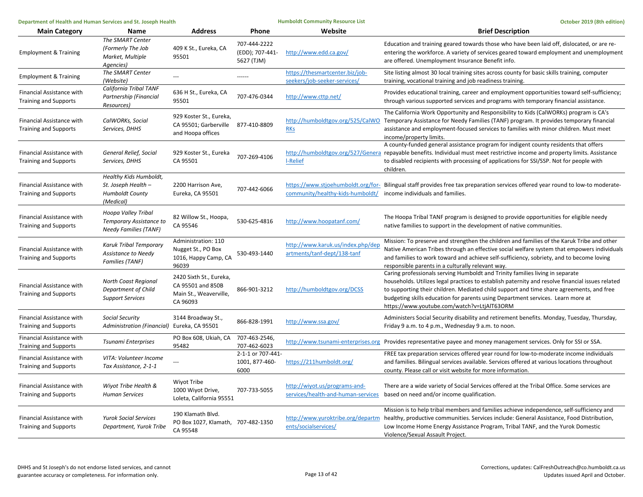| Department of Health and Human Services and St. Joseph Health |                                                                                      |                                                                                    | <b>Humboldt Community Resource List</b>       | October 2019 (8th edition)                                       |                                                                                                                                                                                                                                                                                                                                                                                                                 |
|---------------------------------------------------------------|--------------------------------------------------------------------------------------|------------------------------------------------------------------------------------|-----------------------------------------------|------------------------------------------------------------------|-----------------------------------------------------------------------------------------------------------------------------------------------------------------------------------------------------------------------------------------------------------------------------------------------------------------------------------------------------------------------------------------------------------------|
| <b>Main Category</b>                                          | Name                                                                                 | <b>Address</b>                                                                     | <b>Phone</b>                                  | Website                                                          | <b>Brief Description</b>                                                                                                                                                                                                                                                                                                                                                                                        |
| <b>Employment &amp; Training</b>                              | The SMART Center<br>(Formerly The Job<br>Market, Multiple<br>Agencies)               | 409 K St., Eureka, CA<br>95501                                                     | 707-444-2222<br>(EDD); 707-441-<br>5627 (TJM) | http://www.edd.ca.gov/                                           | Education and training geared towards those who have been laid off, dislocated, or are re-<br>entering the workforce. A variety of services geared toward employment and unemployment<br>are offered. Unemployment Insurance Benefit info.                                                                                                                                                                      |
| <b>Employment &amp; Training</b>                              | The SMART Center<br>(Website)                                                        | $\sim$                                                                             | ------                                        | https://thesmartcenter.biz/job-<br>seekers/iob-seeker-services/  | Site listing almost 30 local training sites across county for basic skills training, computer<br>training, vocational training and job readiness training.                                                                                                                                                                                                                                                      |
| Financial Assistance with<br><b>Training and Supports</b>     | California Tribal TANF<br>Partnership (Financial<br>Resources)                       | 636 H St., Eureka, CA<br>95501                                                     | 707-476-0344                                  | http://www.cttp.net/                                             | Provides educational training, career and employment opportunities toward self-sufficiency;<br>through various supported services and programs with temporary financial assistance.                                                                                                                                                                                                                             |
| Financial Assistance with<br><b>Training and Supports</b>     | CalWORKs, Social<br>Services, DHHS                                                   | 929 Koster St., Eureka,<br>CA 95501; Garberville 877-410-8809<br>and Hoopa offices |                                               | http://humboldtgov.org/525/CalWO<br><b>RKs</b>                   | The California Work Opportunity and Responsibility to Kids (CalWORKs) program is CA's<br>Temporary Assistance for Needy Families (TANF) program. It provides temporary financial<br>assistance and employment-focused services to families with minor children. Must meet<br>income/property limits.                                                                                                            |
| Financial Assistance with<br><b>Training and Supports</b>     | General Relief, Social<br>Services, DHHS                                             | 929 Koster St., Eureka<br>CA 95501                                                 | 707-269-4106                                  | I-Relief                                                         | A county-funded general assistance program for indigent county residents that offers<br>http://humboldtgov.org/527/Genera repayable benefits. Individual must meet restrictive income and property limits. Assistance<br>to disabled recipients with processing of applications for SSI/SSP. Not for people with<br>children.                                                                                   |
| Financial Assistance with<br><b>Training and Supports</b>     | Healthy Kids Humboldt,<br>St. Joseph Health -<br><b>Humboldt County</b><br>(Medical) | 2200 Harrison Ave,<br>Eureka, CA 95501                                             | 707-442-6066                                  | community/healthy-kids-humboldt/                                 | https://www.stjoehumboldt.org/for-Bilingual staff provides free tax preparation services offered year round to low-to moderate-<br>income individuals and families.                                                                                                                                                                                                                                             |
| Financial Assistance with<br><b>Training and Supports</b>     | Hoopa Valley Tribal<br>Temporary Assistance to<br><b>Needy Families (TANF)</b>       | 82 Willow St., Hoopa,<br>CA 95546                                                  | 530-625-4816                                  | http://www.hoopatanf.com/                                        | The Hoopa Tribal TANF program is designed to provide opportunities for eligible needy<br>native families to support in the development of native communities.                                                                                                                                                                                                                                                   |
| Financial Assistance with<br><b>Training and Supports</b>     | Karuk Tribal Temporary<br>Assistance to Needy<br><b>Families (TANF)</b>              | Administration: 110<br>Nugget St., PO Box<br>1016, Happy Camp, CA<br>96039         | 530-493-1440                                  | http://www.karuk.us/index.php/dep<br>artments/tanf-dept/138-tanf | Mission: To preserve and strengthen the children and families of the Karuk Tribe and other<br>Native American Tribes through an effective social welfare system that empowers individuals<br>and families to work toward and achieve self-sufficiency, sobriety, and to become loving<br>responsible parents in a culturally relevant way.                                                                      |
| Financial Assistance with<br><b>Training and Supports</b>     | North Coast Regional<br><b>Department of Child</b><br><b>Support Services</b>        | 2420 Sixth St., Eureka,<br>CA 95501 and 850B<br>Main St., Weaverville,<br>CA 96093 | 866-901-3212                                  | http://humboldtgov.org/DCSS                                      | Caring professionals serving Humboldt and Trinity families living in separate<br>households. Utilizes legal practices to establish paternity and resolve financial issues related<br>to supporting their children. Mediated child support and time share agreements, and free<br>budgeting skills education for parents using Department services. Learn more at<br>https://www.youtube.com/watch?v=LtjAlT63ORM |
| Financial Assistance with<br><b>Training and Supports</b>     | Social Security<br>Administration (Financial) Eureka, CA 95501                       | 3144 Broadway St.,                                                                 | 866-828-1991                                  | http://www.ssa.gov/                                              | Administers Social Security disability and retirement benefits. Monday, Tuesday, Thursday,<br>Friday 9 a.m. to 4 p.m., Wednesday 9 a.m. to noon.                                                                                                                                                                                                                                                                |
| Financial Assistance with<br><b>Training and Supports</b>     | Tsunami Enterprises                                                                  | PO Box 608, Ukiah, CA<br>95482                                                     | 707-463-2546,<br>707-462-6023                 |                                                                  | http://www.tsunami-enterprises.org Provides representative payee and money management services. Only for SSI or SSA.                                                                                                                                                                                                                                                                                            |
| Financial Assistance with<br><b>Training and Supports</b>     | VITA: Volunteer Income<br>Tax Assistance, 2-1-1                                      | $\overline{a}$                                                                     | 2-1-1 or 707-441-<br>1001, 877-460-<br>6000   | https://211humboldt.org/                                         | FREE tax preparation services offered year round for low-to-moderate income individuals<br>and families. Bilingual services available. Services offered at various locations throughout<br>county. Please call or visit website for more information.                                                                                                                                                           |
| Financial Assistance with<br><b>Training and Supports</b>     | Wiyot Tribe Health &<br><b>Human Services</b>                                        | Wiyot Tribe<br>1000 Wiyot Drive,<br>Loleta, California 95551                       | 707-733-5055                                  | http://wiyot.us/programs-and-                                    | There are a wide variety of Social Services offered at the Tribal Office. Some services are<br>services/health-and-human-services based on need and/or income qualification.                                                                                                                                                                                                                                    |
| Financial Assistance with<br><b>Training and Supports</b>     | <b>Yurok Social Services</b><br>Department, Yurok Tribe                              | 190 Klamath Blvd.<br>PO Box 1027, Klamath, 707-482-1350<br>CA 95548                |                                               | ents/socialservices/                                             | Mission is to help tribal members and families achieve independence, self-sufficiency and<br>http://www.yuroktribe.org/departm healthy, productive communities. Services include: General Assistance, Food Distribution,<br>Low Income Home Energy Assistance Program, Tribal TANF, and the Yurok Domestic<br>Violence/Sexual Assault Project.                                                                  |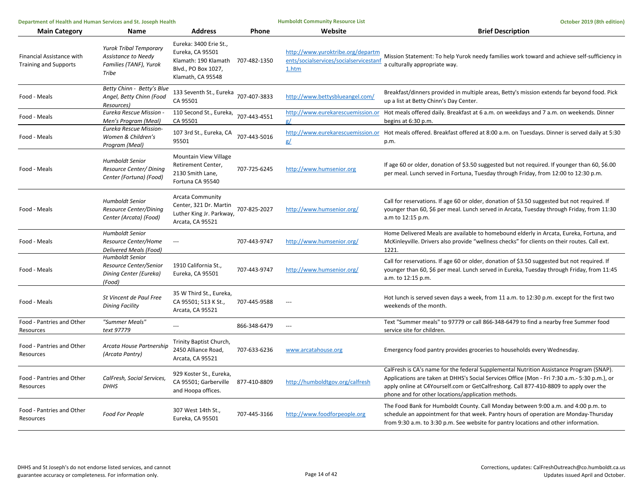| Department of Health and Human Services and St. Joseph Health |                                                                                         |                                                                                                                | <b>Humboldt Community Resource List</b> | October 2019 (8th edition)                                                           |                                                                                                                                                                                                                                                                                                                                        |
|---------------------------------------------------------------|-----------------------------------------------------------------------------------------|----------------------------------------------------------------------------------------------------------------|-----------------------------------------|--------------------------------------------------------------------------------------|----------------------------------------------------------------------------------------------------------------------------------------------------------------------------------------------------------------------------------------------------------------------------------------------------------------------------------------|
| <b>Main Category</b>                                          | Name                                                                                    | <b>Address</b>                                                                                                 | Phone                                   | Website                                                                              | <b>Brief Description</b>                                                                                                                                                                                                                                                                                                               |
| Financial Assistance with<br><b>Training and Supports</b>     | <b>Yurok Tribal Temporary</b><br>Assistance to Needy<br>Families (TANF), Yurok<br>Tribe | Eureka: 3400 Erie St.,<br>Eureka, CA 95501<br>Klamath: 190 Klamath<br>Blvd., PO Box 1027,<br>Klamath, CA 95548 | 707-482-1350                            | http://www.yuroktribe.org/departm<br>ents/socialservices/socialservicestanf<br>1.htm | Mission Statement: To help Yurok needy families work toward and achieve self-sufficiency in<br>a culturally appropriate way.                                                                                                                                                                                                           |
| Food - Meals                                                  | Betty Chinn - Betty's Blue<br>Angel, Betty Chinn (Food<br>Resources)                    | 133 Seventh St., Eureka<br>CA 95501                                                                            | 707-407-3833                            | http://www.bettysblueangel.com/                                                      | Breakfast/dinners provided in multiple areas, Betty's mission extends far beyond food. Pick<br>up a list at Betty Chinn's Day Center.                                                                                                                                                                                                  |
| Food - Meals                                                  | <b>Eureka Rescue Mission</b><br>Men's Program (Meal)                                    | 110 Second St., Eureka,<br>CA 95501                                                                            | 707-443-4551                            | http://www.eurekarescuemission.or<br>ø/                                              | Hot meals offered daily. Breakfast at 6 a.m. on weekdays and 7 a.m. on weekends. Dinner<br>begins at 6:30 p.m.                                                                                                                                                                                                                         |
| Food - Meals                                                  | Eureka Rescue Mission-<br>Women & Children's<br>Program (Meal)                          | 107 3rd St., Eureka, CA<br>95501                                                                               | 707-443-5016                            | g/                                                                                   | http://www.eurekarescuemission.or Hot meals offered. Breakfast offered at 8:00 a.m. on Tuesdays. Dinner is served daily at 5:30<br>p.m.                                                                                                                                                                                                |
| Food - Meals                                                  | <b>Humboldt Senior</b><br>Resource Center/ Dining<br>Center (Fortuna) (Food)            | <b>Mountain View Village</b><br>Retirement Center,<br>2130 Smith Lane,<br>Fortuna CA 95540                     | 707-725-6245                            | http://www.humsenior.org                                                             | If age 60 or older, donation of \$3.50 suggested but not required. If younger than 60, \$6.00<br>per meal. Lunch served in Fortuna, Tuesday through Friday, from 12:00 to 12:30 p.m.                                                                                                                                                   |
| Food - Meals                                                  | <b>Humboldt Senior</b><br>Resource Center/Dining<br>Center (Arcata) (Food)              | <b>Arcata Community</b><br>Center, 321 Dr. Martin<br>Luther King Jr. Parkway,<br>Arcata, CA 95521              | 707-825-2027                            | http://www.humsenior.org/                                                            | Call for reservations. If age 60 or older, donation of \$3.50 suggested but not required. If<br>younger than 60, \$6 per meal. Lunch served in Arcata, Tuesday through Friday, from 11:30<br>a.m to 12:15 p.m.                                                                                                                         |
| Food - Meals                                                  | <b>Humboldt Senior</b><br>Resource Center/Home<br>Delivered Meals (Food)                | $\overline{\phantom{a}}$                                                                                       | 707-443-9747                            | http://www.humsenior.org/                                                            | Home Delivered Meals are available to homebound elderly in Arcata, Eureka, Fortuna, and<br>McKinleyville. Drivers also provide "wellness checks" for clients on their routes. Call ext.<br>1221.                                                                                                                                       |
| Food - Meals                                                  | <b>Humboldt Senior</b><br>Resource Center/Senior<br>Dining Center (Eureka)<br>(Food)    | 1910 California St.,<br>Eureka, CA 95501                                                                       | 707-443-9747                            | http://www.humsenior.org/                                                            | Call for reservations. If age 60 or older, donation of \$3.50 suggested but not required. If<br>younger than 60, \$6 per meal. Lunch served in Eureka, Tuesday through Friday, from 11:45<br>a.m. to 12:15 p.m.                                                                                                                        |
| Food - Meals                                                  | St Vincent de Paul Free<br><b>Dining Facility</b>                                       | 35 W Third St., Eureka,<br>CA 95501; 513 K St.,<br>Arcata, CA 95521                                            | 707-445-9588                            | $\scriptstyle \cdots$                                                                | Hot lunch is served seven days a week, from 11 a.m. to 12:30 p.m. except for the first two<br>weekends of the month.                                                                                                                                                                                                                   |
| Food - Pantries and Other<br>Resources                        | "Summer Meals"<br>text 97779                                                            | $\sim$                                                                                                         | 866-348-6479                            | $\overline{a}$                                                                       | Text "Summer meals" to 97779 or call 866-348-6479 to find a nearby free Summer food<br>service site for children.                                                                                                                                                                                                                      |
| Food - Pantries and Other<br>Resources                        | Arcata House Partnership<br>(Arcata Pantry)                                             | Trinity Baptist Church,<br>2450 Alliance Road,<br>Arcata, CA 95521                                             | 707-633-6236                            | www.arcatahouse.org                                                                  | Emergency food pantry provides groceries to households every Wednesday.                                                                                                                                                                                                                                                                |
| Food - Pantries and Other<br>Resources                        | CalFresh, Social Services,<br><b>DHHS</b>                                               | 929 Koster St., Eureka,<br>CA 95501; Garberville<br>and Hoopa offices.                                         | 877-410-8809                            | http://humboldtgov.org/calfresh                                                      | CalFresh is CA's name for the federal Supplemental Nutrition Assistance Program (SNAP).<br>Applications are taken at DHHS's Social Services Office (Mon - Fri 7:30 a.m.- 5:30 p.m.), or<br>apply online at C4Yourself.com or GetCalfreshorg. Call 877-410-8809 to apply over the<br>phone and for other locations/application methods. |
| Food - Pantries and Other<br>Resources                        | Food For People                                                                         | 307 West 14th St.,<br>Eureka, CA 95501                                                                         | 707-445-3166                            | http://www.foodforpeople.org                                                         | The Food Bank for Humboldt County. Call Monday between 9:00 a.m. and 4:00 p.m. to<br>schedule an appointment for that week. Pantry hours of operation are Monday-Thursday<br>from 9:30 a.m. to 3:30 p.m. See website for pantry locations and other information.                                                                       |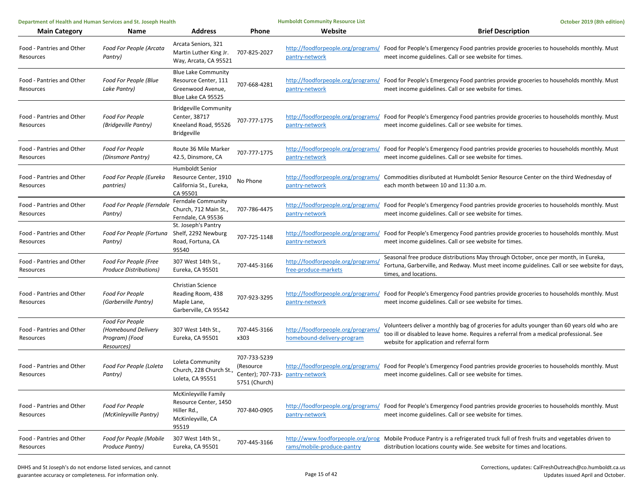|                                            |                                                                  | October 2019 (8th edition)                                                                                                                                                                                                         |  |
|--------------------------------------------|------------------------------------------------------------------|------------------------------------------------------------------------------------------------------------------------------------------------------------------------------------------------------------------------------------|--|
|                                            | Website                                                          | <b>Brief Description</b>                                                                                                                                                                                                           |  |
| 707-825-2027                               | pantry-network                                                   | http://foodforpeople.org/programs/ Food for People's Emergency Food pantries provide groceries to households monthly. Must<br>meet income guidelines. Call or see website for times.                                               |  |
| 707-668-4281                               | pantry-network                                                   | http://foodforpeople.org/programs/ Food for People's Emergency Food pantries provide groceries to households monthly. Must<br>meet income guidelines. Call or see website for times.                                               |  |
| 707-777-1775                               | pantry-network                                                   | http://foodforpeople.org/programs/ Food for People's Emergency Food pantries provide groceries to households monthly. Must<br>meet income guidelines. Call or see website for times.                                               |  |
| 707-777-1775                               | pantry-network                                                   | http://foodforpeople.org/programs/ Food for People's Emergency Food pantries provide groceries to households monthly. Must<br>meet income guidelines. Call or see website for times.                                               |  |
| No Phone                                   | pantry-network                                                   | http://foodforpeople.org/programs/ Commodities disributed at Humboldt Senior Resource Center on the third Wednesday of<br>each month between 10 and 11:30 a.m.                                                                     |  |
| 707-786-4475                               | pantry-network                                                   | http://foodforpeople.org/programs/ Food for People's Emergency Food pantries provide groceries to households monthly. Must<br>meet income guidelines. Call or see website for times.                                               |  |
| 707-725-1148                               | pantry-network                                                   | http://foodforpeople.org/programs/ Food for People's Emergency Food pantries provide groceries to households monthly. Must<br>meet income guidelines. Call or see website for times.                                               |  |
| 707-445-3166                               | http://foodforpeople.org/programs/<br>free-produce-markets       | Seasonal free produce distributions May through October, once per month, in Eureka,<br>Fortuna, Garberville, and Redway. Must meet income guidelines. Call or see website for days,<br>times, and locations.                       |  |
| 707-923-3295                               | pantry-network                                                   | http://foodforpeople.org/programs/ Food for People's Emergency Food pantries provide groceries to households monthly. Must<br>meet income guidelines. Call or see website for times.                                               |  |
| 707-445-3166<br>x303                       | http://foodforpeople.org/programs/<br>homebound-delivery-program | Volunteers deliver a monthly bag of groceries for adults younger than 60 years old who are<br>too ill or disabled to leave home. Requires a referral from a medical professional. See<br>website for application and referral form |  |
| 707-733-5239<br>(Resource<br>5751 (Church) |                                                                  | http://foodforpeople.org/programs/ Food for People's Emergency Food pantries provide groceries to households monthly. Must<br>meet income guidelines. Call or see website for times.                                               |  |
| 707-840-0905                               | pantry-network                                                   | http://foodforpeople.org/programs/ Food for People's Emergency Food pantries provide groceries to households monthly. Must<br>meet income guidelines. Call or see website for times.                                               |  |
| 707-445-3166                               | rams/mobile-produce-pantry                                       | http://www.foodforpeople.org/prog Mobile Produce Pantry is a refrigerated truck full of fresh fruits and vegetables driven to<br>distribution locations county wide. See website for times and locations.                          |  |
|                                            | Phone                                                            | Center); 707-733- pantry-network                                                                                                                                                                                                   |  |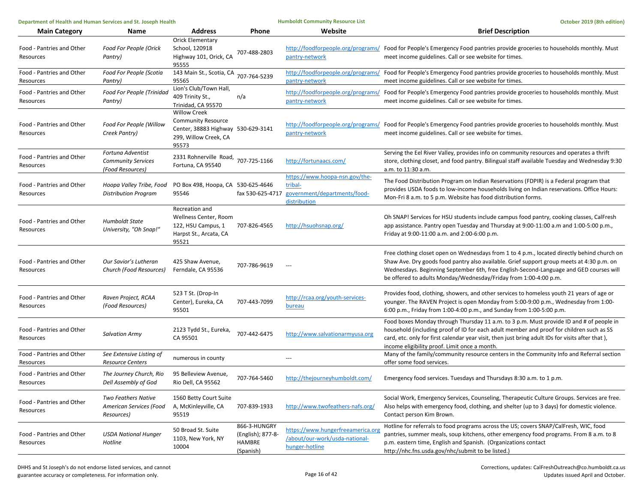| Department of Health and Human Services and St. Joseph Health |                                                                     |                                                                                                                          | <b>Humboldt Community Resource List</b>                  | October 2019 (8th edition)                                                                |                                                                                                                                                                                                                                                                                                                                                        |
|---------------------------------------------------------------|---------------------------------------------------------------------|--------------------------------------------------------------------------------------------------------------------------|----------------------------------------------------------|-------------------------------------------------------------------------------------------|--------------------------------------------------------------------------------------------------------------------------------------------------------------------------------------------------------------------------------------------------------------------------------------------------------------------------------------------------------|
| <b>Main Category</b>                                          | Name                                                                | <b>Address</b>                                                                                                           | Phone                                                    | Website                                                                                   | <b>Brief Description</b>                                                                                                                                                                                                                                                                                                                               |
| Food - Pantries and Other<br>Resources                        | Food For People (Orick<br>Pantry)                                   | <b>Orick Elementary</b><br>School, 120918<br>Highway 101, Orick, CA<br>95555                                             | 707-488-2803                                             | pantry-network                                                                            | http://foodforpeople.org/programs/ Food for People's Emergency Food pantries provide groceries to households monthly. Must<br>meet income guidelines. Call or see website for times.                                                                                                                                                                   |
| Food - Pantries and Other<br>Resources                        | Food For People (Scotia<br>Pantry)                                  | 143 Main St., Scotia, CA<br>95565                                                                                        | 707-764-5239                                             | pantry-network                                                                            | http://foodforpeople.org/programs/ Food for People's Emergency Food pantries provide groceries to households monthly. Must<br>meet income guidelines. Call or see website for times.                                                                                                                                                                   |
| Food - Pantries and Other<br>Resources                        | Food For People (Trinidad<br>Pantry)                                | Lion's Club/Town Hall,<br>409 Trinity St.,<br>Trinidad, CA 95570                                                         | n/a                                                      | pantry-network                                                                            | http://foodforpeople.org/programs/ Food for People's Emergency Food pantries provide groceries to households monthly. Must<br>meet income guidelines. Call or see website for times.                                                                                                                                                                   |
| Food - Pantries and Other<br>Resources                        | Food For People (Willow<br>Creek Pantry)                            | <b>Willow Creek</b><br><b>Community Resource</b><br>Center, 38883 Highway 530-629-3141<br>299, Willow Creek, CA<br>95573 |                                                          | pantry-network                                                                            | http://foodforpeople.org/programs/ Food for People's Emergency Food pantries provide groceries to households monthly. Must<br>meet income guidelines. Call or see website for times.                                                                                                                                                                   |
| Food - Pantries and Other<br>Resources                        | Fortuna Adventist<br><b>Community Services</b><br>(Food Resources)  | 2331 Rohnerville Road, 707-725-1166<br>Fortuna, CA 95540                                                                 |                                                          | http://fortunaacs.com/                                                                    | Serving the Eel River Valley, provides info on community resources and operates a thrift<br>store, clothing closet, and food pantry. Bilingual staff available Tuesday and Wednesday 9:30<br>a.m. to 11:30 a.m.                                                                                                                                        |
| Food - Pantries and Other<br>Resources                        | Hoopa Valley Tribe, Food<br><b>Distribution Program</b>             | PO Box 498, Hoopa, CA 530-625-4646<br>95546                                                                              | fax 530-625-4717                                         | https://www.hoopa-nsn.gov/the-<br>tribal-<br>government/departments/food-<br>distribution | The Food Distribution Program on Indian Reservations (FDPIR) is a Federal program that<br>provides USDA foods to low-income households living on Indian reservations. Office Hours:<br>Mon-Fri 8 a.m. to 5 p.m. Website has food distribution forms.                                                                                                   |
| Food - Pantries and Other<br>Resources                        | <b>Humboldt State</b><br>University, "Oh Snap!"                     | Recreation and<br>Wellness Center, Room<br>122, HSU Campus, 1<br>Harpst St., Arcata, CA<br>95521                         | 707-826-4565                                             | http://hsuohsnap.org/                                                                     | Oh SNAP! Services for HSU students include campus food pantry, cooking classes, CalFresh<br>app assistance. Pantry open Tuesday and Thursday at 9:00-11:00 a.m and 1:00-5:00 p.m.,<br>Friday at 9:00-11:00 a.m. and 2:00-6:00 p.m.                                                                                                                     |
| Food - Pantries and Other<br>Resources                        | Our Savior's Lutheran<br>Church (Food Resources)                    | 425 Shaw Avenue,<br>Ferndale, CA 95536                                                                                   | 707-786-9619                                             | $\overline{a}$                                                                            | Free clothing closet open on Wednesdays from 1 to 4 p.m., located directly behind church on<br>Shaw Ave. Dry goods food pantry also available. Grief support group meets at 4:30 p.m. on<br>Wednesdays. Beginning September 6th, free English-Second-Language and GED courses will<br>be offered to adults Monday/Wednesday/Friday from 1:00-4:00 p.m. |
| Food - Pantries and Other<br>Resources                        | Raven Project, RCAA<br>(Food Resources)                             | 523 T St. (Drop-In<br>Center), Eureka, CA<br>95501                                                                       | 707-443-7099                                             | http://rcaa.org/youth-services-<br>bureau                                                 | Provides food, clothing, showers, and other services to homeless youth 21 years of age or<br>younger. The RAVEN Project is open Monday from 5:00-9:00 p.m., Wednesday from 1:00-<br>6:00 p.m., Friday from 1:00-4:00 p.m., and Sunday from 1:00-5:00 p.m.                                                                                              |
| Food - Pantries and Other<br>Resources                        | <b>Salvation Army</b>                                               | 2123 Tydd St., Eureka,<br>CA 95501                                                                                       | 707-442-6475                                             | http://www.salvationarmyusa.org                                                           | Food boxes Monday through Thursday 11 a.m. to 3 p.m. Must provide ID and # of people in<br>household (including proof of ID for each adult member and proof for children such as SS<br>card, etc. only for first calendar year visit, then just bring adult IDs for visits after that),<br>income eligibility proof. Limit once a month.               |
| Food - Pantries and Other<br>Resources                        | See Extensive Listing of<br><b>Resource Centers</b>                 | numerous in county                                                                                                       |                                                          | $---$                                                                                     | Many of the family/community resource centers in the Community Info and Referral section<br>offer some food services.                                                                                                                                                                                                                                  |
| Food - Pantries and Other<br>Resources                        | The Journey Church, Rio<br>Dell Assembly of God                     | 95 Belleview Avenue,<br>Rio Dell, CA 95562                                                                               | 707-764-5460                                             | http://thejourneyhumboldt.com/                                                            | Emergency food services. Tuesdays and Thursdays 8:30 a.m. to 1 p.m.                                                                                                                                                                                                                                                                                    |
| Food - Pantries and Other<br>Resources                        | <b>Two Feathers Native</b><br>American Services (Food<br>Resources) | 1560 Betty Court Suite<br>A, McKinleyville, CA<br>95519                                                                  | 707-839-1933                                             | http://www.twofeathers-nafs.org/                                                          | Social Work, Emergency Services, Counseling, Therapeutic Culture Groups. Services are free.<br>Also helps with emergency food, clothing, and shelter (up to 3 days) for domestic violence.<br>Contact person Kim Brown.                                                                                                                                |
| Food - Pantries and Other<br>Resources                        | <b>USDA National Hunger</b><br>Hotline                              | 50 Broad St. Suite<br>1103, New York, NY<br>10004                                                                        | 866-3-HUNGRY<br>(English); 877-8-<br>HAMBRE<br>(Spanish) | https://www.hungerfreeamerica.org<br>/about/our-work/usda-national-<br>hunger-hotline     | Hotline for referrals to food programs across the US; covers SNAP/CalFresh, WIC, food<br>pantries, summer meals, soup kitchens, other emergency food programs. From 8 a.m. to 8<br>p.m. eastern time, English and Spanish. (Organizations contact<br>http://nhc.fns.usda.gov/nhc/submit to be listed.)                                                 |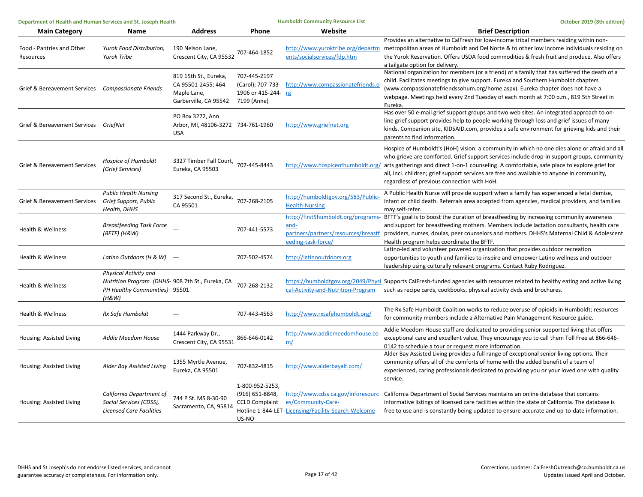| Department of Health and Human Services and St. Joseph Health |                                                                                                                            |                                                                                                 |                                                                      | <b>Humboldt Community Resource List</b>                                   | October 2019 (8th edition)                                                                                                                                                                                                                                                                                                                                                                                                                                                |
|---------------------------------------------------------------|----------------------------------------------------------------------------------------------------------------------------|-------------------------------------------------------------------------------------------------|----------------------------------------------------------------------|---------------------------------------------------------------------------|---------------------------------------------------------------------------------------------------------------------------------------------------------------------------------------------------------------------------------------------------------------------------------------------------------------------------------------------------------------------------------------------------------------------------------------------------------------------------|
| <b>Main Category</b>                                          | Name                                                                                                                       | <b>Address</b>                                                                                  | Phone                                                                | Website                                                                   | <b>Brief Description</b>                                                                                                                                                                                                                                                                                                                                                                                                                                                  |
| Food - Pantries and Other<br>Resources                        | Yurok Food Distribution,<br><b>Yurok Tribe</b>                                                                             | 190 Nelson Lane,<br>Crescent City, CA 95532                                                     | 707-464-1852                                                         | ents/socialservices/fdp.htm                                               | Provides an alternative to CalFresh for low-income tribal members residing within non-<br>http://www.yuroktribe.org/departm metropolitan areas of Humboldt and Del Norte & to other low income individuals residing on<br>the Yurok Reservation. Offers USDA food commodities & fresh fruit and produce. Also offers<br>a tailgate option for delivery.                                                                                                                   |
| Grief & Bereavement Services Compassionate Friends            |                                                                                                                            | 819 15th St., Eureka,<br>CA 95501-2455; 464<br>Maple Lane,<br>Garberville, CA 95542 7199 (Anne) | 707-445-2197<br>(Carol); 707-733-<br>1906 or 415-244- rg             | http://www.compassionatefriends.c                                         | National organization for members (or a friend) of a family that has suffered the death of a<br>child. Facilitates meetings to give support. Eureka and Southern Humboldt chapters<br>(www.compassionatefriendssohum.org/home.aspx). Eureka chapter does not have a<br>webpage. Meetings held every 2nd Tuesday of each month at 7:00 p.m., 819 5th Street in<br>Eureka.                                                                                                  |
| Grief & Bereavement Services GriefNet                         |                                                                                                                            | PO Box 3272, Ann<br>Arbor, MI, 48106-3272 734-761-1960<br><b>USA</b>                            |                                                                      | http://www.griefnet.org                                                   | Has over 50 e-mail grief support groups and two web sites. An integrated approach to on-<br>line grief support provides help to people working through loss and grief issues of many<br>kinds. Companion site, KIDSAID.com, provides a safe environment for grieving kids and their<br>parents to find information.                                                                                                                                                       |
| Grief & Bereavement Services                                  | Hospice of Humboldt<br>(Grief Services)                                                                                    | 3327 Timber Fall Court, 707-445-8443<br>Eureka, CA 95503                                        |                                                                      |                                                                           | Hospice of Humboldt's (HoH) vision: a community in which no one dies alone or afraid and all<br>who grieve are comforted. Grief support services include drop-in support groups, community<br>http://www.hospiceofhumboldt.org/ arts gatherings and direct 1-on-1 counseling. A comfortable, safe place to explore grief for<br>all, incl. children; grief support services are free and available to anyone in community,<br>regardless of previous connection with HoH. |
| Grief & Bereavement Services                                  | <b>Public Health Nursing</b><br>Grief Support, Public<br>Health, DHHS                                                      | 317 Second St., Eureka, 707-268-2105<br>CA 95501                                                |                                                                      | http://humboldtgov.org/583/Public-<br><b>Health-Nursing</b>               | A Public Health Nurse will provide support when a family has experienced a fetal demise,<br>infant or child death. Referrals area accepted from agencies, medical providers, and families<br>may self-refer.                                                                                                                                                                                                                                                              |
| Health & Wellness                                             | <b>Breastfeeding Task Force</b><br>$(BFTF)$ (H&W)                                                                          |                                                                                                 | 707-441-5573                                                         | and-<br>partners/partners/resources/breastf<br>eeding-task-force/         | http://first5humboldt.org/programs- BFTF's goal is to boost the duration of breastfeeding by increasing community awareness<br>and support for breastfeeding mothers. Members include lactation consultants, health care<br>providers, nurses, doulas, peer counselors and mothers. DHHS's Maternal Child & Adolescent<br>Health program helps coordinate the BFTF.                                                                                                       |
| Health & Wellness                                             | Latino Outdoors (H & W) ---                                                                                                |                                                                                                 | 707-502-4574                                                         | http://latinooutdoors.org                                                 | Latino-led and volunteer powered organization that provides outdoor recreation<br>opportunities to youth and families to inspire and empower Latino wellness and outdoor<br>leadership using culturally relevant programs. Contact Ruby Rodriguez.                                                                                                                                                                                                                        |
| <b>Health &amp; Wellness</b>                                  | <b>Physical Activity and</b><br>Nutrition Program (DHHS- 908 7th St., Eureka, CA<br>PH Healthy Communities) 95501<br>(H&W) |                                                                                                 | 707-268-2132                                                         | cal-Activity-and-Nutrition-Program                                        | https://humboldtgov.org/2049/Physi Supports CalFresh-funded agencies with resources related to healthy eating and active living<br>such as recipe cards, cookbooks, physical activity dvds and brochures.                                                                                                                                                                                                                                                                 |
| <b>Health &amp; Wellness</b>                                  | Rx Safe Humboldt                                                                                                           |                                                                                                 | 707-443-4563                                                         | http://www.rxsafehumboldt.org/                                            | The Rx Safe Humboldt Coalition works to reduce overuse of opioids in Humboldt; resources<br>for community members include a Alternative Pain Management Resource guide.                                                                                                                                                                                                                                                                                                   |
| Housing: Assisted Living                                      | Addie Meedom House                                                                                                         | 1444 Parkway Dr.,<br>Crescent City, CA 95531                                                    | 866-646-0142                                                         | http://www.addiemeedomhouse.co<br>m/                                      | Addie Meedom House staff are dedicated to providing senior supported living that offers<br>exceptional care and excellent value. They encourage you to call them Toll Free at 866-646-<br>0142 to schedule a tour or request more information.                                                                                                                                                                                                                            |
| Housing: Assisted Living                                      | Alder Bay Assisted Living                                                                                                  | 1355 Myrtle Avenue,<br>Eureka, CA 95501                                                         | 707-832-4815                                                         | http://www.alderbayalf.com/                                               | Alder Bay Assisted Living provides a full range of exceptional senior living options. Their<br>community offers all of the comforts of home with the added benefit of a team of<br>experienced, caring professionals dedicated to providing you or your loved one with quality<br>service.                                                                                                                                                                                |
| Housing: Assisted Living                                      | California Department of<br>Social Services (CDSS),<br><b>Licensed Care Facilities</b>                                     | 744 P St. MS 8-30-90<br>Sacramento, CA, 95814                                                   | 1-800-952-5253,<br>(916) 651-8848,<br><b>CCLD Complaint</b><br>US-NO | es/Community-Care-<br>Hotline 1-844-LET-Licensing/Facility-Search-Welcome | http://www.cdss.ca.gov/inforesourc California Department of Social Services maintains an online database that contains<br>informative listings of licensed care facilities within the state of California. The database is<br>free to use and is constantly being updated to ensure accurate and up-to-date information.                                                                                                                                                  |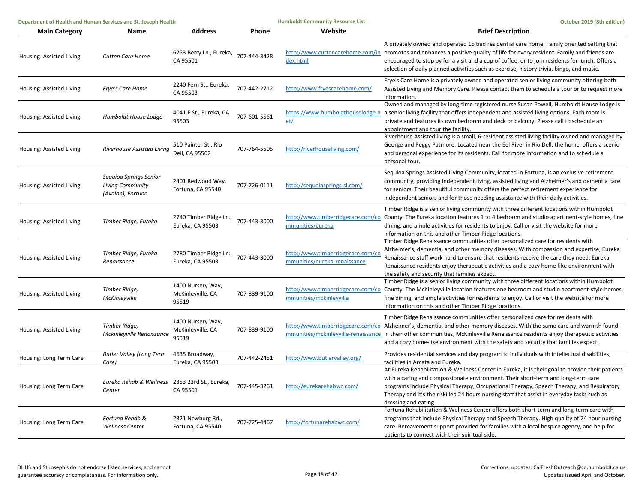| Department of Health and Human Services and St. Joseph Health |                                                                        |                                                 | <b>Humboldt Community Resource List</b> | October 2019 (8th edition)                                        |                                                                                                                                                                                                                                                                                                                                                                                                                                       |
|---------------------------------------------------------------|------------------------------------------------------------------------|-------------------------------------------------|-----------------------------------------|-------------------------------------------------------------------|---------------------------------------------------------------------------------------------------------------------------------------------------------------------------------------------------------------------------------------------------------------------------------------------------------------------------------------------------------------------------------------------------------------------------------------|
| <b>Main Category</b>                                          | <b>Name</b>                                                            | <b>Address</b>                                  | Phone                                   | Website                                                           | <b>Brief Description</b>                                                                                                                                                                                                                                                                                                                                                                                                              |
| Housing: Assisted Living                                      | <b>Cutten Care Home</b>                                                | 6253 Berry Ln., Eureka,<br>CA 95501             | 707-444-3428                            | dex.html                                                          | A privately owned and operated 15 bed residential care home. Family oriented setting that<br>http://www.cuttencarehome.com/in promotes and enhances a positive quality of life for every resident. Family and friends are<br>encouraged to stop by for a visit and a cup of coffee, or to join residents for lunch. Offers a<br>selection of daily planned activities such as exercise, history trivia, bingo, and music.             |
| Housing: Assisted Living                                      | Frye's Care Home                                                       | 2240 Fern St., Eureka,<br>CA 95503              | 707-442-2712                            | http://www.fryescarehome.com/                                     | Frye's Care Home is a privately owned and operated senior living community offering both<br>Assisted Living and Memory Care. Please contact them to schedule a tour or to request more<br>information.                                                                                                                                                                                                                                |
| Housing: Assisted Living                                      | Humboldt House Lodge                                                   | 4041 F St., Eureka, CA<br>95503                 | 707-601-5561                            | https://www.humboldthouselodge.n<br>et/                           | Owned and managed by long-time registered nurse Susan Powell, Humboldt House Lodge is<br>a senior living facility that offers independent and assisted living options. Each room is<br>private and features its own bedroom and deck or balcony. Please call to schedule an<br>appointment and tour the facility.                                                                                                                     |
| Housing: Assisted Living                                      | Riverhouse Assisted Living                                             | 510 Painter St., Rio<br>Dell, CA 95562          | 707-764-5505                            | http://riverhouseliving.com/                                      | Riverhouse Assisted living is a small, 6-resident assisted living facility owned and managed by<br>George and Peggy Patmore. Located near the Eel River in Rio Dell, the home offers a scenic<br>and personal experience for its residents. Call for more information and to schedule a<br>personal tour.                                                                                                                             |
| Housing: Assisted Living                                      | Sequioa Springs Senior<br><b>Living Community</b><br>(Avalon), Fortuna | 2401 Redwood Way,<br>Fortuna, CA 95540          | 707-726-0111                            | http://sequoiasprings-sl.com/                                     | Sequioa Springs Assisted Living Community, located in Fortuna, is an exclusive retirement<br>community, providing independent living, assisted living and Alzheimer's and dementia care<br>for seniors. Their beautiful community offers the perfect retirement experience for<br>independent seniors and for those needing assistance with their daily activities.                                                                   |
| Housing: Assisted Living                                      | Timber Ridge, Eureka                                                   | 2740 Timber Ridge Ln.,<br>Eureka, CA 95503      | 707-443-3000                            | mmunities/eureka                                                  | Timber Ridge is a senior living community with three different locations within Humboldt<br>http://www.timberridgecare.com/co County. The Eureka location features 1 to 4 bedroom and studio apartment-style homes, fine<br>dining, and ample activities for residents to enjoy. Call or visit the website for more<br>information on this and other Timber Ridge locations.                                                          |
| Housing: Assisted Living                                      | Timber Ridge, Eureka<br>Renaissance                                    | 2780 Timber Ridge Ln.,<br>Eureka, CA 95503      | 707-443-3000                            | http://www.timberridgecare.com/co<br>mmunities/eureka-renaissance | Timber Ridge Renaissance communities offer personalized care for residents with<br>Alzheimer's, dementia, and other memory diseases. With compassion and expertise, Eureka<br>Renaissance staff work hard to ensure that residents receive the care they need. Eureka<br>Renaissance residents enjoy therapeutic activities and a cozy home-like environment with<br>the safety and security that families expect.                    |
| Housing: Assisted Living                                      | Timber Ridge,<br>McKinleyville                                         | 1400 Nursery Way,<br>McKinleyville, CA<br>95519 | 707-839-9100                            | mmunities/mckinleyville                                           | Timber Ridge is a senior living community with three different locations within Humboldt<br>http://www.timberridgecare.com/co County. The McKinleyville location features one bedroom and studio apartment-style homes,<br>fine dining, and ample activities for residents to enjoy. Call or visit the website for more<br>information on this and other Timber Ridge locations.                                                      |
| Housing: Assisted Living                                      | Timber Ridge,<br>Mckinleyville Renaissance                             | 1400 Nursery Way,<br>McKinleyville, CA<br>95519 | 707-839-9100                            |                                                                   | Timber Ridge Renaissance communities offer personalized care for residents with<br>http://www.timberridgecare.com/co Alzheimer's, dementia, and other memory diseases. With the same care and warmth found<br>mmunities/mckinleyville-renaissance in their other communities, McKinleyville Renaissance residents enjoy therapeutic activities<br>and a cozy home-like environment with the safety and security that families expect. |
| Housing: Long Term Care                                       | <b>Butler Valley (Long Term</b><br>Care)                               | 4635 Broadway,<br>Eureka, CA 95503              | 707-442-2451                            | http://www.butlervalley.org/                                      | Provides residential services and day program to individuals with intellectual disabilities;<br>facilities in Arcata and Eureka.                                                                                                                                                                                                                                                                                                      |
| Housing: Long Term Care                                       | Eureka Rehab & Wellness 2353 23rd St., Eureka,<br>Center               | CA 95501                                        | 707-445-3261                            | http://eurekarehabwc.com/                                         | At Eureka Rehabilitation & Wellness Center in Eureka, it is their goal to provide their patients<br>with a caring and compassionate environment. Their short-term and long-term care<br>programs include Physical Therapy, Occupational Therapy, Speech Therapy, and Respiratory<br>Therapy and it's their skilled 24 hours nursing staff that assist in everyday tasks such as<br>dressing and eating.                               |
| Housing: Long Term Care                                       | Fortuna Rehab &<br><b>Wellness Center</b>                              | 2321 Newburg Rd.,<br>Fortuna, CA 95540          | 707-725-4467                            | http://fortunarehabwc.com/                                        | Fortuna Rehabilitation & Wellness Center offers both short-term and long-term care with<br>programs that include Physical Therapy and Speech Therapy. High quality of 24 hour nursing<br>care. Bereavement support provided for families with a local hospice agency, and help for<br>patients to connect with their spiritual side.                                                                                                  |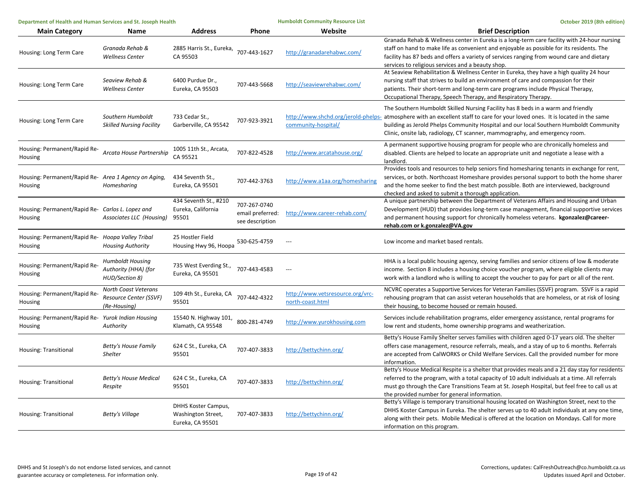| Department of Health and Human Services and St. Joseph Health   |                                                                   |                                                                      |                                                     | <b>Humboldt Community Resource List</b>              | October 2019 (8th edition)                                                                                                                                                                                                                                                                                                                                                                 |  |
|-----------------------------------------------------------------|-------------------------------------------------------------------|----------------------------------------------------------------------|-----------------------------------------------------|------------------------------------------------------|--------------------------------------------------------------------------------------------------------------------------------------------------------------------------------------------------------------------------------------------------------------------------------------------------------------------------------------------------------------------------------------------|--|
| <b>Main Category</b>                                            | Name                                                              | <b>Address</b>                                                       | <b>Phone</b>                                        | Website                                              | <b>Brief Description</b>                                                                                                                                                                                                                                                                                                                                                                   |  |
| Housing: Long Term Care                                         | Granada Rehab &<br><b>Wellness Center</b>                         | 2885 Harris St., Eureka, 707-443-1627<br>CA 95503                    |                                                     | http://granadarehabwc.com/                           | Granada Rehab & Wellness center in Eureka is a long-term care facility with 24-hour nursing<br>staff on hand to make life as convenient and enjoyable as possible for its residents. The<br>facility has 87 beds and offers a variety of services ranging from wound care and dietary<br>services to religious services and a beauty shop.                                                 |  |
| Housing: Long Term Care                                         | Seaview Rehab &<br><b>Wellness Center</b>                         | 6400 Purdue Dr.,<br>Eureka, CA 95503                                 | 707-443-5668                                        | http://seaviewrehabwc.com/                           | At Seaview Rehabilitation & Wellness Center in Eureka, they have a high quality 24 hour<br>nursing staff that strives to build an environment of care and compassion for their<br>patients. Their short-term and long-term care programs include Physical Therapy,<br>Occupational Therapy, Speech Therapy, and Respiratory Therapy.                                                       |  |
| Housing: Long Term Care                                         | Southern Humboldt<br><b>Skilled Nursing Facility</b>              | 733 Cedar St.,<br>Garberville, CA 95542                              | 707-923-3921                                        | community-hospital/                                  | The Southern Humboldt Skilled Nursing Facility has 8 beds in a warm and friendly<br>http://www.shchd.org/jerold-phelps- atmosphere with an excellent staff to care for your loved ones. It is located in the same<br>building as Jerold Phelps Community Hospital and our local Southern Humboldt Community<br>Clinic, onsite lab, radiology, CT scanner, mammography, and emergency room. |  |
| Housing: Permanent/Rapid Re-<br>Housing                         | Arcata House Partnership                                          | 1005 11th St., Arcata,<br>CA 95521                                   | 707-822-4528                                        | http://www.arcatahouse.org/                          | A permanent supportive housing program for people who are chronically homeless and<br>disabled. Clients are helped to locate an appropriate unit and negotiate a lease with a<br>landlord.                                                                                                                                                                                                 |  |
| Housing: Permanent/Rapid Re- Area 1 Agency on Aging,<br>Housing | Homesharing                                                       | 434 Seventh St.,<br>Eureka, CA 95501                                 | 707-442-3763                                        | http://www.a1aa.org/homesharing                      | Provides tools and resources to help seniors find homesharing tenants in exchange for rent,<br>services, or both. Northcoast Homeshare provides personal support to both the home sharer<br>and the home seeker to find the best match possible. Both are interviewed, background<br>checked and asked to submit a thorough application.                                                   |  |
| Housing: Permanent/Rapid Re- Carlos L. Lopez and<br>Housing     | Associates LLC (Housing)                                          | 434 Seventh St., #210<br>Eureka, California<br>95501                 | 707-267-0740<br>email preferred:<br>see description | http://www.career-rehab.com/                         | A unique partnership between the Department of Veterans Affairs and Housing and Urban<br>Development (HUD) that provides long-term case management, financial supportive services<br>and permanent housing support for chronically homeless veterans. kgonzalez@career-<br>rehab.com or k.gonzalez@VA.gov                                                                                  |  |
| Housing: Permanent/Rapid Re- Hoopa Valley Tribal<br>Housing     | <b>Housing Authority</b>                                          | 25 Hostler Field<br>Housing Hwy 96, Hoopa                            | 530-625-4759                                        | $\sim$                                               | Low income and market based rentals.                                                                                                                                                                                                                                                                                                                                                       |  |
| Housing: Permanent/Rapid Re-<br>Housing                         | <b>Humboldt Housing</b><br>Authority (HHA) (for<br>HUD/Section 8) | 735 West Everding St.,<br>Eureka, CA 95501                           | 707-443-4583                                        | ---                                                  | HHA is a local public housing agency, serving families and senior citizens of low & moderate<br>income. Section 8 includes a housing choice voucher program, where eligible clients may<br>work with a landlord who is willing to accept the voucher to pay for part or all of the rent.                                                                                                   |  |
| Housing: Permanent/Rapid Re-<br>Housing                         | North Coast Veterans<br>Resource Center (SSVF)<br>(Re-Housing)    | 109 4th St., Eureka, CA<br>95501                                     | 707-442-4322                                        | http://www.vetsresource.org/vrc-<br>north-coast.html | NCVRC operates a Supportive Services for Veteran Families (SSVF) program. SSVF is a rapid<br>rehousing program that can assist veteran households that are homeless, or at risk of losing<br>their housing, to become housed or remain housed.                                                                                                                                             |  |
| Housing: Permanent/Rapid Re- Yurok Indian Housing<br>Housing    | Authority                                                         | 15540 N. Highway 101,<br>Klamath, CA 95548                           | 800-281-4749                                        | http://www.yurokhousing.com                          | Services include rehabilitation programs, elder emergency assistance, rental programs for<br>low rent and students, home ownership programs and weatherization.                                                                                                                                                                                                                            |  |
| Housing: Transitional                                           | Betty's House Family<br>Shelter                                   | 624 C St., Eureka, CA<br>95501                                       | 707-407-3833                                        | http://bettychinn.org/                               | Betty's House Family Shelter serves families with children aged 0-17 years old. The shelter<br>offers case management, resource referrals, meals, and a stay of up to 6 months. Referrals<br>are accepted from CalWORKS or Child Welfare Services. Call the provided number for more<br>information.                                                                                       |  |
| <b>Housing: Transitional</b>                                    | <b>Betty's House Medical</b><br>Respite                           | 624 C St., Eureka, CA<br>95501                                       | 707-407-3833                                        | http://bettychinn.org/                               | Betty's House Medical Respite is a shelter that provides meals and a 21 day stay for residents<br>referred to the program, with a total capacity of 10 adult individuals at a time. All referrals<br>must go through the Care Transitions Team at St. Joseph Hospital, but feel free to call us at<br>the provided number for general information.                                         |  |
| Housing: Transitional                                           | Betty's Village                                                   | <b>DHHS Koster Campus,</b><br>Washington Street,<br>Eureka, CA 95501 | 707-407-3833                                        | http://bettychinn.org/                               | Betty's Village is temporary transitional housing located on Washington Street, next to the<br>DHHS Koster Campus in Eureka. The shelter serves up to 40 adult individuals at any one time,<br>along with their pets. Mobile Medical is offered at the location on Mondays. Call for more<br>information on this program.                                                                  |  |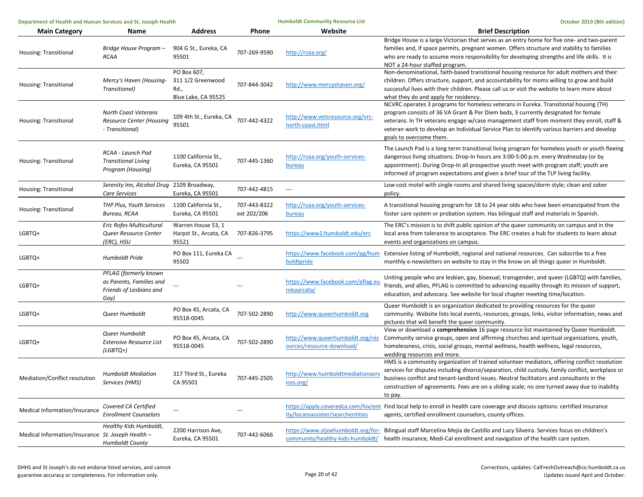| Department of Health and Human Services and St. Joseph Health |                                                                                      |                                                                 | <b>Humboldt Community Resource List</b> | October 2019 (8th edition)                                    |                                                                                                                                                                                                                                                                                                                                                                                                          |
|---------------------------------------------------------------|--------------------------------------------------------------------------------------|-----------------------------------------------------------------|-----------------------------------------|---------------------------------------------------------------|----------------------------------------------------------------------------------------------------------------------------------------------------------------------------------------------------------------------------------------------------------------------------------------------------------------------------------------------------------------------------------------------------------|
| <b>Main Category</b>                                          | Name                                                                                 | <b>Address</b>                                                  | <b>Phone</b>                            | Website                                                       | <b>Brief Description</b>                                                                                                                                                                                                                                                                                                                                                                                 |
| Housing: Transitional                                         | Bridge House Program -<br><b>RCAA</b>                                                | 904 G St., Eureka, CA<br>95501                                  | 707-269-9590                            | http://rcaa.org/                                              | Bridge House is a large Victorian that serves as an entry home for five one- and two-parent<br>families and, if space permits, pregnant women. Offers structure and stability to families<br>who are ready to assume more responsibility for developing strengths and life skills. It is<br>NOT a 24-hour staffed program.                                                                               |
| Housing: Transitional                                         | Mercy's Haven (Housing-<br>Transitional)                                             | PO Box 607.<br>311 1/2 Greenwood<br>Rd.,<br>Blue Lake, CA 95525 | 707-844-3042                            | http://www.mercyshaven.org/                                   | Non-denominational, faith-based transitional housing resource for adult mothers and their<br>children. Offers structure, support, and accountability for moms willing to grow and build<br>successful lives with their children. Please call us or visit the website to learn more about<br>what they do and apply for residency.                                                                        |
| Housing: Transitional                                         | <b>North Coast Veterans</b><br>Resource Center (Housing<br>- Transitional)           | 109 4th St., Eureka, CA<br>95501                                | 707-442-4322                            | http://www.vetsresource.org/vrc-<br>north-coast.html          | NCVRC operates 3 programs for homeless veterans in Eureka. Transitional housing (TH)<br>program consists of 36 VA Grant & Per Diem beds, 3 currently designated for female<br>veterans. In TH veterans engage w/case management staff from moment they enroll; staff &<br>veteran work to develop an Individual Service Plan to identify various barriers and develop<br>goals to overcome them.         |
| Housing: Transitional                                         | RCAA - Launch Pad<br><b>Transitional Living</b><br>Program (Housing)                 | 1100 California St.,<br>Eureka, CA 95501                        | 707-445-1360                            | http://rcaa.org/youth-services-<br>bureau                     | The Launch Pad is a long term transitional living program for homeless youth or youth fleeing<br>dangerous living situations. Drop-In hours are 3:00-5:00 p.m. every Wednesday (or by<br>appointment). During Drop-In all prospective youth meet with program staff; youth are<br>informed of program expectations and given a brief tour of the TLP living facility.                                    |
| Housing: Transitional                                         | Serenity Inn, Alcohol Drug<br>Care Services                                          | 2109 Broadway,<br>Eureka, CA 95501                              | 707-442-4815                            | $\qquad \qquad -$                                             | Low-cost motel with single rooms and shared living spaces/dorm style; clean and sober<br>policy.                                                                                                                                                                                                                                                                                                         |
| Housing: Transitional                                         | THP Plus, Youth Services<br>Bureau, RCAA                                             | 1100 California St.,<br>Eureka, CA 95501                        | 707-443-8322<br>ext 202/206             | http://rcaa.org/youth-services-<br>bureau                     | A transitional housing program for 18 to 24 year olds who have been emancipated from the<br>foster care system or probation system. Has bilingual staff and materials in Spanish.                                                                                                                                                                                                                        |
| LGBTQ+                                                        | Eric Rofes Multicultural<br>Queer Resource Center<br>(ERC), HSU                      | Warren House 53.1<br>Harpst St., Arcata, CA<br>95521            | 707-826-3795                            | https://www2.humboldt.edu/erc                                 | The ERC's mission is to shift public opinion of the queer community on campus and in the<br>local area from tolerance to acceptance. The ERC creates a hub for students to learn about<br>events and organizations on campus.                                                                                                                                                                            |
| LGBTQ+                                                        | Humboldt Pride                                                                       | PO Box 111, Eureka CA<br>95502                                  |                                         | boldtpride                                                    | https://www.facebook.com/pg/hum Extensive listing of Humboldt, regional and national resources. Can subscribe to a free<br>monthly e-newsletters on website to stay in the know on all things queer in Humboldt.                                                                                                                                                                                         |
| LGBTQ+                                                        | PFLAG (formerly known<br>as Parents, Families and<br>Friends of Lesbians and<br>Gay) |                                                                 |                                         | https://www.facebook.com/pflag.eu<br>rekaarcata/              | Uniting people who are lesbian, gay, bisexual, transgender, and queer (LGBTQ) with families,<br>friends, and allies, PFLAG is committed to advancing equality through its mission of support,<br>education, and advocacy. See website for local chapter meeting time/location.                                                                                                                           |
| LGBTQ+                                                        | Queer Humboldt                                                                       | PO Box 45, Arcata, CA<br>95518-0045                             | 707-502-2890                            | http://www.queerhumboldt.org                                  | Queer Humboldt is an organization dedicated to providing resources for the queer<br>community. Website lists local events, resources, groups, links, visitor information, news and<br>pictures that will benefit the queer community.                                                                                                                                                                    |
| LGBTQ+                                                        | Queer Humboldt<br><b>Extensive Resource List</b><br>$(LGBTQ+)$                       | PO Box 45, Arcata, CA<br>95518-0045                             | 707-502-2890                            | http://www.queerhumboldt.org/res<br>ources/resource-download/ | View or download a comprehensive 16 page resource list maintained by Queer Humboldt.<br>Community service groups, open and affirming churches and spiritual organizations, youth,<br>homelessness, crisis, social groups, mental wellness, health wellness, legal resources,<br>wedding resources and more.                                                                                              |
| Mediation/Conflict resolution                                 | <b>Humboldt Mediation</b><br>Services (HMS)                                          | 317 Third St., Eureka<br>CA 95501                               | 707-445-2505                            | http://www.humboldtmediationserv<br>ices.org/                 | HMS is a community organization of trained volunteer mediators, offering conflict resolution<br>services for disputes including divorce/separation, child custody, family conflict, workplace or<br>business conflict and tenant-landlord issues. Neutral facilitators and consultants in the<br>construction of agreements. Fees are on a sliding scale; no one turned away due to inability<br>to pay. |
| Medical Information/Insurance                                 | Covered CA Certified<br><b>Enrollment Counselors</b>                                 | ---                                                             | ---                                     | ity/locateassister/searchentities                             | https://apply.coveredca.com/hix/ent Find local help to enroll in health care coverage and discuss options: certified insurance<br>agents, certified enrollment counselors, county offices.                                                                                                                                                                                                               |
| Medical Information/Insurance St. Joseph Health -             | Healthy Kids Humboldt,<br>Humboldt County                                            | 2200 Harrison Ave,<br>Eureka, CA 95501                          | 707-442-6066                            |                                                               | https://www.stjoehumboldt.org/for- Bilingual staff Marcelina Mejia de Castillo and Lucy Silveira. Services focus on children's<br>community/healthy-kids-humboldt/ health insurance, Medi-Cal enrollment and navigation of the health care system.                                                                                                                                                       |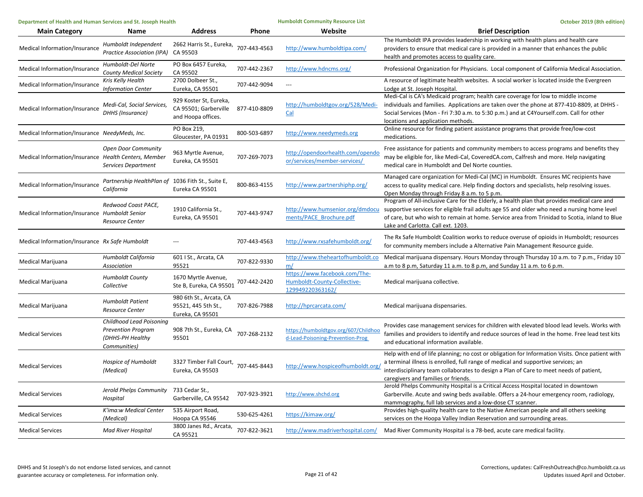| Department of Health and Human Services and St. Joseph Health |                                                                                           | <b>Humboldt Community Resource List</b>                               |              | October 2019 (8th edition)                                                       |                                                                                                                                                                                                                                                                                                                                                                    |
|---------------------------------------------------------------|-------------------------------------------------------------------------------------------|-----------------------------------------------------------------------|--------------|----------------------------------------------------------------------------------|--------------------------------------------------------------------------------------------------------------------------------------------------------------------------------------------------------------------------------------------------------------------------------------------------------------------------------------------------------------------|
| <b>Main Category</b>                                          | Name                                                                                      | <b>Address</b>                                                        | Phone        | Website                                                                          | <b>Brief Description</b>                                                                                                                                                                                                                                                                                                                                           |
| Medical Information/Insurance                                 | Humboldt Independent<br>Practice Association (IPA)                                        | 2662 Harris St., Eureka,<br>CA 95503                                  | 707-443-4563 | http://www.humboldtipa.com/                                                      | The Humboldt IPA provides leadership in working with health plans and health care<br>providers to ensure that medical care is provided in a manner that enhances the public<br>health and promotes access to quality care.                                                                                                                                         |
| Medical Information/Insurance                                 | Humboldt-Del Norte<br><b>County Medical Society</b>                                       | PO Box 6457 Eureka,<br>CA 95502                                       | 707-442-2367 | http://www.hdncms.org/                                                           | Professional Organization for Physicians. Local component of California Medical Association.                                                                                                                                                                                                                                                                       |
| Medical Information/Insurance                                 | Kris Kelly Health<br><b>Information Center</b>                                            | 2700 Dolbeer St.,<br>Eureka, CA 95501                                 | 707-442-9094 | $\overline{a}$                                                                   | A resource of legitimate health websites. A social worker is located inside the Evergreen<br>Lodge at St. Joseph Hospital.                                                                                                                                                                                                                                         |
| Medical Information/Insurance                                 | Medi-Cal, Social Services,<br>DHHS (Insurance)                                            | 929 Koster St, Eureka,<br>CA 95501; Garberville<br>and Hoopa offices. | 877-410-8809 | http://humboldtgov.org/528/Medi-<br>Cal                                          | Medi-Cal is CA's Medicaid program; health care coverage for low to middle income<br>individuals and families. Applications are taken over the phone at 877-410-8809, at DHHS -<br>Social Services (Mon - Fri 7:30 a.m. to 5:30 p.m.) and at C4Yourself.com. Call for other<br>locations and application methods.                                                   |
| Medical Information/Insurance NeedyMeds, Inc.                 |                                                                                           | PO Box 219,<br>Gloucester, PA 01931                                   | 800-503-6897 | http://www.needymeds.org                                                         | Online resource for finding patient assistance programs that provide free/low-cost<br>medications.                                                                                                                                                                                                                                                                 |
| Medical Information/Insurance Health Centers, Member          | <b>Open Door Community</b><br>Services Department                                         | 963 Myrtle Avenue,<br>Eureka, CA 95501                                | 707-269-7073 | http://opendoorhealth.com/opendo<br>or/services/member-services/                 | Free assistance for patients and community members to access programs and benefits they<br>may be eligible for, like Medi-Cal, CoveredCA.com, Calfresh and more. Help navigating<br>medical care in Humboldt and Del Norte counties.                                                                                                                               |
| Medical Information/Insurance                                 | Partnership HealthPlan of 1036 Fith St., Suite E,<br>California                           | Eureka CA 95501                                                       | 800-863-4155 | http://www.partnershiphp.org/                                                    | Managed care organization for Medi-Cal (MC) in Humboldt. Ensures MC recipients have<br>access to quality medical care. Help finding doctors and specialists, help resolving issues.<br>Open Monday through Friday 8 a.m. to 5 p.m.                                                                                                                                 |
| Medical Information/Insurance Humboldt Senior                 | Redwood Coast PACE,<br><b>Resource Center</b>                                             | 1910 California St.,<br>Eureka, CA 95501                              | 707-443-9747 | ments/PACE Brochure.pdf                                                          | Program of All-inclusive Care for the Elderly, a health plan that provides medical care and<br>http://www.humsenior.org/dmdocu supportive services for eligible frail adults age 55 and older who need a nursing home level<br>of care, but who wish to remain at home. Service area from Trinidad to Scotia, inland to Blue<br>Lake and Carlotta. Call ext. 1203. |
| Medical Information/Insurance Rx Safe Humboldt                |                                                                                           |                                                                       | 707-443-4563 | http://www.rxsafehumboldt.org/                                                   | The Rx Safe Humboldt Coalition works to reduce overuse of opioids in Humboldt; resources<br>for community members include a Alternative Pain Management Resource guide.                                                                                                                                                                                            |
| Medical Marijuana                                             | Humboldt California<br>Association                                                        | 601   St., Arcata, CA<br>95521                                        | 707-822-9330 | http://www.theheartofhumboldt.co<br>m/                                           | Medical marijuana dispensary. Hours Monday through Thursday 10 a.m. to 7 p.m., Friday 10<br>a.m to 8 p.m, Saturday 11 a.m. to 8 p.m, and Sunday 11 a.m. to 6 p.m.                                                                                                                                                                                                  |
| Medical Marijuana                                             | <b>Humboldt County</b><br>Collective                                                      | 1670 Myrtle Avenue,<br>Ste B, Eureka, CA 95501                        | 707-442-2420 | https://www.facebook.com/The-<br>Humboldt-County-Collective-<br>129949220363162/ | Medical marijuana collective.                                                                                                                                                                                                                                                                                                                                      |
| Medical Marijuana                                             | <b>Humboldt Patient</b><br>Resource Center                                                | 980 6th St., Arcata, CA<br>95521, 445 5th St.,<br>Eureka, CA 95501    | 707-826-7988 | http://hprcarcata.com/                                                           | Medical marijuana dispensaries.                                                                                                                                                                                                                                                                                                                                    |
| <b>Medical Services</b>                                       | Childhood Lead Poisoning<br><b>Prevention Program</b><br>(DHHS-PH Healthy<br>Communities) | 908 7th St., Eureka, CA<br>95501                                      | 707-268-2132 | https://humboldtgov.org/607/Childhoo<br>d-Lead-Poisoning-Prevention-Prog         | Provides case management services for children with elevated blood lead levels. Works with<br>families and providers to identify and reduce sources of lead in the home. Free lead test kits<br>and educational information available.                                                                                                                             |
| <b>Medical Services</b>                                       | Hospice of Humboldt<br>(Medical)                                                          | 3327 Timber Fall Court, 707-445-8443<br>Eureka, CA 95503              |              | http://www.hospiceofhumboldt.org                                                 | Help with end of life planning; no cost or obligation for Information Visits. Once patient with<br>a terminal illness is enrolled, full range of medical and supportive services; an<br>interdisciplinary team collaborates to design a Plan of Care to meet needs of patient,<br>caregivers and families or friends.                                              |
| <b>Medical Services</b>                                       | Jerold Phelps Community<br>Hospital                                                       | 733 Cedar St.,<br>Garberville, CA 95542                               | 707-923-3921 | http://www.shchd.org                                                             | Jerold Phelps Community Hospital is a Critical Access Hospital located in downtown<br>Garberville. Acute and swing beds available. Offers a 24-hour emergency room, radiology,<br>mammography, full lab services and a low-dose CT scanner.                                                                                                                        |
| <b>Medical Services</b>                                       | K'ima:w Medical Center<br>(Medical)                                                       | 535 Airport Road,<br>Hoopa CA 95546                                   | 530-625-4261 | https://kimaw.org/                                                               | Provides high-quality health care to the Native American people and all others seeking<br>services on the Hoopa Valley Indian Reservation and surrounding areas.                                                                                                                                                                                                   |
| <b>Medical Services</b>                                       | <b>Mad River Hospital</b>                                                                 | 3800 Janes Rd., Arcata,<br>CA 95521                                   | 707-822-3621 | http://www.madriverhospital.com/                                                 | Mad River Community Hospital is a 78-bed, acute care medical facility.                                                                                                                                                                                                                                                                                             |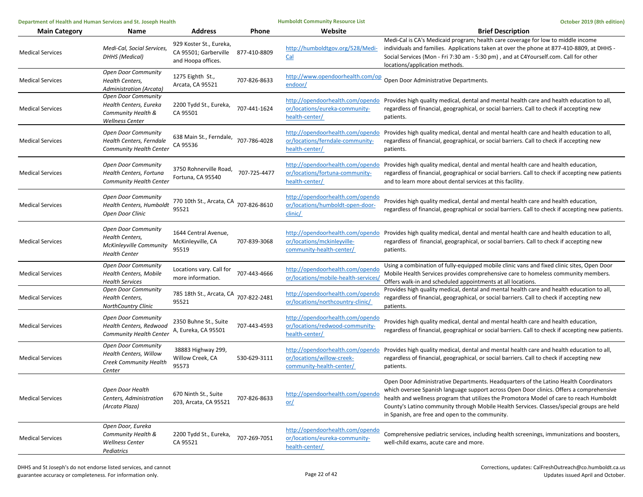| Department of Health and Human Services and St. Joseph Health |                                                                                                      | <b>Humboldt Community Resource List</b>                                |              | October 2019 (8th edition)                                                                  |                                                                                                                                                                                                                                                                                                                                                                                                                            |
|---------------------------------------------------------------|------------------------------------------------------------------------------------------------------|------------------------------------------------------------------------|--------------|---------------------------------------------------------------------------------------------|----------------------------------------------------------------------------------------------------------------------------------------------------------------------------------------------------------------------------------------------------------------------------------------------------------------------------------------------------------------------------------------------------------------------------|
| <b>Main Category</b>                                          | Name                                                                                                 | <b>Address</b>                                                         | Phone        | Website                                                                                     | <b>Brief Description</b>                                                                                                                                                                                                                                                                                                                                                                                                   |
| <b>Medical Services</b>                                       | Medi-Cal, Social Services,<br><b>DHHS (Medical)</b>                                                  | 929 Koster St., Eureka,<br>CA 95501; Garberville<br>and Hoopa offices. | 877-410-8809 | http://humboldtgov.org/528/Medi-<br>Cal                                                     | Medi-Cal is CA's Medicaid program; health care coverage for low to middle income<br>individuals and families. Applications taken at over the phone at 877-410-8809, at DHHS -<br>Social Services (Mon - Fri 7:30 am - 5:30 pm), and at C4Yourself.com. Call for other<br>locations/application methods.                                                                                                                    |
| <b>Medical Services</b>                                       | Open Door Community<br><b>Health Centers,</b><br>Administration (Arcata)                             | 1275 Eighth St.,<br>Arcata, CA 95521                                   | 707-826-8633 | http://www.opendoorhealth.com/op<br>endoor/                                                 | Open Door Administrative Departments.                                                                                                                                                                                                                                                                                                                                                                                      |
| <b>Medical Services</b>                                       | <b>Open Door Community</b><br>Health Centers, Eureka<br>Community Health &<br><b>Wellness Center</b> | 2200 Tydd St., Eureka,<br>CA 95501                                     | 707-441-1624 | http://opendoorhealth.com/opendo<br>or/locations/eureka-community-<br>health-center/        | Provides high quality medical, dental and mental health care and health education to all,<br>regardless of financial, geographical, or social barriers. Call to check if accepting new<br>patients.                                                                                                                                                                                                                        |
| <b>Medical Services</b>                                       | <b>Open Door Community</b><br>Health Centers, Ferndale<br><b>Community Health Center</b>             | 638 Main St., Ferndale,<br>CA 95536                                    | 707-786-4028 | http://opendoorhealth.com/opendo<br>or/locations/ferndale-community-<br>health-center/      | Provides high quality medical, dental and mental health care and health education to all,<br>regardless of financial, geographical, or social barriers. Call to check if accepting new<br>patients.                                                                                                                                                                                                                        |
| <b>Medical Services</b>                                       | <b>Open Door Community</b><br>Health Centers, Fortuna<br><b>Community Health Center</b>              | 3750 Rohnerville Road,<br>Fortuna, CA 95540                            | 707-725-4477 | or/locations/fortuna-community-<br>health-center/                                           | http://opendoorhealth.com/opendo Provides high quality medical, dental and mental health care and health education,<br>regardless of financial, geographical or social barriers. Call to check if accepting new patients<br>and to learn more about dental services at this facility.                                                                                                                                      |
| <b>Medical Services</b>                                       | <b>Open Door Community</b><br>Health Centers, Humboldt<br>Open Door Clinic                           | 770 10th St., Arcata, CA<br>95521                                      | 707-826-8610 | http://opendoorhealth.com/opendo<br>or/locations/humboldt-open-door-<br>clinic/             | Provides high quality medical, dental and mental health care and health education,<br>regardless of financial, geographical or social barriers. Call to check if accepting new patients.                                                                                                                                                                                                                                   |
| <b>Medical Services</b>                                       | <b>Open Door Community</b><br>Health Centers,<br>McKinleyville Community<br><b>Health Center</b>     | 1644 Central Avenue,<br>McKinleyville, CA<br>95519                     | 707-839-3068 | http://opendoorhealth.com/opendo<br>or/locations/mckinleyville-<br>community-health-center/ | Provides high quality medical, dental and mental health care and health education to all,<br>regardless of financial, geographical, or social barriers. Call to check if accepting new<br>patients.                                                                                                                                                                                                                        |
| <b>Medical Services</b>                                       | <b>Open Door Community</b><br>Health Centers, Mobile<br><b>Health Services</b>                       | Locations vary. Call for<br>more information.                          | 707-443-4666 | http://opendoorhealth.com/opendo<br>or/locations/mobile-health-services,                    | Using a combination of fully-equipped mobile clinic vans and fixed clinic sites, Open Door<br>Mobile Health Services provides comprehensive care to homeless community members.<br>Offers walk-in and scheduled appointments at all locations.                                                                                                                                                                             |
| <b>Medical Services</b>                                       | <b>Open Door Community</b><br>Health Centers,<br><b>NorthCountry Clinic</b>                          | 785 18th St., Arcata, CA<br>95521                                      | 707-822-2481 | http://opendoorhealth.com/opendo<br>or/locations/northcountry-clinic/                       | Provides high quality medical, dental and mental health care and health education to all,<br>regardless of financial, geographical, or social barriers. Call to check if accepting new<br>patients.                                                                                                                                                                                                                        |
| <b>Medical Services</b>                                       | <b>Open Door Community</b><br>Health Centers, Redwood<br>Community Health Center                     | 2350 Buhne St., Suite<br>A, Eureka, CA 95501                           | 707-443-4593 | http://opendoorhealth.com/opendo<br>or/locations/redwood-community-<br>health-center/       | Provides high quality medical, dental and mental health care and health education,<br>regardless of financial, geographical or social barriers. Call to check if accepting new patients.                                                                                                                                                                                                                                   |
| <b>Medical Services</b>                                       | Open Door Community<br>Health Centers, Willow<br>Creek Community Health<br>Center                    | 38883 Highway 299,<br>Willow Creek, CA<br>95573                        | 530-629-3111 | or/locations/willow-creek-<br>community-health-center/                                      | http://opendoorhealth.com/opendo Provides high quality medical, dental and mental health care and health education to all,<br>regardless of financial, geographical, or social barriers. Call to check if accepting new<br>patients.                                                                                                                                                                                       |
| <b>Medical Services</b>                                       | Open Door Health<br>Centers, Administration<br>(Arcata Plaza)                                        | 670 Ninth St., Suite<br>203, Arcata, CA 95521                          | 707-826-8633 | http://opendoorhealth.com/opendo<br><u>or/</u>                                              | Open Door Administrative Departments. Headquarters of the Latino Health Coordinators<br>which oversee Spanish language support across Open Door clinics. Offers a comprehensive<br>health and wellness program that utilizes the Promotora Model of care to reach Humboldt<br>County's Latino community through Mobile Health Services. Classes/special groups are held<br>in Spanish, are free and open to the community. |
| <b>Medical Services</b>                                       | Open Door, Eureka<br>Community Health &<br><b>Wellness Center</b><br>Pediatrics                      | 2200 Tydd St., Eureka,<br>CA 95521                                     | 707-269-7051 | http://opendoorhealth.com/opendo<br>or/locations/eureka-community-<br>health-center/        | Comprehensive pediatric services, including health screenings, immunizations and boosters,<br>well-child exams, acute care and more.                                                                                                                                                                                                                                                                                       |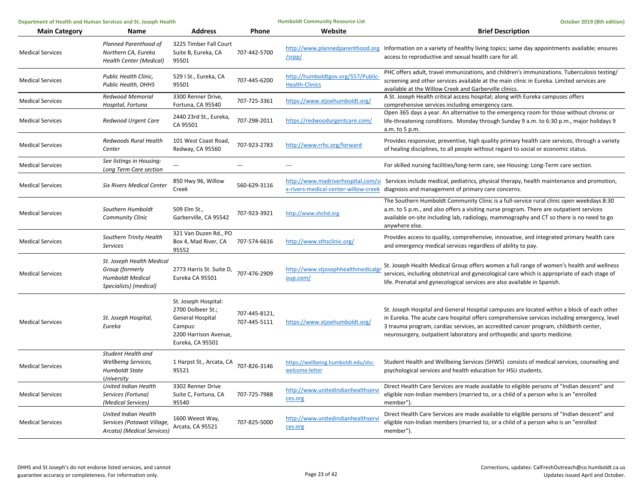| Department of Health and Human Services and St. Joseph Health |                                                                                                   |                                                                                                                              | <b>Humboldt Community Resource List</b> | October 2019 (8th edition)                                 |                                                                                                                                                                                                                                                                                                                                                              |
|---------------------------------------------------------------|---------------------------------------------------------------------------------------------------|------------------------------------------------------------------------------------------------------------------------------|-----------------------------------------|------------------------------------------------------------|--------------------------------------------------------------------------------------------------------------------------------------------------------------------------------------------------------------------------------------------------------------------------------------------------------------------------------------------------------------|
| <b>Main Category</b>                                          | Name                                                                                              | <b>Address</b>                                                                                                               | Phone                                   | Website                                                    | <b>Brief Description</b>                                                                                                                                                                                                                                                                                                                                     |
| <b>Medical Services</b>                                       | Planned Parenthood of<br>Northern CA, Eureka<br>Health Center (Medical)                           | 3225 Timber Fall Court<br>Suite B, Eureka, CA<br>95501                                                                       | 707-442-5700                            | /srpp/                                                     | http://www.plannedparenthood.org Information on a variety of healthy living topics; same day appointments available; ensures<br>access to reproductive and sexual health care for all.                                                                                                                                                                       |
| <b>Medical Services</b>                                       | Public Health Clinic,<br><b>Public Health, DHHS</b>                                               | 529 I St., Eureka, CA<br>95501                                                                                               | 707-445-6200                            | http://humboldtgov.org/557/Public<br><b>Health-Clinics</b> | PHC offers adult, travel immunizations, and children's immunizations. Tuberculosis testing/<br>screening and other services available at the main clinic in Eureka. Limited services are<br>available at the Willow Creek and Garberville clinics.                                                                                                           |
| <b>Medical Services</b>                                       | Redwood Memorial<br>Hospital, Fortuna                                                             | 3300 Renner Drive,<br>Fortuna, CA 95540                                                                                      | 707-725-3361                            | https://www.stjoehumboldt.org/                             | A St. Joseph Health critical access hospital; along with Eureka campuses offers<br>comprehensive services including emergency care.                                                                                                                                                                                                                          |
| <b>Medical Services</b>                                       | Redwood Urgent Care                                                                               | 2440 23rd St., Eureka,<br>CA 95501                                                                                           | 707-298-2011                            | https://redwoodurgentcare.com/                             | Open 365 days a year. An alternative to the emergency room for those without chronic or<br>life-threatening conditions. Monday through Sunday 9 a.m. to 6:30 p.m., major holidays 9<br>a.m. to 5 p.m.                                                                                                                                                        |
| <b>Medical Services</b>                                       | Redwoods Rural Health<br>Center                                                                   | 101 West Coast Road,<br>Redway, CA 95560                                                                                     | 707-923-2783                            | http://www.rrhc.org/forward                                | Provides responsive, preventive, high quality primary health care services, through a variety<br>of healing disciplines, to all people without regard to social or economic status.                                                                                                                                                                          |
| <b>Medical Services</b>                                       | See listings in Housing:<br>Long Term Care section                                                | $\overline{a}$                                                                                                               |                                         | ---                                                        | For skilled nursing facilities/long-term care, see Housing: Long-Term care section.                                                                                                                                                                                                                                                                          |
| <b>Medical Services</b>                                       | <b>Six Rivers Medical Center</b>                                                                  | 850 Hwy 96, Willow<br>Creek                                                                                                  | 560-629-3116                            |                                                            | http://www.madriverhospital.com/si Services include medical, pediatrics, physical therapy, health maintenance and promotion,<br>x-rivers-medical-center-willow-creek diagnosis and management of primary care concerns.                                                                                                                                      |
| <b>Medical Services</b>                                       | Southern Humboldt<br><b>Community Clinic</b>                                                      | 509 Elm St.,<br>Garberville, CA 95542                                                                                        | 707-923-3921                            | http://www.shchd.org                                       | The Southern Humboldt Community Clinic is a full-service rural clinic open weekdays 8:30<br>a.m. to 5 p.m., and also offers a visiting nurse program. There are outpatient services<br>available on-site including lab, radiology, mammography and CT so there is no need to go<br>anywhere else.                                                            |
| <b>Medical Services</b>                                       | Southern Trinity Health<br><b>Services</b>                                                        | 321 Van Duzen Rd., PO<br>Box 4, Mad River, CA<br>95552                                                                       | 707-574-6616                            | http://www.sthsclinic.org/                                 | Provides access to quality, comprehensive, innovative, and integrated primary health care<br>and emergency medical services regardless of ability to pay.                                                                                                                                                                                                    |
| <b>Medical Services</b>                                       | St. Joseph Health Medical<br>Group (formerly<br><b>Humboldt Medical</b><br>Specialists) (medical) | 2773 Harris St. Suite D, 707-476-2909<br>Eureka CA 95501                                                                     |                                         | http://www.stjosephhealthmedicalgr<br>oup.com/             | St. Joseph Health Medical Group offers women a full range of women's health and wellness<br>services, including obstetrical and gynecological care which is appropriate of each stage of<br>life. Prenatal and gynecological services are also available in Spanish.                                                                                         |
| <b>Medical Services</b>                                       | St. Joseph Hospital,<br>Eureka                                                                    | St. Joseph Hospital:<br>2700 Dolbeer St.;<br><b>General Hospital</b><br>Campus:<br>2200 Harrison Avenue,<br>Eureka, CA 95501 | 707-445-8121,<br>707-445-5111           | https://www.stjoehumboldt.org/                             | St. Joseph Hospital and General Hospital campuses are located within a block of each other<br>in Eureka. The acute care hospital offers comprehensive services including emergency, level<br>3 trauma program, cardiac services, an accredited cancer program, childbirth center,<br>neurosurgery, outpatient laboratory and orthopedic and sports medicine. |
| <b>Medical Services</b>                                       | Student Health and<br><b>Wellbeing Services,</b><br>Humboldt State<br>University                  | 1 Harpst St., Arcata, CA 707-826-3146<br>95521                                                                               |                                         | https://wellbeing.humboldt.edu/shc-<br>welcome-letter      | Student Health and Wellbeing Services (SHWS) consists of medical services, counseling and<br>psychological services and health education for HSU students.                                                                                                                                                                                                   |
| <b>Medical Services</b>                                       | United Indian Health<br>Services (Fortuna)<br>(Medical Services)                                  | 3302 Renner Drive<br>Suite C, Fortuna, CA<br>95540                                                                           | 707-725-7988                            | http://www.unitedindianhealthserv<br>ces.org               | Direct Health Care Services are made available to eligible persons of "Indian descent" and<br>eligible non-Indian members (married to, or a child of a person who is an "enrolled<br>member")                                                                                                                                                                |
| <b>Medical Services</b>                                       | United Indian Health<br>Services (Potawat Village,<br>Arcata) (Medical Services)                  | 1600 Weeot Way,<br>Arcata, CA 95521                                                                                          | 707-825-5000                            | http://www.unitedindianhealthserv<br>ces.org               | Direct Health Care Services are made available to eligible persons of "Indian descent" and<br>eligible non-Indian members (married to, or a child of a person who is an "enrolled<br>member").                                                                                                                                                               |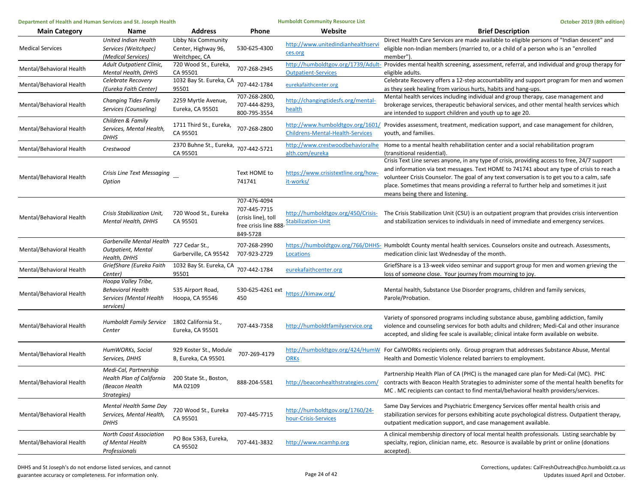| Department of Health and Human Services and St. Joseph Health |                                                                                         |                                                             | <b>Humboldt Community Resource List</b>                                                  |                                                                 | October 2019 (8th edition)                                                                                                                                                                                                                                                                                                                                                                                               |
|---------------------------------------------------------------|-----------------------------------------------------------------------------------------|-------------------------------------------------------------|------------------------------------------------------------------------------------------|-----------------------------------------------------------------|--------------------------------------------------------------------------------------------------------------------------------------------------------------------------------------------------------------------------------------------------------------------------------------------------------------------------------------------------------------------------------------------------------------------------|
| <b>Main Category</b>                                          | Name                                                                                    | <b>Address</b>                                              | Phone                                                                                    | Website                                                         | <b>Brief Description</b>                                                                                                                                                                                                                                                                                                                                                                                                 |
| <b>Medical Services</b>                                       | United Indian Health<br>Services (Weitchpec)<br>(Medical Services)                      | Libby Nix Community<br>Center, Highway 96,<br>Weitchpec, CA | 530-625-4300                                                                             | http://www.unitedindianhealthserv<br>ces.org                    | Direct Health Care Services are made available to eligible persons of "Indian descent" and<br>eligible non-Indian members (married to, or a child of a person who is an "enrolled<br>member")                                                                                                                                                                                                                            |
| Mental/Behavioral Health                                      | Adult Outpatient Clinic,<br><b>Mental Health, DHHS</b>                                  | 720 Wood St., Eureka,<br>CA 95501                           | 707-268-2945                                                                             | <b>Outpatient-Services</b>                                      | http://humboldtgov.org/1739/Adult- Provides mental health screening, assessment, referral, and individual and group therapy for<br>eligible adults.                                                                                                                                                                                                                                                                      |
| Mental/Behavioral Health                                      | Celebrate Recovery<br>(Eureka Faith Center)                                             | 1032 Bay St. Eureka, CA<br>95501                            | 707-442-1784                                                                             | eurekafaithcenter.org                                           | Celebrate Recovery offers a 12-step accountability and support program for men and women<br>as they seek healing from various hurts, habits and hang-ups.                                                                                                                                                                                                                                                                |
| Mental/Behavioral Health                                      | Changing Tides Family<br>Services (Counseling)                                          | 2259 Myrtle Avenue,<br>Eureka, CA 95501                     | 707-268-2800,<br>707-444-8293,<br>800-795-3554                                           | http://changingtidesfs.org/mental-<br>health                    | Mental health services including individual and group therapy, case management and<br>brokerage services, therapeutic behavioral services, and other mental health services which<br>are intended to support children and youth up to age 20.                                                                                                                                                                            |
| Mental/Behavioral Health                                      | Children & Family<br>Services, Mental Health,<br><b>DHHS</b>                            | 1711 Third St., Eureka,<br>CA 95501                         | 707-268-2800                                                                             | Childrens-Mental-Health-Services                                | http://www.humboldtgov.org/1601/ Provides assessment, treatment, medication support, and case management for children,<br>youth, and families.                                                                                                                                                                                                                                                                           |
| Mental/Behavioral Health                                      | Crestwood                                                                               | 2370 Buhne St., Eureka,<br>CA 95501                         | 707-442-5721                                                                             | http://www.crestwoodbehavioralhe<br>alth.com/eureka             | Home to a mental health rehabilitation center and a social rehabilitation program<br>(transitional residential).                                                                                                                                                                                                                                                                                                         |
| Mental/Behavioral Health                                      | Crisis Line Text Messaging<br>Option                                                    |                                                             | Text HOME to<br>741741                                                                   | https://www.crisistextline.org/how-<br>it-works/                | Crisis Text Line serves anyone, in any type of crisis, providing access to free, 24/7 support<br>and information via text messages. Text HOME to 741741 about any type of crisis to reach a<br>volunteer Crisis Counselor. The goal of any text conversation is to get you to a calm, safe<br>place. Sometimes that means providing a referral to further help and sometimes it just<br>means being there and listening. |
| Mental/Behavioral Health                                      | Crisis Stabilization Unit,<br><b>Mental Health, DHHS</b>                                | 720 Wood St., Eureka<br>CA 95501                            | 707-476-4094<br>707-445-7715<br>(crisis line), toll<br>free crisis line 888-<br>849-5728 | http://humboldtgov.org/450/Crisis-<br><b>Stabilization-Unit</b> | The Crisis Stabilization Unit (CSU) is an outpatient program that provides crisis intervention<br>and stabilization services to individuals in need of immediate and emergency services.                                                                                                                                                                                                                                 |
| Mental/Behavioral Health                                      | Garberville Mental Health<br><b>Outpatient, Mental</b><br>Health, DHHS                  | 727 Cedar St.,<br>Garberville, CA 95542                     | 707-268-2990<br>707-923-2729                                                             | Locations                                                       | https://humboldtgov.org/766/DHHS- Humboldt County mental health services. Counselors onsite and outreach. Assessments,<br>medication clinic last Wednesday of the month.                                                                                                                                                                                                                                                 |
| Mental/Behavioral Health                                      | GriefShare (Eureka Faith<br>Center)                                                     | 1032 Bay St. Eureka, CA<br>95501                            | 707-442-1784                                                                             | eurekafaithcenter.org                                           | GriefShare is a 13-week video seminar and support group for men and women grieving the<br>loss of someone close. Your journey from mourning to joy.                                                                                                                                                                                                                                                                      |
| Mental/Behavioral Health                                      | Hoopa Valley Tribe,<br><b>Behavioral Health</b><br>Services (Mental Health<br>services) | 535 Airport Road,<br>Hoopa, CA 95546                        | 530-625-4261 ext<br>450                                                                  | https://kimaw.org/                                              | Mental health, Substance Use Disorder programs, children and family services,<br>Parole/Probation.                                                                                                                                                                                                                                                                                                                       |
| Mental/Behavioral Health                                      | <b>Humboldt Family Service</b><br>Center                                                | 1802 California St.,<br>Eureka, CA 95501                    | 707-443-7358                                                                             | http://humboldtfamilyservice.org                                | Variety of sponsored programs including substance abuse, gambling addiction, family<br>violence and counseling services for both adults and children; Medi-Cal and other insurance<br>accepted, and sliding fee scale is available; clinical intake form available on website.                                                                                                                                           |
| Mental/Behavioral Health                                      | HumWORKs, Social<br>Services, DHHS                                                      | 929 Koster St., Module<br>B, Eureka, CA 95501               | 707-269-4179                                                                             | <b>ORKs</b>                                                     | http://humboldtgov.org/424/HumW_ For CalWORKs recipients only. Group program that addresses Substance Abuse, Mental<br>Health and Domestic Violence related barriers to employment.                                                                                                                                                                                                                                      |
| Mental/Behavioral Health                                      | Medi-Cal, Partnership<br>Health Plan of California<br>(Beacon Health<br>Strategies)     | 200 State St., Boston,<br>MA 02109                          | 888-204-5581                                                                             | http://beaconhealthstrategies.com/                              | Partnership Health Plan of CA (PHC) is the managed care plan for Medi-Cal (MC). PHC<br>contracts with Beacon Health Strategies to administer some of the mental health benefits for<br>MC. MC recipients can contact to find mental/behavioral health providers/services.                                                                                                                                                |
| Mental/Behavioral Health                                      | Mental Health Same Day<br>Services, Mental Health,<br><b>DHHS</b>                       | 720 Wood St., Eureka<br>CA 95501                            | 707-445-7715                                                                             | http://humboldtgov.org/1760/24-<br>hour-Crisis-Services         | Same Day Services and Psychiatric Emergency Services offer mental health crisis and<br>stabilization services for persons exhibiting acute psychological distress. Outpatient therapy,<br>outpatient medication support, and case management available.                                                                                                                                                                  |
| Mental/Behavioral Health                                      | North Coast Association<br>of Mental Health<br>Professionals                            | PO Box 5363, Eureka,<br>CA 95502                            | 707-441-3832                                                                             | http://www.ncamhp.org                                           | A clinical membership directory of local mental health professionals. Listing searchable by<br>specialty, region, clinician name, etc. Resource is available by print or online (donations<br>accepted).                                                                                                                                                                                                                 |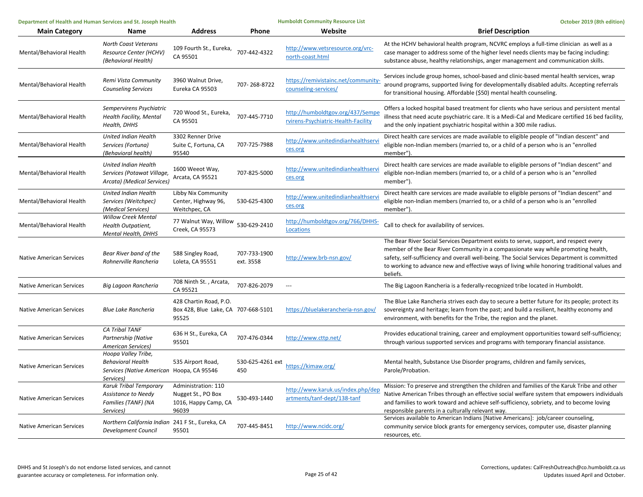| Department of Health and Human Services and St. Joseph Health |                                                                                                           |                                                                            | <b>Humboldt Community Resource List</b> |                                                                         | October 2019 (8th edition)                                                                                                                                                                                                                                                                                                                                                             |
|---------------------------------------------------------------|-----------------------------------------------------------------------------------------------------------|----------------------------------------------------------------------------|-----------------------------------------|-------------------------------------------------------------------------|----------------------------------------------------------------------------------------------------------------------------------------------------------------------------------------------------------------------------------------------------------------------------------------------------------------------------------------------------------------------------------------|
| <b>Main Category</b>                                          | Name                                                                                                      | <b>Address</b>                                                             | Phone                                   | Website                                                                 | <b>Brief Description</b>                                                                                                                                                                                                                                                                                                                                                               |
| Mental/Behavioral Health                                      | North Coast Veterans<br>Resource Center (HCHV)<br>(Behavioral Health)                                     | 109 Fourth St., Eureka,<br>CA 95501                                        | 707-442-4322                            | http://www.vetsresource.org/vrc-<br>north-coast.html                    | At the HCHV behavioral health program, NCVRC employs a full-time clinician as well as a<br>case manager to address some of the higher level needs clients may be facing including:<br>substance abuse, healthy relationships, anger management and communication skills.                                                                                                               |
| Mental/Behavioral Health                                      | Remi Vista Community<br><b>Counseling Services</b>                                                        | 3960 Walnut Drive,<br>Eureka CA 95503                                      | 707-268-8722                            | https://remivistainc.net/community-<br>counseling-services/             | Services include group homes, school-based and clinic-based mental health services, wrap<br>around programs, supported living for developmentally disabled adults. Accepting referrals<br>for transitional housing. Affordable (\$50) mental health counseling.                                                                                                                        |
| Mental/Behavioral Health                                      | Sempervirens Psychiatric<br>Health Facility, Mental<br>Health, DHHS                                       | 720 Wood St., Eureka,<br>CA 95501                                          | 707-445-7710                            | http://humboldtgov.org/437/Sempe<br>rvirens-Psychiatric-Health-Facility | Offers a locked hospital based treatment for clients who have serious and persistent mental<br>illness that need acute psychiatric care. It is a Medi-Cal and Medicare certified 16 bed facility,<br>and the only inpatient psychiatric hospital within a 300 mile radius.                                                                                                             |
| Mental/Behavioral Health                                      | United Indian Health<br>Services (Fortuna)<br>(Behavioral health)                                         | 3302 Renner Drive<br>Suite C, Fortuna, CA<br>95540                         | 707-725-7988                            | http://www.unitedindianhealthservi<br>ces.org                           | Direct health care services are made available to eligible people of "Indian descent" and<br>eligible non-Indian members (married to, or a child of a person who is an "enrolled<br>member")                                                                                                                                                                                           |
| Mental/Behavioral Health                                      | <b>United Indian Health</b><br>Services (Potawat Village,<br>Arcata) (Medical Services)                   | 1600 Weeot Way,<br>Arcata, CA 95521                                        | 707-825-5000                            | http://www.unitedindianhealthservi<br>ces.org                           | Direct health care services are made available to eligible persons of "Indian descent" and<br>eligible non-Indian members (married to, or a child of a person who is an "enrolled<br>member").                                                                                                                                                                                         |
| Mental/Behavioral Health                                      | United Indian Health<br>Services (Weitchpec)<br>(Medical Services)                                        | Libby Nix Community<br>Center, Highway 96,<br>Weitchpec, CA                | 530-625-4300                            | http://www.unitedindianhealthservi<br>ces.org                           | Direct health care services are made available to eligible persons of "Indian descent" and<br>eligible non-Indian members (married to, or a child of a person who is an "enrolled<br>member").                                                                                                                                                                                         |
| Mental/Behavioral Health                                      | <b>Willow Creek Mental</b><br>Health Outpatient,<br><b>Mental Health, DHHS</b>                            | 77 Walnut Way, Willow<br>Creek, CA 95573                                   | 530-629-2410                            | http://humboldtgov.org/766/DHHS-<br>Locations                           | Call to check for availability of services.                                                                                                                                                                                                                                                                                                                                            |
| <b>Native American Services</b>                               | Bear River band of the<br>Rohnerville Rancheria                                                           | 588 Singley Road,<br>Loleta, CA 95551                                      | 707-733-1900<br>ext. 3558               | http://www.brb-nsn.gov/                                                 | The Bear River Social Services Department exists to serve, support, and respect every<br>member of the Bear River Community in a compassionate way while promoting health,<br>safety, self-sufficiency and overall well-being. The Social Services Department is committed<br>to working to advance new and effective ways of living while honoring traditional values and<br>beliefs. |
| <b>Native American Services</b>                               | Big Lagoon Rancheria                                                                                      | 708 Ninth St., Arcata,<br>CA 95521                                         | 707-826-2079                            | $\hspace{0.05cm} \ldots$                                                | The Big Lagoon Rancheria is a federally-recognized tribe located in Humboldt.                                                                                                                                                                                                                                                                                                          |
| Native American Services                                      | <b>Blue Lake Rancheria</b>                                                                                | 428 Chartin Road, P.O.<br>Box 428, Blue Lake, CA 707-668-5101<br>95525     |                                         | https://bluelakerancheria-nsn.gov/                                      | The Blue Lake Rancheria strives each day to secure a better future for its people; protect its<br>sovereignty and heritage; learn from the past; and build a resilient, healthy economy and<br>environment, with benefits for the Tribe, the region and the planet.                                                                                                                    |
| Native American Services                                      | CA Tribal TANF<br>Partnership (Native<br>American Services)                                               | 636 H St., Eureka, CA<br>95501                                             | 707-476-0344                            | http://www.cttp.net/                                                    | Provides educational training, career and employment opportunities toward self-sufficiency;<br>through various supported services and programs with temporary financial assistance.                                                                                                                                                                                                    |
| <b>Native American Services</b>                               | Hoopa Valley Tribe,<br><b>Behavioral Health</b><br>Services (Native American Hoopa, CA 95546<br>Services) | 535 Airport Road,                                                          | 530-625-4261 ext<br>450                 | https://kimaw.org/                                                      | Mental health, Substance Use Disorder programs, children and family services,<br>Parole/Probation.                                                                                                                                                                                                                                                                                     |
| <b>Native American Services</b>                               | Karuk Tribal Temporary<br>Assistance to Needy<br>Families (TANF) (NA<br>Services)                         | Administration: 110<br>Nugget St., PO Box<br>1016, Happy Camp, CA<br>96039 | 530-493-1440                            | http://www.karuk.us/index.php/dep<br>artments/tanf-dept/138-tanf        | Mission: To preserve and strengthen the children and families of the Karuk Tribe and other<br>Native American Tribes through an effective social welfare system that empowers individuals<br>and families to work toward and achieve self-sufficiency, sobriety, and to become loving<br>responsible parents in a culturally relevant way.                                             |
| <b>Native American Services</b>                               | Northern California Indian 241 F St., Eureka, CA<br>Development Council                                   | 95501                                                                      | 707-445-8451                            | http://www.ncidc.org/                                                   | Services available to American Indians [Native Americans]: job/career counseling,<br>community service block grants for emergency services, computer use, disaster planning<br>resources, etc.                                                                                                                                                                                         |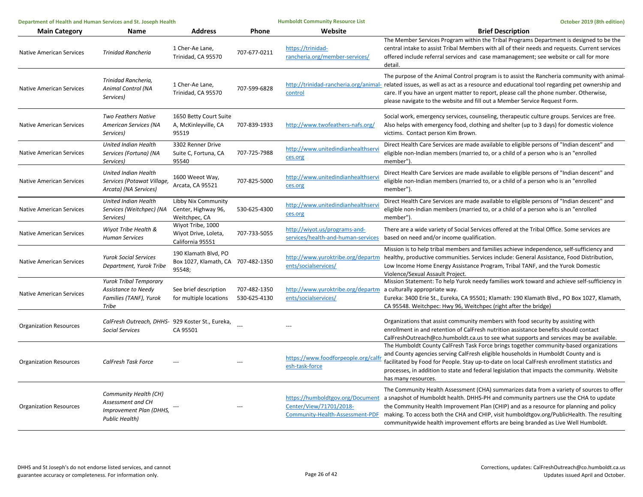| Department of Health and Human Services and St. Joseph Health |                                                                                                |                                                                      |                              | <b>Humboldt Community Resource List</b>                             | October 2019 (8th edition)                                                                                                                                                                                                                                                                                                                                                                                                                                                                                                    |  |
|---------------------------------------------------------------|------------------------------------------------------------------------------------------------|----------------------------------------------------------------------|------------------------------|---------------------------------------------------------------------|-------------------------------------------------------------------------------------------------------------------------------------------------------------------------------------------------------------------------------------------------------------------------------------------------------------------------------------------------------------------------------------------------------------------------------------------------------------------------------------------------------------------------------|--|
| <b>Main Category</b>                                          | Name                                                                                           | <b>Address</b>                                                       | Phone                        | Website                                                             | <b>Brief Description</b>                                                                                                                                                                                                                                                                                                                                                                                                                                                                                                      |  |
| <b>Native American Services</b>                               | <b>Trinidad Rancheria</b>                                                                      | 1 Cher-Ae Lane,<br>Trinidad, CA 95570                                | 707-677-0211                 | https://trinidad-<br>rancheria.org/member-services/                 | The Member Services Program within the Tribal Programs Department is designed to be the<br>central intake to assist Tribal Members with all of their needs and requests. Current services<br>offered include referral services and case mamanagement; see website or call for more<br>detail.                                                                                                                                                                                                                                 |  |
| <b>Native American Services</b>                               | Trinidad Rancheria,<br>Animal Control (NA<br>Services)                                         | 1 Cher-Ae Lane,<br>Trinidad, CA 95570                                | 707-599-6828                 | control                                                             | The purpose of the Animal Control program is to assist the Rancheria community with animal-<br>http://trinidad-rancheria.org/animal- related issues, as well as act as a resource and educational tool regarding pet ownership and<br>care. If you have an urgent matter to report, please call the phone number. Otherwise,<br>please navigate to the website and fill out a Member Service Request Form.                                                                                                                    |  |
| <b>Native American Services</b>                               | Two Feathers Native<br>American Services (NA<br>Services)                                      | 1650 Betty Court Suite<br>A, McKinleyville, CA<br>95519              | 707-839-1933                 | http://www.twofeathers-nafs.org/                                    | Social work, emergency services, counseling, therapeutic culture groups. Services are free.<br>Also helps with emergency food, clothing and shelter (up to 3 days) for domestic violence<br>victims. Contact person Kim Brown.                                                                                                                                                                                                                                                                                                |  |
| <b>Native American Services</b>                               | United Indian Health<br>Services (Fortuna) (NA<br>Services)                                    | 3302 Renner Drive<br>Suite C, Fortuna, CA<br>95540                   | 707-725-7988                 | http://www.unitedindianhealthservi<br>ces.org                       | Direct Health Care Services are made available to eligible persons of "Indian descent" and<br>eligible non-Indian members (married to, or a child of a person who is an "enrolled<br>member")                                                                                                                                                                                                                                                                                                                                 |  |
| <b>Native American Services</b>                               | United Indian Health<br>Services (Potawat Village,<br>Arcata) (NA Services)                    | 1600 Weeot Way,<br>Arcata, CA 95521                                  | 707-825-5000                 | http://www.unitedindianhealthserv<br>ces.org                        | Direct Health Care Services are made available to eligible persons of "Indian descent" and<br>eligible non-Indian members (married to, or a child of a person who is an "enrolled<br>member").                                                                                                                                                                                                                                                                                                                                |  |
| <b>Native American Services</b>                               | <b>United Indian Health</b><br>Services (Weitchpec) (NA<br>Services)                           | Libby Nix Community<br>Center, Highway 96,<br>Weitchpec, CA          | 530-625-4300                 | http://www.unitedindianhealthserv<br>ces.org                        | Direct Health Care Services are made available to eligible persons of "Indian descent" and<br>eligible non-Indian members (married to, or a child of a person who is an "enrolled<br>member").                                                                                                                                                                                                                                                                                                                                |  |
| <b>Native American Services</b>                               | Wiyot Tribe Health &<br><b>Human Services</b>                                                  | Wiyot Tribe, 1000<br>Wiyot Drive, Loleta,<br>California 95551        | 707-733-5055                 | http://wiyot.us/programs-and-<br>services/health-and-human-services | There are a wide variety of Social Services offered at the Tribal Office. Some services are<br>based on need and/or income qualification.                                                                                                                                                                                                                                                                                                                                                                                     |  |
| <b>Native American Services</b>                               | <b>Yurok Social Services</b><br>Department, Yurok Tribe                                        | 190 Klamath Blvd, PO<br>Box 1027, Klamath, CA 707-482-1350<br>95548; |                              | http://www.yuroktribe.org/departm<br>ents/socialservices/           | Mission is to help tribal members and families achieve independence, self-sufficiency and<br>healthy, productive communities. Services include: General Assistance, Food Distribution,<br>Low Income Home Energy Assistance Program, Tribal TANF, and the Yurok Domestic<br>Violence/Sexual Assault Project.                                                                                                                                                                                                                  |  |
| <b>Native American Services</b>                               | <b>Yurok Tribal Temporary</b><br>Assistance to Needy<br>Families (TANF), Yurok<br>Tribe        | See brief description<br>for multiple locations                      | 707-482-1350<br>530-625-4130 | http://www.yuroktribe.org/departm<br>ents/socialservices/           | Mission Statement: To help Yurok needy families work toward and achieve self-sufficiency in<br>a culturally appropriate way.<br>Eureka: 3400 Erie St., Eureka, CA 95501; Klamath: 190 Klamath Blvd., PO Box 1027, Klamath,<br>CA 95548. Weitchpec: Hwy 96, Weitchpec (right after the bridge)                                                                                                                                                                                                                                 |  |
| <b>Organization Resources</b>                                 | CalFresh Outreach, DHHS- 929 Koster St., Eureka,<br>Social Services                            | CA 95501                                                             |                              |                                                                     | Organizations that assist community members with food security by assisting with<br>enrollment in and retention of CalFresh nutrition assistance benefits should contact<br>CalFreshOutreach@co.humboldt.ca.us to see what supports and services may be available.                                                                                                                                                                                                                                                            |  |
| <b>Organization Resources</b>                                 | CalFresh Task Force                                                                            |                                                                      |                              | https://www.foodforpeople.org/calfr<br>esh-task-force               | The Humboldt County CalFresh Task Force brings together community-based organizations<br>and County agencies serving CalFresh eligible households in Humboldt County and is<br>facilitated by Food for People. Stay up-to-date on local CalFresh enrollment statistics and<br>processes, in addition to state and federal legislation that impacts the community. Website<br>has many resources.                                                                                                                              |  |
| <b>Organization Resources</b>                                 | Community Health (CH)<br>Assessment and CH<br>Improvement Plan (DHHS,<br><b>Public Health)</b> |                                                                      | ---                          | Center/View/71701/2018-                                             | The Community Health Assessment (CHA) summarizes data from a variety of sources to offer<br>https://humboldtgov.org/Document a snapshot of Humboldt health. DHHS-PH and community partners use the CHA to update<br>the Community Health Improvement Plan (CHIP) and as a resource for planning and policy<br>Community-Health-Assessment-PDF making. To access both the CHA and CHIP, visit humboldtgov.org/PublicHealth. The resulting<br>communitywide health improvement efforts are being branded as Live Well Humboldt. |  |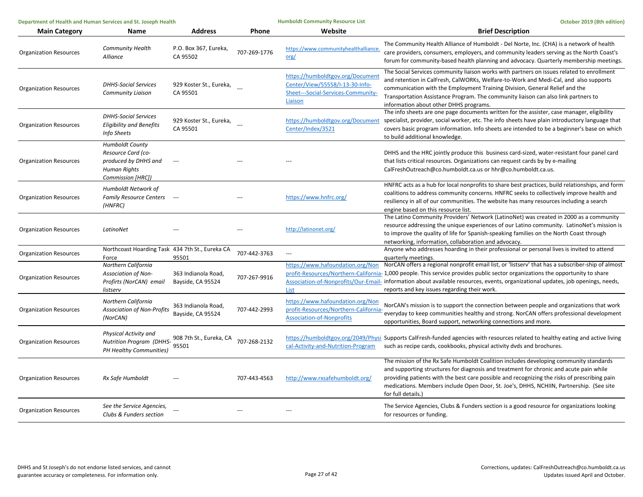| Department of Health and Human Services and St. Joseph Health |                                                                                                                  |                                          | <b>Humboldt Community Resource List</b> | October 2019 (8th edition)                                                                                           |                                                                                                                                                                                                                                                                                                                                                                                                                                                         |
|---------------------------------------------------------------|------------------------------------------------------------------------------------------------------------------|------------------------------------------|-----------------------------------------|----------------------------------------------------------------------------------------------------------------------|---------------------------------------------------------------------------------------------------------------------------------------------------------------------------------------------------------------------------------------------------------------------------------------------------------------------------------------------------------------------------------------------------------------------------------------------------------|
| <b>Main Category</b>                                          | Name                                                                                                             | <b>Address</b>                           | Phone                                   | Website                                                                                                              | <b>Brief Description</b>                                                                                                                                                                                                                                                                                                                                                                                                                                |
| <b>Organization Resources</b>                                 | <b>Community Health</b><br>Alliance                                                                              | P.O. Box 367, Eureka,<br>CA 95502        | 707-269-1776                            | https://www.communityhealthalliance<br>org/                                                                          | The Community Health Alliance of Humboldt - Del Norte, Inc. (CHA) is a network of health<br>care providers, consumers, employers, and community leaders serving as the North Coast's<br>forum for community-based health planning and advocacy. Quarterly membership meetings.                                                                                                                                                                          |
| <b>Organization Resources</b>                                 | <b>DHHS-Social Services</b><br>Community Liaison                                                                 | 929 Koster St., Eureka,<br>CA 95501      |                                         | https://humboldtgov.org/Document<br>Center/View/55558/I-13-30-Info-<br>Sheet---Social-Services-Community-<br>Liaison | The Social Services community liaison works with partners on issues related to enrollment<br>and retention in CalFresh, CalWORKs, Welfare-to-Work and Medi-Cal, and also supports<br>communication with the Employment Training Division, General Relief and the<br>Transportation Assistance Program. The community liaison can also link partners to<br>information about other DHHS programs.                                                        |
| <b>Organization Resources</b>                                 | <b>DHHS-Social Services</b><br><b>Eligibility and Benefits</b><br>Info Sheets                                    | 929 Koster St., Eureka,<br>CA 95501      |                                         | https://humboldtgov.org/Document<br>Center/Index/3521                                                                | The info sheets are one page documents written for the assister, case manager, eligibility<br>specialist, provider, social worker, etc. The info sheets have plain introductory language that<br>covers basic program information. Info sheets are intended to be a beginner's base on which<br>to build additional knowledge.                                                                                                                          |
| <b>Organization Resources</b>                                 | <b>Humboldt County</b><br>Resource Card (co-<br>produced by DHHS and<br><b>Human Rights</b><br>Commission [HRC]) | $\sim$                                   |                                         |                                                                                                                      | DHHS and the HRC jointly produce this business card-sized, water-resistant four panel card<br>that lists critical resources. Organizations can request cards by by e-mailing<br>CalFreshOutreach@co.humboldt.ca.us or hhr@co.humboldt.ca.us.                                                                                                                                                                                                            |
| <b>Organization Resources</b>                                 | Humboldt Network of<br>Family Resource Centers ---<br>(HNFRC)                                                    |                                          |                                         | https://www.hnfrc.org/                                                                                               | HNFRC acts as a hub for local nonprofits to share best practices, build relationships, and form<br>coalitions to address community concerns. HNFRC seeks to collectively improve health and<br>resiliency in all of our communities. The website has many resources including a search<br>engine based on this resource list.                                                                                                                           |
| <b>Organization Resources</b>                                 | LatinoNet                                                                                                        |                                          |                                         | http://latinonet.org/                                                                                                | The Latino Community Providers' Network (LatinoNet) was created in 2000 as a community<br>resource addressing the unique experiences of our Latino community. LatinoNet's mission is<br>to improve the quality of life for Spanish-speaking families on the North Coast through<br>networking, information, collaboration and advocacy.                                                                                                                 |
| <b>Organization Resources</b>                                 | Northcoast Hoarding Task 434 7th St., Eureka CA<br>Force                                                         | 95501                                    | 707-442-3763                            | $\cdots$                                                                                                             | Anyone who addresses hoarding in their professional or personal lives is invited to attend<br>quarterly meetings.                                                                                                                                                                                                                                                                                                                                       |
| <b>Organization Resources</b>                                 | Northern California<br><b>Association of Non-</b><br>Profirts (NorCAN) email<br>listserv                         | 363 Indianola Road,<br>Bayside, CA 95524 | 707-267-9916                            | <b>List</b>                                                                                                          | https://www.hafoundation.org/Non NorCAN offers a regional nonprofit email list, or 'listserv' that has a subscriber-ship of almost<br>profit-Resources/Northern-California-1,000 people. This service provides public sector organizations the opportunity to share<br>Association-of-Nonprofits/Our-Email- information about available resources, events, organizational updates, job openings, needs,<br>reports and key issues regarding their work. |
| <b>Organization Resources</b>                                 | Northern California<br><b>Association of Non-Profits</b><br>(NorCAN)                                             | 363 Indianola Road,<br>Bayside, CA 95524 | 707-442-2993                            | https://www.hafoundation.org/Non<br>profit-Resources/Northern-California-<br><b>Association-of-Nonprofits</b>        | NorCAN's mission is to support the connection between people and organizations that work<br>everyday to keep communities healthy and strong. NorCAN offers professional development<br>opportunities, Board support, networking connections and more.                                                                                                                                                                                                   |
| <b>Organization Resources</b>                                 | Physical Activity and<br><b>Nutrition Program (DHHS-</b><br>PH Healthy Communities)                              | 908 7th St., Eureka, CA<br>95501         | 707-268-2132                            | cal-Activity-and-Nutrition-Program                                                                                   | https://humboldtgov.org/2049/Physi Supports CalFresh-funded agencies with resources related to healthy eating and active living<br>such as recipe cards, cookbooks, physical activity dvds and brochures.                                                                                                                                                                                                                                               |
| <b>Organization Resources</b>                                 | Rx Safe Humboldt                                                                                                 |                                          | 707-443-4563                            | http://www.rxsafehumboldt.org/                                                                                       | The mission of the Rx Safe Humboldt Coalition includes developing community standards<br>and supporting structures for diagnosis and treatment for chronic and acute pain while<br>providing patients with the best care possible and recognizing the risks of prescribing pain<br>medications. Members include Open Door, St. Joe's, DHHS, NCHIIN, Partnership. (See site<br>for full details.)                                                        |
| <b>Organization Resources</b>                                 | See the Service Agencies,<br>Clubs & Funders section                                                             |                                          |                                         |                                                                                                                      | The Service Agencies, Clubs & Funders section is a good resource for organizations looking<br>for resources or funding.                                                                                                                                                                                                                                                                                                                                 |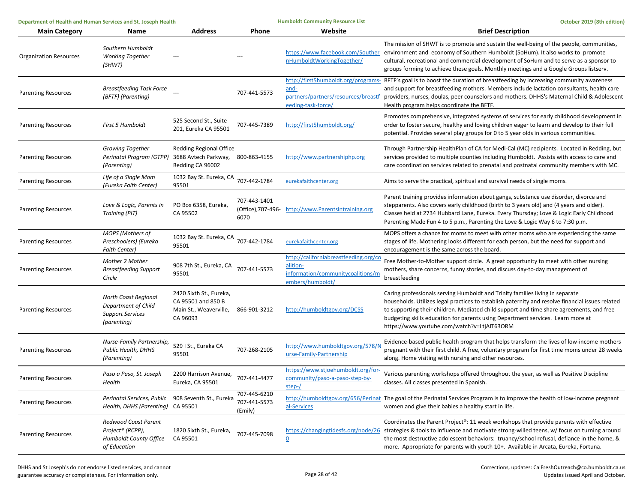| Department of Health and Human Services and St. Joseph Health |                                                                                       |                                                                                     | <b>Humboldt Community Resource List</b>    | October 2019 (8th edition)                                                                                 |                                                                                                                                                                                                                                                                                                                                                                                                                 |
|---------------------------------------------------------------|---------------------------------------------------------------------------------------|-------------------------------------------------------------------------------------|--------------------------------------------|------------------------------------------------------------------------------------------------------------|-----------------------------------------------------------------------------------------------------------------------------------------------------------------------------------------------------------------------------------------------------------------------------------------------------------------------------------------------------------------------------------------------------------------|
| <b>Main Category</b>                                          | Name                                                                                  | <b>Address</b>                                                                      | Phone                                      | Website                                                                                                    | <b>Brief Description</b>                                                                                                                                                                                                                                                                                                                                                                                        |
| <b>Organization Resources</b>                                 | Southern Humboldt<br><b>Working Together</b><br>(SHWT)                                |                                                                                     |                                            | nHumboldtWorkingTogether/                                                                                  | The mission of SHWT is to promote and sustain the well-being of the people, communities,<br>https://www.facebook.com/Souther environment and economy of Southern Humboldt (SoHum). It also works to promote<br>cultural, recreational and commercial development of SoHum and to serve as a sponsor to<br>groups forming to achieve these goals. Monthly meetings and a Google Groups listserv.                 |
| <b>Parenting Resources</b>                                    | <b>Breastfeeding Task Force</b><br>(BFTF) (Parenting)                                 |                                                                                     | 707-441-5573                               | and-<br>partners/partners/resources/breastf<br>eeding-task-force/                                          | http://first5humboldt.org/programs- BFTF's goal is to boost the duration of breastfeeding by increasing community awareness<br>and support for breastfeeding mothers. Members include lactation consultants, health care<br>providers, nurses, doulas, peer counselors and mothers. DHHS's Maternal Child & Adolescent<br>Health program helps coordinate the BFTF.                                             |
| <b>Parenting Resources</b>                                    | <b>First 5 Humboldt</b>                                                               | 525 Second St., Suite<br>201. Eureka CA 95501                                       | 707-445-7389                               | http://first5humboldt.org/                                                                                 | Promotes comprehensive, integrated systems of services for early childhood development in<br>order to foster secure, healthy and loving children eager to learn and develop to their full<br>potential. Provides several play groups for 0 to 5 year olds in various communities.                                                                                                                               |
| <b>Parenting Resources</b>                                    | <b>Growing Together</b><br>Perinatal Program (GTPP)<br>(Parenting)                    | <b>Redding Regional Office</b><br>3688 Avtech Parkway,<br>Redding CA 96002          | 800-863-4155                               | http://www.partnershiphp.org                                                                               | Through Partnership HealthPlan of CA for Medi-Cal (MC) recipients. Located in Redding, but<br>services provided to multiple counties including Humboldt. Assists with access to care and<br>care coordination services related to prenatal and postnatal community members with MC.                                                                                                                             |
| <b>Parenting Resources</b>                                    | Life of a Single Mom<br>(Eureka Faith Center)                                         | 1032 Bay St. Eureka, CA<br>95501                                                    | 707-442-1784                               | eurekafaithcenter.org                                                                                      | Aims to serve the practical, spiritual and survival needs of single moms.                                                                                                                                                                                                                                                                                                                                       |
| <b>Parenting Resources</b>                                    | Love & Logic, Parents In<br>Training (PIT)                                            | PO Box 6358, Eureka,<br>CA 95502                                                    | 707-443-1401<br>(Office), 707-496-<br>6070 | http://www.Parentsintraining.org                                                                           | Parent training provides information about gangs, substance use disorder, divorce and<br>stepparents. Also covers early childhood (birth to 3 years old) and (4 years and older).<br>Classes held at 2734 Hubbard Lane, Eureka. Every Thursday; Love & Logic Early Childhood<br>Parenting Made Fun 4 to 5 p.m., Parenting the Love & Logic Way 6 to 7:30 p.m.                                                   |
| <b>Parenting Resources</b>                                    | MOPS (Mothers of<br>Preschoolers) (Eureka<br><b>Faith Center)</b>                     | 1032 Bay St. Eureka, CA<br>95501                                                    | 707-442-1784                               | eurekafaithcenter.org                                                                                      | MOPS offers a chance for moms to meet with other moms who are experiencing the same<br>stages of life. Mothering looks different for each person, but the need for support and<br>encouragement is the same across the board.                                                                                                                                                                                   |
| <b>Parenting Resources</b>                                    | Mother 2 Mother<br><b>Breastfeeding Support</b><br>Circle                             | 908 7th St., Eureka, CA<br>95501                                                    | 707-441-5573                               | http://californiabreastfeeding.org/co<br>alition-<br>information/communitycoalitions/m<br>embers/humboldt/ | Free Mother-to-Mother support circle. A great opportunity to meet with other nursing<br>mothers, share concerns, funny stories, and discuss day-to-day management of<br>breastfeeding                                                                                                                                                                                                                           |
| <b>Parenting Resources</b>                                    | North Coast Regional<br>Department of Child<br><b>Support Services</b><br>(parenting) | 2420 Sixth St., Eureka,<br>CA 95501 and 850 B<br>Main St., Weaverville,<br>CA 96093 | 866-901-3212                               | http://humboldtgov.org/DCSS                                                                                | Caring professionals serving Humboldt and Trinity families living in separate<br>households. Utilizes legal practices to establish paternity and resolve financial issues related<br>to supporting their children. Mediated child support and time share agreements, and free<br>budgeting skills education for parents using Department services. Learn more at<br>https://www.youtube.com/watch?v=LtjAlT63ORM |
| <b>Parenting Resources</b>                                    | Nurse-Family Partnership,<br><b>Public Health, DHHS</b><br>(Parenting)                | 529 I St., Eureka CA<br>95501                                                       | 707-268-2105                               | http://www.humboldtgov.org/578/N<br>urse-Family-Partnership                                                | Evidence-based public health program that helps transform the lives of low-income mothers<br>pregnant with their first child. A free, voluntary program for first time moms under 28 weeks<br>along. Home visiting with nursing and other resources.                                                                                                                                                            |
| <b>Parenting Resources</b>                                    | Paso a Paso, St. Joseph<br>Health                                                     | 2200 Harrison Avenue,<br>Eureka, CA 95501                                           | 707-441-4477                               | https://www.stjoehumboldt.org/for-<br>community/paso-a-paso-step-by-<br>step-/                             | Various parenting workshops offered throughout the year, as well as Positive Discipline<br>classes. All classes presented in Spanish.                                                                                                                                                                                                                                                                           |
| <b>Parenting Resources</b>                                    | Perinatal Services, Public<br>Health, DHHS (Parenting)                                | 908 Seventh St., Eureka<br>CA 95501                                                 | 707-445-6210<br>707-441-5573<br>(Emily)    | al-Services                                                                                                | http://humboldtgov.org/656/Perinat The goal of the Perinatal Services Program is to improve the health of low-income pregnant<br>women and give their babies a healthy start in life.                                                                                                                                                                                                                           |
| <b>Parenting Resources</b>                                    | Redwood Coast Parent<br>Project® (RCPP),<br>Humboldt County Office<br>of Education    | 1820 Sixth St., Eureka,<br>CA 95501                                                 | 707-445-7098                               | $\Omega$                                                                                                   | Coordinates the Parent Project®: 11 week workshops that provide parents with effective<br>https://changingtidesfs.org/node/26 strategies & tools to influence and motivate strong-willed teens, w/ focus on turning around<br>the most destructive adolescent behaviors: truancy/school refusal, defiance in the home, &<br>more. Appropriate for parents with youth 10+. Available in Arcata, Eureka, Fortuna. |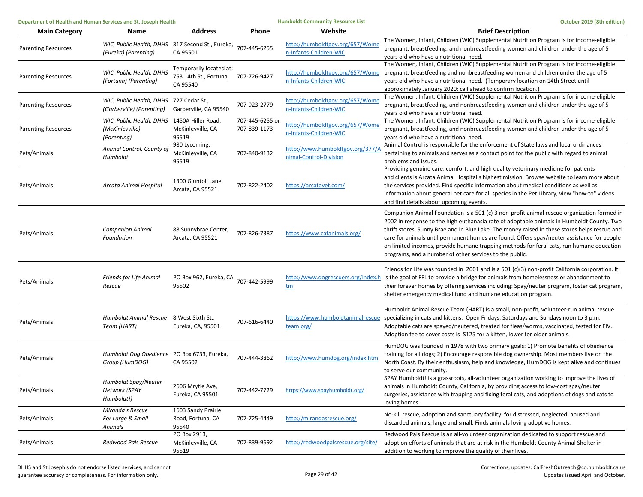| Department of Health and Human Services and St. Joseph Health |                                                                               | <b>Humboldt Community Resource List</b>                       |                                 | October 2019 (8th edition)                                 |                                                                                                                                                                                                                                                                                                                                                                                                                                                                                                                                               |
|---------------------------------------------------------------|-------------------------------------------------------------------------------|---------------------------------------------------------------|---------------------------------|------------------------------------------------------------|-----------------------------------------------------------------------------------------------------------------------------------------------------------------------------------------------------------------------------------------------------------------------------------------------------------------------------------------------------------------------------------------------------------------------------------------------------------------------------------------------------------------------------------------------|
| <b>Main Category</b>                                          | <b>Name</b>                                                                   | <b>Address</b>                                                | Phone                           | Website                                                    | <b>Brief Description</b>                                                                                                                                                                                                                                                                                                                                                                                                                                                                                                                      |
| <b>Parenting Resources</b>                                    | WIC, Public Health, DHHS 317 Second St., Eureka,<br>(Eureka) (Parenting)      | CA 95501                                                      | 707-445-6255                    | http://humboldtgov.org/657/Wome<br>n-Infants-Children-WIC  | The Women, Infant, Children (WIC) Supplemental Nutrition Program is for income-eligible<br>pregnant, breastfeeding, and nonbreastfeeding women and children under the age of 5<br>years old who have a nutritional need.                                                                                                                                                                                                                                                                                                                      |
| <b>Parenting Resources</b>                                    | WIC, Public Health, DHHS<br>(Fortuna) (Parenting)                             | Temporarily located at:<br>753 14th St., Fortuna,<br>CA 95540 | 707-726-9427                    | n-Infants-Children-WIC                                     | The Women, Infant, Children (WIC) Supplemental Nutrition Program is for income-eligible<br>http://humboldtgov.org/657/Wome pregnant, breastfeeding and nonbreastfeeding women and children under the age of 5<br>years old who have a nutritional need. (Temporary location on 14th Street until<br>approximately January 2020; call ahead to confirm location.)                                                                                                                                                                              |
| <b>Parenting Resources</b>                                    | WIC, Public Health, DHHS 727 Cedar St.,<br>(Garberville) (Parenting)          | Garberville, CA 95540                                         | 707-923-2779                    | http://humboldtgov.org/657/Wome<br>n-Infants-Children-WIC  | The Women, Infant, Children (WIC) Supplemental Nutrition Program is for income-eligible<br>pregnant, breastfeeding, and nonbreastfeeding women and children under the age of 5<br>years old who have a nutritional need.                                                                                                                                                                                                                                                                                                                      |
| <b>Parenting Resources</b>                                    | WIC, Public Health, DHHS 1450A Hiller Road,<br>(McKinleyville)<br>(Parenting) | McKinleyville, CA<br>95519                                    | 707-445-6255 or<br>707-839-1173 | http://humboldtgov.org/657/Wome<br>n-Infants-Children-WIC  | The Women, Infant, Children (WIC) Supplemental Nutrition Program is for income-eligible<br>pregnant, breastfeeding, and nonbreastfeeding women and children under the age of 5<br>years old who have a nutritional need.                                                                                                                                                                                                                                                                                                                      |
| Pets/Animals                                                  | Animal Control, County of<br>Humboldt                                         | 980 Lycoming,<br>McKinleyville, CA<br>95519                   | 707-840-9132                    | http://www.humboldtgov.org/377/A<br>nimal-Control-Division | Animal Control is responsible for the enforcement of State laws and local ordinances<br>pertaining to animals and serves as a contact point for the public with regard to animal<br>problems and issues.                                                                                                                                                                                                                                                                                                                                      |
| Pets/Animals                                                  | Arcata Animal Hospital                                                        | 1300 Giuntoli Lane,<br>Arcata, CA 95521                       | 707-822-2402                    | https://arcatavet.com/                                     | Providing genuine care, comfort, and high quality veterinary medicine for patients<br>and clients is Arcata Animal Hospital's highest mission. Browse website to learn more about<br>the services provided. Find specific information about medical conditions as well as<br>information about general pet care for all species in the Pet Library, view "how-to" videos<br>and find details about upcoming events.                                                                                                                           |
| Pets/Animals                                                  | <b>Companion Animal</b><br>Foundation                                         | 88 Sunnybrae Center,<br>Arcata, CA 95521                      | 707-826-7387                    | https://www.cafanimals.org/                                | Companion Animal Foundation is a 501 (c) 3 non-profit animal rescue organization formed in<br>2002 in response to the high euthanasia rate of adoptable animals in Humboldt County. Two<br>thrift stores, Sunny Brae and in Blue Lake. The money raised in these stores helps rescue and<br>care for animals until permanent homes are found. Offers spay/neuter assistance for people<br>on limited incomes, provide humane trapping methods for feral cats, run humane education<br>programs, and a number of other services to the public. |
| Pets/Animals                                                  | Friends for Life Animal<br>Rescue                                             | PO Box 962, Eureka, CA<br>95502                               | 707-442-5999                    | <u>tm</u>                                                  | Friends for Life was founded in 2001 and is a 501 (c)(3) non-profit California corporation. It<br>http://www.dogrescuers.org/index.h is the goal of FFL to provide a bridge for animals from homelessness or abandonment to<br>their forever homes by offering services including: Spay/neuter program, foster cat program,<br>shelter emergency medical fund and humane education program.                                                                                                                                                   |
| Pets/Animals                                                  | Humboldt Animal Rescue 8 West Sixth St.,<br>Team (HART)                       | Eureka, CA, 95501                                             | 707-616-6440                    | team.org/                                                  | Humboldt Animal Rescue Team (HART) is a small, non-profit, volunteer-run animal rescue<br>https://www.humboldtanimalrescue specializing in cats and kittens. Open Fridays, Saturdays and Sundays noon to 3 p.m.<br>Adoptable cats are spayed/neutered, treated for fleas/worms, vaccinated, tested for FIV.<br>Adoption fee to cover costs is \$125 for a kitten, lower for older animals.                                                                                                                                                    |
| Pets/Animals                                                  | Humboldt Dog Obedience PO Box 6733, Eureka,<br>Group (HumDOG)                 | CA 95502                                                      | 707-444-3862                    | http://www.humdog.org/index.htm                            | HumDOG was founded in 1978 with two primary goals: 1) Promote benefits of obedience<br>training for all dogs; 2) Encourage responsible dog ownership. Most members live on the<br>North Coast. By their enthusiasm, help and knowledge, HumDOG is kept alive and continues<br>to serve our community.                                                                                                                                                                                                                                         |
| Pets/Animals                                                  | Humboldt Spay/Neuter<br>Network (SPAY<br>Humboldt!)                           | 2606 Mrytle Ave,<br>Eureka, CA 95501                          | 707-442-7729                    | https://www.spayhumboldt.org/                              | SPAY Humboldt! is a grassroots, all-volunteer organization working to improve the lives of<br>animals in Humboldt County, California, by providing access to low-cost spay/neuter<br>surgeries, assistance with trapping and fixing feral cats, and adoptions of dogs and cats to<br>loving homes.                                                                                                                                                                                                                                            |
| Pets/Animals                                                  | Miranda's Rescue<br>For Large & Small<br>Animals                              | 1603 Sandy Prairie<br>Road, Fortuna, CA<br>95540              | 707-725-4449                    | http://mirandasrescue.org/                                 | No-kill rescue, adoption and sanctuary facility for distressed, neglected, abused and<br>discarded animals, large and small. Finds animals loving adoptive homes.                                                                                                                                                                                                                                                                                                                                                                             |
| Pets/Animals                                                  | Redwood Pals Rescue                                                           | PO Box 2913,<br>McKinleyville, CA<br>95519                    | 707-839-9692                    | http://redwoodpalsrescue.org/site/                         | Redwood Pals Rescue is an all-volunteer organization dedicated to support rescue and<br>adoption efforts of animals that are at risk in the Humboldt County Animal Shelter in<br>addition to working to improve the quality of their lives.                                                                                                                                                                                                                                                                                                   |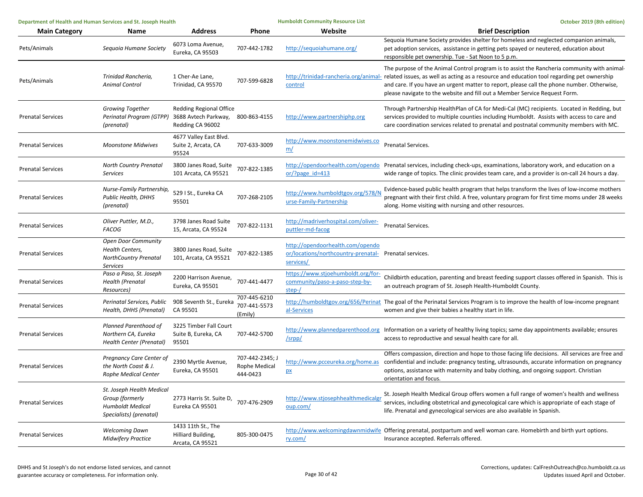| Department of Health and Human Services and St. Joseph Health |                                                                                                         | <b>Humboldt Community Resource List</b>                                    |                                              | October 2019 (8th edition)                                                                              |                                                                                                                                                                                                                                                                                                                                                                                                             |
|---------------------------------------------------------------|---------------------------------------------------------------------------------------------------------|----------------------------------------------------------------------------|----------------------------------------------|---------------------------------------------------------------------------------------------------------|-------------------------------------------------------------------------------------------------------------------------------------------------------------------------------------------------------------------------------------------------------------------------------------------------------------------------------------------------------------------------------------------------------------|
| <b>Main Category</b>                                          | Name                                                                                                    | <b>Address</b>                                                             | Phone                                        | Website                                                                                                 | <b>Brief Description</b>                                                                                                                                                                                                                                                                                                                                                                                    |
| Pets/Animals                                                  | Sequoia Humane Society                                                                                  | 6073 Loma Avenue,<br>Eureka, CA 95503                                      | 707-442-1782                                 | http://sequoiahumane.org/                                                                               | Sequoia Humane Society provides shelter for homeless and neglected companion animals,<br>pet adoption services, assistance in getting pets spayed or neutered, education about<br>responsible pet ownership. Tue - Sat Noon to 5 p.m.                                                                                                                                                                       |
| Pets/Animals                                                  | Trinidad Rancheria,<br><b>Animal Control</b>                                                            | 1 Cher-Ae Lane,<br>Trinidad, CA 95570                                      | 707-599-6828                                 | control                                                                                                 | The purpose of the Animal Control program is to assist the Rancheria community with animal-<br>http://trinidad-rancheria.org/animal- related issues, as well as acting as a resource and education tool regarding pet ownership<br>and care. If you have an urgent matter to report, please call the phone number. Otherwise,<br>please navigate to the website and fill out a Member Service Request Form. |
| <b>Prenatal Services</b>                                      | <b>Growing Together</b><br>Perinatal Program (GTPP)<br>(prenatal)                                       | <b>Redding Regional Office</b><br>3688 Avtech Parkway,<br>Redding CA 96002 | 800-863-4155                                 | http://www.partnershiphp.org                                                                            | Through Partnership HealthPlan of CA for Medi-Cal (MC) recipients. Located in Redding, but<br>services provided to multiple counties including Humboldt. Assists with access to care and<br>care coordination services related to prenatal and postnatal community members with MC.                                                                                                                         |
| <b>Prenatal Services</b>                                      | <b>Moonstone Midwives</b>                                                                               | 4677 Valley East Blvd.<br>Suite 2, Arcata, CA<br>95524                     | 707-633-3009                                 | http://www.moonstonemidwives.co<br>m/                                                                   | Prenatal Services.                                                                                                                                                                                                                                                                                                                                                                                          |
| <b>Prenatal Services</b>                                      | <b>North Country Prenatal</b><br><b>Services</b>                                                        | 3800 Janes Road, Suite<br>101 Arcata, CA 95521                             | 707-822-1385                                 | or/?page $id=413$                                                                                       | http://opendoorhealth.com/opendo Prenatal services, including check-ups, examinations, laboratory work, and education on a<br>wide range of topics. The clinic provides team care, and a provider is on-call 24 hours a day.                                                                                                                                                                                |
| <b>Prenatal Services</b>                                      | Nurse-Family Partnership,<br><b>Public Health, DHHS</b><br>(prenatal)                                   | 529 I St., Eureka CA<br>95501                                              | 707-268-2105                                 | http://www.humboldtgov.org/578/N<br>urse-Family-Partnership                                             | Evidence-based public health program that helps transform the lives of low-income mothers<br>pregnant with their first child. A free, voluntary program for first time moms under 28 weeks<br>along. Home visiting with nursing and other resources.                                                                                                                                                        |
| <b>Prenatal Services</b>                                      | Oliver Puttler, M.D.,<br><b>FACOG</b>                                                                   | 3798 Janes Road Suite<br>15, Arcata, CA 95524                              | 707-822-1131                                 | http://madriverhospital.com/oliver-<br>puttler-md-facog                                                 | <b>Prenatal Services.</b>                                                                                                                                                                                                                                                                                                                                                                                   |
| <b>Prenatal Services</b>                                      | <b>Open Door Community</b><br><b>Health Centers,</b><br><b>NorthCountry Prenatal</b><br><b>Services</b> | 3800 Janes Road, Suite<br>101, Arcata, CA 95521                            | 707-822-1385                                 | http://opendoorhealth.com/opendo<br>or/locations/northcountry-prenatal- Prenatal services.<br>services/ |                                                                                                                                                                                                                                                                                                                                                                                                             |
| <b>Prenatal Services</b>                                      | Paso a Paso, St. Joseph<br><b>Health (Prenatal</b><br>Resources)                                        | 2200 Harrison Avenue,<br>Eureka, CA 95501                                  | 707-441-4477                                 | https://www.stjoehumboldt.org/for-<br>community/paso-a-paso-step-by-<br>step-/                          | Childbirth education, parenting and breast feeding support classes offered in Spanish. This is<br>an outreach program of St. Joseph Health-Humboldt County.                                                                                                                                                                                                                                                 |
| <b>Prenatal Services</b>                                      | Perinatal Services, Public<br>Health, DHHS (Prenatal)                                                   | 908 Seventh St., Eureka<br>CA 95501                                        | 707-445-6210<br>707-441-5573<br>(Emily)      | al-Services                                                                                             | http://humboldtgov.org/656/Perinat The goal of the Perinatal Services Program is to improve the health of low-income pregnant<br>women and give their babies a healthy start in life.                                                                                                                                                                                                                       |
| <b>Prenatal Services</b>                                      | Planned Parenthood of<br>Northern CA, Eureka<br>Health Center (Prenatal)                                | 3225 Timber Fall Court<br>Suite B, Eureka, CA<br>95501                     | 707-442-5700                                 | /srpp/                                                                                                  | http://www.plannedparenthood.org Information on a variety of healthy living topics; same day appointments available; ensures<br>access to reproductive and sexual health care for all.                                                                                                                                                                                                                      |
| <b>Prenatal Services</b>                                      | Pregnancy Care Center of<br>the North Coast & J.<br><b>Rophe Medical Center</b>                         | 2390 Myrtle Avenue,<br>Eureka, CA 95501                                    | 707-442-2345; J<br>Rophe Medical<br>444-0423 | http://www.pcceureka.org/home.as<br>px                                                                  | Offers compassion, direction and hope to those facing life decisions. All services are free and<br>confidential and include: pregnancy testing, ultrasounds, accurate information on pregnancy<br>options, assistance with maternity and baby clothing, and ongoing support. Christian<br>orientation and focus.                                                                                            |
| <b>Prenatal Services</b>                                      | St. Joseph Health Medical<br>Group (formerly<br><b>Humboldt Medical</b><br>Specialists) (prenatal)      | 2773 Harris St. Suite D,<br>Eureka CA 95501                                | 707-476-2909                                 | http://www.stjosephhealthmedicalgr<br>oup.com/                                                          | St. Joseph Health Medical Group offers women a full range of women's health and wellness<br>services, including obstetrical and gynecological care which is appropriate of each stage of<br>life. Prenatal and gynecological services are also available in Spanish.                                                                                                                                        |
| <b>Prenatal Services</b>                                      | <b>Welcoming Dawn</b><br><b>Midwifery Practice</b>                                                      | 1433 11th St., The<br>Hilliard Building,<br>Arcata, CA 95521               | 805-300-0475                                 | ry.com/                                                                                                 | http://www.welcomingdawnmidwife Offering prenatal, postpartum and well woman care. Homebirth and birth yurt options.<br>Insurance accepted. Referrals offered.                                                                                                                                                                                                                                              |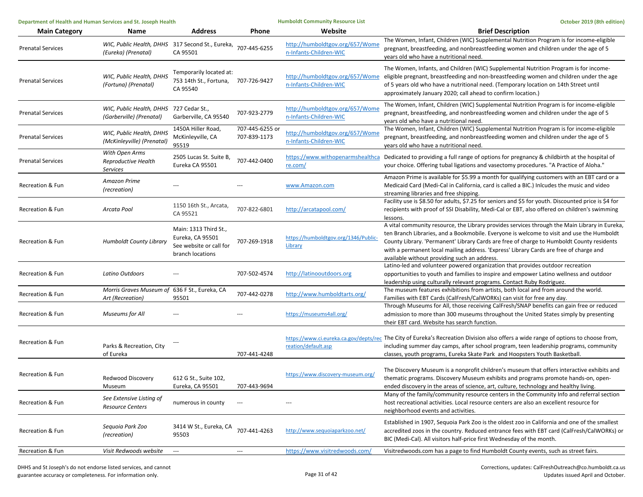| Department of Health and Human Services and St. Joseph Health |                                                                                      | <b>Humboldt Community Resource List</b>                                                  |                                 | October 2019 (8th edition)                                |                                                                                                                                                                                                                                                                                                                                                                                                                                   |
|---------------------------------------------------------------|--------------------------------------------------------------------------------------|------------------------------------------------------------------------------------------|---------------------------------|-----------------------------------------------------------|-----------------------------------------------------------------------------------------------------------------------------------------------------------------------------------------------------------------------------------------------------------------------------------------------------------------------------------------------------------------------------------------------------------------------------------|
| <b>Main Category</b>                                          | Name                                                                                 | <b>Address</b>                                                                           | Phone                           | Website                                                   | <b>Brief Description</b>                                                                                                                                                                                                                                                                                                                                                                                                          |
| <b>Prenatal Services</b>                                      | WIC, Public Health, DHHS 317 Second St., Eureka, 707-445-6255<br>(Eureka) (Prenatal) | CA 95501                                                                                 |                                 | http://humboldtgov.org/657/Wome<br>n-Infants-Children-WIC | The Women, Infant, Children (WIC) Supplemental Nutrition Program is for income-eligible<br>pregnant, breastfeeding, and nonbreastfeeding women and children under the age of 5<br>years old who have a nutritional need.                                                                                                                                                                                                          |
| <b>Prenatal Services</b>                                      | WIC, Public Health, DHHS<br>(Fortuna) (Prenatal)                                     | Temporarily located at:<br>753 14th St., Fortuna,<br>CA 95540                            | 707-726-9427                    | n-Infants-Children-WIC                                    | The Women, Infants, and Children (WIC) Supplemental Nutrition Program is for income-<br>http://humboldtgov.org/657/Wome eligible pregnant, breastfeeding and non-breastfeeding women and children under the age<br>of 5 years old who have a nutritional need. (Temporary location on 14th Street until<br>approximately January 2020; call ahead to confirm location.)                                                           |
| <b>Prenatal Services</b>                                      | WIC, Public Health, DHHS<br>(Garberville) (Prenatal)                                 | 727 Cedar St.,<br>Garberville, CA 95540                                                  | 707-923-2779                    | http://humboldtgov.org/657/Wome<br>n-Infants-Children-WIC | The Women, Infant, Children (WIC) Supplemental Nutrition Program is for income-eligible<br>pregnant, breastfeeding, and nonbreastfeeding women and children under the age of 5<br>years old who have a nutritional need.                                                                                                                                                                                                          |
| <b>Prenatal Services</b>                                      | WIC, Public Health, DHHS<br>(McKinleyville) (Prenatal)                               | 1450A Hiller Road,<br>McKinleyville, CA<br>95519                                         | 707-445-6255 or<br>707-839-1173 | http://humboldtgov.org/657/Wome<br>n-Infants-Children-WIC | The Women, Infant, Children (WIC) Supplemental Nutrition Program is for income-eligible<br>pregnant, breastfeeding, and nonbreastfeeding women and children under the age of 5<br>years old who have a nutritional need.                                                                                                                                                                                                          |
| <b>Prenatal Services</b>                                      | With Open Arms<br>Reproductive Health<br><b>Services</b>                             | 2505 Lucas St. Suite B,<br>Eureka CA 95501                                               | 707-442-0400                    | re.com/                                                   | https://www.withopenarmshealthca Dedicated to providing a full range of options for pregnancy & childbirth at the hospital of<br>your choice. Offering tubal ligations and vasectomy procedures. "A Practice of Aloha."                                                                                                                                                                                                           |
| Recreation & Fun                                              | <b>Amazon Prime</b><br>(recreation)                                                  | ---                                                                                      |                                 | www.Amazon.com                                            | Amazon Prime is available for \$5.99 a month for qualifying customers with an EBT card or a<br>Medicaid Card (Medi-Cal in California, card is called a BIC.) Inlcudes the music and video<br>streaming libraries and free shipping.                                                                                                                                                                                               |
| Recreation & Fun                                              | Arcata Pool                                                                          | 1150 16th St., Arcata,<br>CA 95521                                                       | 707-822-6801                    | http://arcatapool.com/                                    | Facility use is \$8.50 for adults, \$7.25 for seniors and \$5 for youth. Discounted price is \$4 for<br>recipients with proof of SSI Disability, Medi-Cal or EBT, also offered on children's swimming<br>lessons.                                                                                                                                                                                                                 |
| Recreation & Fun                                              | Humboldt County Library                                                              | Main: 1313 Third St.,<br>Eureka, CA 95501<br>See website or call for<br>branch locations | 707-269-1918                    | https://humboldtgov.org/1346/Public-<br>Library           | A vital community resource, the Library provides services through the Main Library in Eureka,<br>ten Branch Libraries, and a Bookmobile. Everyone is welcome to visit and use the Humboldt<br>County Library. 'Permanent' Library Cards are free of charge to Humboldt County residents<br>with a permanent local mailing address. 'Express' Library Cards are free of charge and<br>available without providing such an address. |
| Recreation & Fun                                              | Latino Outdoors                                                                      | ---                                                                                      | 707-502-4574                    | http://latinooutdoors.org                                 | Latino-led and volunteer powered organization that provides outdoor recreation<br>opportunities to youth and families to inspire and empower Latino wellness and outdoor<br>leadership using culturally relevant programs. Contact Ruby Rodriguez.                                                                                                                                                                                |
| Recreation & Fun                                              | Morris Graves Museum of 636 F St., Eureka, CA<br>Art (Recreation)                    | 95501                                                                                    | 707-442-0278                    | http://www.humboldtarts.org/                              | The museum features exhibitions from artists, both local and from around the world.<br>Families with EBT Cards (CalFresh/CalWORKs) can visit for free any day.                                                                                                                                                                                                                                                                    |
| Recreation & Fun                                              | Museums for All                                                                      | ---                                                                                      |                                 | https://museums4all.org/                                  | Through Museums for All, those receiving CalFresh/SNAP benefits can gain free or reduced<br>admission to more than 300 museums throughout the United States simply by presenting<br>their EBT card. Website has search function.                                                                                                                                                                                                  |
| Recreation & Fun                                              | Parks & Recreation, City<br>of Eureka                                                |                                                                                          | 707-441-4248                    | reation/default.asp                                       | https://www.ci.eureka.ca.gov/depts/rec The City of Eureka's Recreation Division also offers a wide range of options to choose from,<br>including summer day camps, after school program, teen leadership programs, community<br>classes, youth programs, Eureka Skate Park and Hoopsters Youth Basketball                                                                                                                         |
| Recreation & Fun                                              | Redwood Discovery<br>Museum                                                          | 612 G St., Suite 102,<br>Eureka, CA 95501                                                | 707-443-9694                    | https://www.discovery-museum.org/                         | The Discovery Museum is a nonprofit children's museum that offers interactive exhibits and<br>thematic programs. Discovery Museum exhibits and programs promote hands-on, open-<br>ended discovery in the areas of science, art, culture, technology and healthy living.                                                                                                                                                          |
| Recreation & Fun                                              | See Extensive Listing of<br><b>Resource Centers</b>                                  | numerous in county                                                                       | $\hspace{0.05cm} \cdots$        | ---                                                       | Many of the family/community resource centers in the Community Info and referral section<br>host recreational activities. Local resource centers are also an excellent resource for<br>neighborhood events and activities.                                                                                                                                                                                                        |
| Recreation & Fun                                              | Seguoia Park Zoo<br>(recreation)                                                     | 3414 W St., Eureka, CA<br>95503                                                          | 707-441-4263                    | http://www.sequoiaparkzoo.net/                            | Established in 1907, Sequoia Park Zoo is the oldest zoo in California and one of the smallest<br>accredited zoos in the country. Reduced entrance fees with EBT card (CalFresh/CalWORKs) or<br>BIC (Medi-Cal). All visitors half-price first Wednesday of the month.                                                                                                                                                              |
| Recreation & Fun                                              | Visit Redwoods website                                                               | $\hspace{0.05cm} \cdots$                                                                 | $\hspace{0.05cm} \cdots$        | https://www.visitredwoods.com/                            | Visitredwoods.com has a page to find Humboldt County events, such as street fairs.                                                                                                                                                                                                                                                                                                                                                |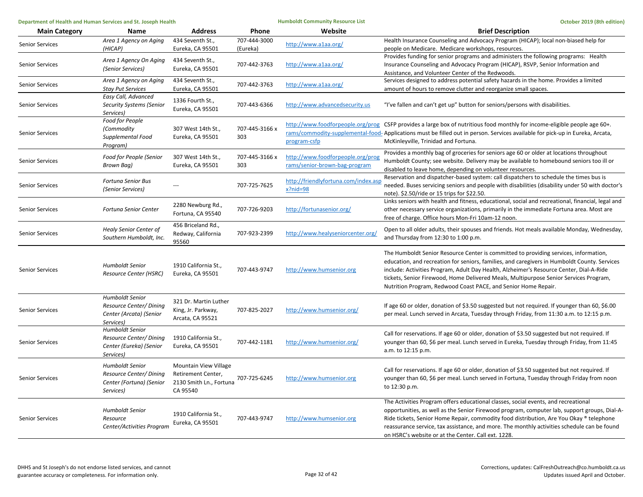| Department of Health and Human Services and St. Joseph Health |                                                                                            |                                                                                    |                          | <b>Humboldt Community Resource List</b>                            | October 2019 (8th edition)                                                                                                                                                                                                                                                                                                                                                                                                                 |  |
|---------------------------------------------------------------|--------------------------------------------------------------------------------------------|------------------------------------------------------------------------------------|--------------------------|--------------------------------------------------------------------|--------------------------------------------------------------------------------------------------------------------------------------------------------------------------------------------------------------------------------------------------------------------------------------------------------------------------------------------------------------------------------------------------------------------------------------------|--|
| <b>Main Category</b>                                          | Name                                                                                       | <b>Address</b>                                                                     | Phone                    | Website                                                            | <b>Brief Description</b>                                                                                                                                                                                                                                                                                                                                                                                                                   |  |
| <b>Senior Services</b>                                        | Area 1 Agency on Aging<br>(HICAP)                                                          | 434 Seventh St.,<br>Eureka, CA 95501                                               | 707-444-3000<br>(Eureka) | http://www.a1aa.org/                                               | Health Insurance Counseling and Advocacy Program (HICAP); local non-biased help for<br>people on Medicare. Medicare workshops, resources.                                                                                                                                                                                                                                                                                                  |  |
| <b>Senior Services</b>                                        | Area 1 Agency On Aging<br>(Senior Services)                                                | 434 Seventh St.,<br>Eureka, CA 95501                                               | 707-442-3763             | http://www.a1aa.org/                                               | Provides funding for senior programs and administers the following programs: Health<br>Insurance Counseling and Advocacy Program (HICAP), RSVP, Senior Information and<br>Assistance, and Volunteer Center of the Redwoods.                                                                                                                                                                                                                |  |
| <b>Senior Services</b>                                        | Area 1 Agency on Aging<br><b>Stay Put Services</b>                                         | 434 Seventh St.,<br>Eureka, CA 95501                                               | 707-442-3763             | http://www.a1aa.org/                                               | Services designed to address potential safety hazards in the home. Provides a limited<br>amount of hours to remove clutter and reorganize small spaces.                                                                                                                                                                                                                                                                                    |  |
| <b>Senior Services</b>                                        | Easy Call, Advanced<br><b>Security Systems (Senior</b><br>Services)                        | 1336 Fourth St.,<br>Eureka, CA 95501                                               | 707-443-6366             | http://www.advancedsecurity.us                                     | "I've fallen and can't get up" button for seniors/persons with disabilities.                                                                                                                                                                                                                                                                                                                                                               |  |
| Senior Services                                               | Food for People<br>(Commodity<br>Supplemental Food<br>Program)                             | 307 West 14th St.,<br>Eureka, CA 95501                                             | 707-445-3166 x<br>303    | program-csfp                                                       | http://www.foodforpeople.org/prog CSFP provides a large box of nutritious food monthly for income-eligible people age 60+.<br>rams/commodity-supplemental-food-Applications must be filled out in person. Services available for pick-up in Eureka, Arcata,<br>McKinleyville, Trinidad and Fortuna.                                                                                                                                        |  |
| Senior Services                                               | Food for People (Senior<br>Brown Bag)                                                      | 307 West 14th St.,<br>Eureka, CA 95501                                             | 707-445-3166 x<br>303    | http://www.foodforpeople.org/prog<br>rams/senior-brown-bag-program | Provides a monthly bag of groceries for seniors age 60 or older at locations throughout<br>Humboldt County; see website. Delivery may be available to homebound seniors too ill or<br>disabled to leave home, depending on volunteer resources.                                                                                                                                                                                            |  |
| Senior Services                                               | Fortuna Senior Bus<br>(Senior Services)                                                    |                                                                                    | 707-725-7625             | http://friendlyfortuna.com/index.asp<br>$x?$ nid=98                | Reservation and dispatcher-based system: call dispatchers to schedule the times bus is<br>needed. Buses servicing seniors and people with disabilities (disability under 50 with doctor's<br>note). \$2.50/ride or 15 trips for \$22.50.                                                                                                                                                                                                   |  |
| Senior Services                                               | <b>Fortuna Senior Center</b>                                                               | 2280 Newburg Rd.,<br>Fortuna, CA 95540                                             | 707-726-9203             | http://fortunasenior.org/                                          | Links seniors with health and fitness, educational, social and recreational, financial, legal and<br>other necessary service organizations, primarily in the immediate Fortuna area. Most are<br>free of charge. Office hours Mon-Fri 10am-12 noon.                                                                                                                                                                                        |  |
| Senior Services                                               | <b>Healy Senior Center of</b><br>Southern Humboldt, Inc.                                   | 456 Briceland Rd.,<br>Redway, California<br>95560                                  | 707-923-2399             | http://www.healyseniorcenter.org/                                  | Open to all older adults, their spouses and friends. Hot meals available Monday, Wednesday,<br>and Thursday from 12:30 to 1:00 p.m.                                                                                                                                                                                                                                                                                                        |  |
| <b>Senior Services</b>                                        | <b>Humboldt Senior</b><br>Resource Center (HSRC)                                           | 1910 California St.,<br>Eureka, CA 95501                                           | 707-443-9747             | http://www.humsenior.org                                           | The Humboldt Senior Resource Center is committed to providing services, information,<br>education, and recreation for seniors, families, and caregivers in Humboldt County. Services<br>include: Activities Program, Adult Day Health, Alzheimer's Resource Center, Dial-A-Ride<br>tickets, Senior Firewood, Home Delivered Meals, Multipurpose Senior Services Program,<br>Nutrition Program, Redwood Coast PACE, and Senior Home Repair. |  |
| <b>Senior Services</b>                                        | Humboldt Senior<br>Resource Center/Dining<br>Center (Arcata) (Senior<br>Services)          | 321 Dr. Martin Luther<br>King, Jr. Parkway,<br>Arcata, CA 95521                    | 707-825-2027             | http://www.humsenior.org/                                          | If age 60 or older, donation of \$3.50 suggested but not required. If younger than 60, \$6.00<br>per meal. Lunch served in Arcata, Tuesday through Friday, from 11:30 a.m. to 12:15 p.m.                                                                                                                                                                                                                                                   |  |
| Senior Services                                               | <b>Humboldt Senior</b><br>Resource Center/Dining<br>Center (Eureka) (Senior<br>Services)   | 1910 California St.,<br>Eureka, CA 95501                                           | 707-442-1181             | http://www.humsenior.org/                                          | Call for reservations. If age 60 or older, donation of \$3.50 suggested but not required. If<br>younger than 60, \$6 per meal. Lunch served in Eureka, Tuesday through Friday, from 11:45<br>a.m. to 12:15 p.m.                                                                                                                                                                                                                            |  |
| Senior Services                                               | <b>Humboldt Senior</b><br>Resource Center/ Dining<br>Center (Fortuna) (Senior<br>Services) | Mountain View Village<br>Retirement Center,<br>2130 Smith Ln., Fortuna<br>CA 95540 | 707-725-6245             | http://www.humsenior.org                                           | Call for reservations. If age 60 or older, donation of \$3.50 suggested but not required. If<br>younger than 60, \$6 per meal. Lunch served in Fortuna, Tuesday through Friday from noon<br>to 12:30 p.m.                                                                                                                                                                                                                                  |  |
| <b>Senior Services</b>                                        | <b>Humboldt Senior</b><br>Resource<br>Center/Activities Program                            | 1910 California St.,<br>Eureka, CA 95501                                           | 707-443-9747             | http://www.humsenior.org                                           | The Activities Program offers educational classes, social events, and recreational<br>opportunities, as well as the Senior Firewood program, computer lab, support groups, Dial-A-<br>Ride tickets, Senior Home Repair, commodity food distribution, Are You Okay ® telephone<br>reassurance service, tax assistance, and more. The monthly activities schedule can be found<br>on HSRC's website or at the Center. Call ext. 1228.        |  |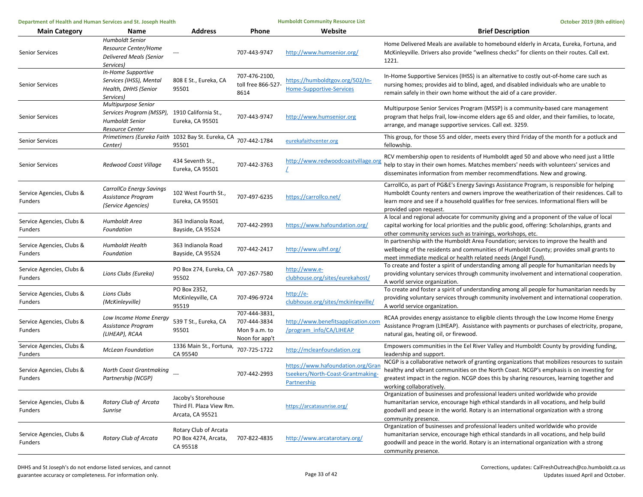| Department of Health and Human Services and St. Joseph Health |                                                                                               |                                                                     | <b>Humboldt Community Resource List</b>                          |                                                                                       | October 2019 (8th edition)                                                                                                                                                                                                                                                                                        |
|---------------------------------------------------------------|-----------------------------------------------------------------------------------------------|---------------------------------------------------------------------|------------------------------------------------------------------|---------------------------------------------------------------------------------------|-------------------------------------------------------------------------------------------------------------------------------------------------------------------------------------------------------------------------------------------------------------------------------------------------------------------|
| <b>Main Category</b>                                          | Name                                                                                          | <b>Address</b>                                                      | Phone                                                            | Website                                                                               | <b>Brief Description</b>                                                                                                                                                                                                                                                                                          |
| <b>Senior Services</b>                                        | <b>Humboldt Senior</b><br>Resource Center/Home<br><b>Delivered Meals (Senior</b><br>Services) |                                                                     | 707-443-9747                                                     | http://www.humsenior.org/                                                             | Home Delivered Meals are available to homebound elderly in Arcata, Eureka, Fortuna, and<br>McKinleyville. Drivers also provide "wellness checks" for clients on their routes. Call ext.<br>1221.                                                                                                                  |
| <b>Senior Services</b>                                        | In-Home Supportive<br>Services (IHSS), Mental<br>Health, DHHS (Senior<br>Services)            | 808 E St., Eureka, CA<br>95501                                      | 707-476-2100,<br>toll free 866-527-<br>8614                      | https://humboldtgov.org/502/In-<br>Home-Supportive-Services                           | In-Home Supportive Services (IHSS) is an alternative to costly out-of-home care such as<br>nursing homes; provides aid to blind, aged, and disabled individuals who are unable to<br>remain safely in their own home without the aid of a care provider.                                                          |
| <b>Senior Services</b>                                        | Multipurpose Senior<br>Services Program (MSSP),<br>Humboldt Senior<br><b>Resource Center</b>  | 1910 California St.,<br>Eureka, CA 95501                            | 707-443-9747                                                     | http://www.humsenior.org                                                              | Multipurpose Senior Services Program (MSSP) is a community-based care management<br>program that helps frail, low-income elders age 65 and older, and their families, to locate,<br>arrange, and manage supportive services. Call ext. 3259.                                                                      |
| <b>Senior Services</b>                                        | Primetimers (Eureka Faith 1032 Bay St. Eureka, CA<br>(Center                                  | 95501                                                               | 707-442-1784                                                     | eurekafaithcenter.org                                                                 | This group, for those 55 and older, meets every third Friday of the month for a potluck and<br>fellowship.                                                                                                                                                                                                        |
| <b>Senior Services</b>                                        | Redwood Coast Village                                                                         | 434 Seventh St.,<br>Eureka, CA 95501                                | 707-442-3763                                                     | http://www.redwoodcoastvillage.org                                                    | RCV membership open to residents of Humboldt aged 50 and above who need just a little<br>help to stay in their own homes. Matches members' needs with volunteers' services and<br>disseminates information from member recommendfations. New and growing.                                                         |
| Service Agencies, Clubs &<br>Funders                          | CarrollCo Energy Savings<br>Assistance Program<br>(Service Agencies)                          | 102 West Fourth St.,<br>Eureka, CA 95501                            | 707-497-6235                                                     | https://carrollco.net/                                                                | CarrollCo, as part of PG&E's Energy Savings Assistance Program, is responsible for helping<br>Humboldt County renters and owners improve the weatherization of their residences. Call to<br>learn more and see if a household qualifies for free services. Informational fliers will be<br>provided upon request. |
| Service Agencies, Clubs &<br>Funders                          | Humboldt Area<br>Foundation                                                                   | 363 Indianola Road,<br>Bayside, CA 95524                            | 707-442-2993                                                     | https://www.hafoundation.org/                                                         | A local and regional advocate for community giving and a proponent of the value of local<br>capital working for local priorities and the public good, offering: Scholarships, grants and<br>other community services such as trainings, workshops, etc.                                                           |
| Service Agencies, Clubs &<br>Funders                          | <b>Humboldt Health</b><br>Foundation                                                          | 363 Indianola Road<br>Bayside, CA 95524                             | 707-442-2417                                                     | http://www.ulhf.org/                                                                  | In partnership with the Humboldt Area Foundation; services to improve the health and<br>wellbeing of the residents and communities of Humboldt County; provides small grants to<br>meet immediate medical or health related needs (Angel Fund).                                                                   |
| Service Agencies, Clubs &<br>Funders                          | Lions Clubs (Eureka)                                                                          | PO Box 274, Eureka, CA<br>95502                                     | 707-267-7580                                                     | http://www.e-<br>clubhouse.org/sites/eurekahost/                                      | To create and foster a spirit of understanding among all people for humanitarian needs by<br>providing voluntary services through community involvement and international cooperation.<br>A world service organization.                                                                                           |
| Service Agencies, Clubs &<br>Funders                          | Lions Clubs<br>(McKinleyville)                                                                | PO Box 2352,<br>McKinleyville, CA<br>95519                          | 707-496-9724                                                     | http://e-<br>clubhouse.org/sites/mckinleyville/                                       | To create and foster a spirit of understanding among all people for humanitarian needs by<br>providing voluntary services through community involvement and international cooperation.<br>A world service organization.                                                                                           |
| Service Agencies, Clubs &<br>Funders                          | Low Income Home Energy<br>Assistance Program<br>(LIHEAP), RCAA                                | 539 T St., Eureka, CA<br>95501                                      | 707-444-3831,<br>707-444-3834<br>Mon 9 a.m. to<br>Noon for app't | http://www.benefitsapplication.com<br>/program info/CA/LIHEAP                         | RCAA provides energy assistance to eligible clients through the Low Income Home Energy<br>Assistance Program (LIHEAP). Assistance with payments or purchases of electricity, propane,<br>natural gas, heating oil, or firewood.                                                                                   |
| Service Agencies, Clubs &<br>Funders                          | <b>McLean Foundation</b>                                                                      | 1336 Main St., Fortuna,<br>CA 95540                                 | 707-725-1722                                                     | http://mcleanfoundation.org                                                           | Empowers communities in the Eel River Valley and Humboldt County by providing funding,<br>leadership and support.                                                                                                                                                                                                 |
| Service Agencies, Clubs &<br>Funders                          | North Coast Grantmaking<br>Partnership (NCGP)                                                 |                                                                     | 707-442-2993                                                     | https://www.hafoundation.org/Gran<br>tseekers/North-Coast-Grantmaking-<br>Partnership | NCGP is a collaborative network of granting organizations that mobilizes resources to sustain<br>healthy and vibrant communities on the North Coast. NCGP's emphasis is on investing for<br>greatest impact in the region. NCGP does this by sharing resources, learning together and<br>working collaboratively. |
| Service Agencies, Clubs &<br>Funders                          | Rotary Club of Arcata<br>Sunrise                                                              | Jacoby's Storehouse<br>Third Fl. Plaza View Rm.<br>Arcata, CA 95521 |                                                                  | https://arcatasunrise.org/                                                            | Organization of businesses and professional leaders united worldwide who provide<br>humanitarian service, encourage high ethical standards in all vocations, and help build<br>goodwill and peace in the world. Rotary is an international organization with a strong<br>community presence.                      |
| Service Agencies, Clubs &<br><b>Funders</b>                   | Rotary Club of Arcata                                                                         | Rotary Club of Arcata<br>PO Box 4274, Arcata,<br>CA 95518           | 707-822-4835                                                     | http://www.arcatarotary.org/                                                          | Organization of businesses and professional leaders united worldwide who provide<br>humanitarian service, encourage high ethical standards in all vocations, and help build<br>goodwill and peace in the world. Rotary is an international organization with a strong<br>community presence.                      |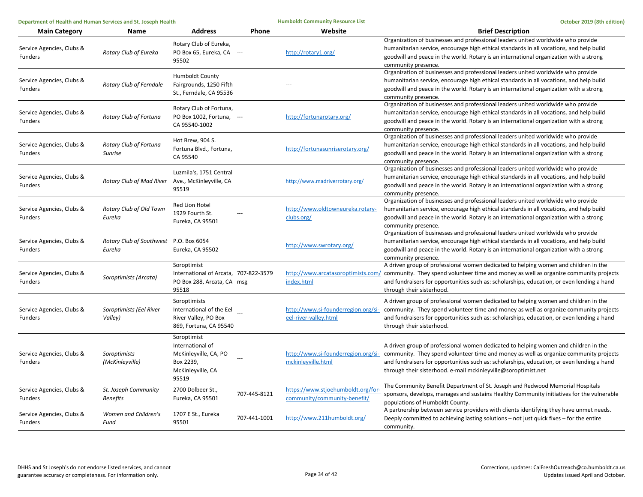| Department of Health and Human Services and St. Joseph Health |                                                  |                                                                                                     | <b>Humboldt Community Resource List</b> | October 2019 (8th edition)                                         |                                                                                                                                                                                                                                                                                                                                                                                  |
|---------------------------------------------------------------|--------------------------------------------------|-----------------------------------------------------------------------------------------------------|-----------------------------------------|--------------------------------------------------------------------|----------------------------------------------------------------------------------------------------------------------------------------------------------------------------------------------------------------------------------------------------------------------------------------------------------------------------------------------------------------------------------|
| <b>Main Category</b>                                          | Name                                             | <b>Address</b>                                                                                      | <b>Phone</b>                            | Website                                                            | <b>Brief Description</b>                                                                                                                                                                                                                                                                                                                                                         |
| Service Agencies, Clubs &<br><b>Funders</b>                   | Rotary Club of Eureka                            | Rotary Club of Eureka,<br>PO Box 65, Eureka, CA ---<br>95502                                        |                                         | http://rotary1.org/                                                | Organization of businesses and professional leaders united worldwide who provide<br>humanitarian service, encourage high ethical standards in all vocations, and help build<br>goodwill and peace in the world. Rotary is an international organization with a strong<br>community presence.                                                                                     |
| Service Agencies, Clubs &<br>Funders                          | Rotary Club of Ferndale                          | Humboldt County<br>Fairgrounds, 1250 Fifth<br>St., Ferndale, CA 95536                               |                                         |                                                                    | Organization of businesses and professional leaders united worldwide who provide<br>humanitarian service, encourage high ethical standards in all vocations, and help build<br>goodwill and peace in the world. Rotary is an international organization with a strong<br>community presence.                                                                                     |
| Service Agencies, Clubs &<br><b>Funders</b>                   | Rotary Club of Fortuna                           | Rotary Club of Fortuna,<br>PO Box 1002, Fortuna, ---<br>CA 95540-1002                               |                                         | http://fortunarotary.org/                                          | Organization of businesses and professional leaders united worldwide who provide<br>humanitarian service, encourage high ethical standards in all vocations, and help build<br>goodwill and peace in the world. Rotary is an international organization with a strong<br>community presence.                                                                                     |
| Service Agencies, Clubs &<br>Funders                          | Rotary Club of Fortuna<br>Sunrise                | Hot Brew, 904 S.<br>Fortuna Blvd., Fortuna,<br>CA 95540                                             |                                         | http://fortunasunriserotary.org/                                   | Organization of businesses and professional leaders united worldwide who provide<br>humanitarian service, encourage high ethical standards in all vocations, and help build<br>goodwill and peace in the world. Rotary is an international organization with a strong<br>community presence.                                                                                     |
| Service Agencies, Clubs &<br>Funders                          | Rotary Club of Mad River Ave., McKinleyville, CA | Luzmila's, 1751 Central<br>95519                                                                    |                                         | http://www.madriverrotary.org/                                     | Organization of businesses and professional leaders united worldwide who provide<br>humanitarian service, encourage high ethical standards in all vocations, and help build<br>goodwill and peace in the world. Rotary is an international organization with a strong<br>community presence.                                                                                     |
| Service Agencies, Clubs &<br><b>Funders</b>                   | Rotary Club of Old Town<br>Eureka                | Red Lion Hotel<br>1929 Fourth St.<br>Eureka, CA 95501                                               |                                         | http://www.oldtowneureka.rotary-<br>clubs.org/                     | Organization of businesses and professional leaders united worldwide who provide<br>humanitarian service, encourage high ethical standards in all vocations, and help build<br>goodwill and peace in the world. Rotary is an international organization with a strong<br>community presence.                                                                                     |
| Service Agencies, Clubs &<br><b>Funders</b>                   | Rotary Club of Southwest P.O. Box 6054<br>Eureka | Eureka, CA 95502                                                                                    |                                         | http://www.swrotary.org/                                           | Organization of businesses and professional leaders united worldwide who provide<br>humanitarian service, encourage high ethical standards in all vocations, and help build<br>goodwill and peace in the world. Rotary is an international organization with a strong<br>community presence.                                                                                     |
| Service Agencies, Clubs &<br><b>Funders</b>                   | Soroptimists (Arcata)                            | Soroptimist<br>International of Arcata, 707-822-3579<br>PO Box 288, Arcata, CA msg<br>95518         |                                         | index.html                                                         | A driven group of professional women dedicated to helping women and children in the<br>http://www.arcatasoroptimists.com/ community. They spend volunteer time and money as well as organize community projects<br>and fundraisers for opportunities such as: scholarships, education, or even lending a hand<br>through their sisterhood.                                       |
| Service Agencies, Clubs &<br><b>Funders</b>                   | Soroptimists (Eel River<br>Valley)               | Soroptimists<br>International of the Eel<br>River Valley, PO Box<br>869, Fortuna, CA 95540          |                                         | http://www.si-founderregion.org/si-<br>eel-river-valley.html       | A driven group of professional women dedicated to helping women and children in the<br>community. They spend volunteer time and money as well as organize community projects<br>and fundraisers for opportunities such as: scholarships, education, or even lending a hand<br>through their sisterhood.                                                                          |
| Service Agencies, Clubs &<br>Funders                          | Soroptimists<br>(McKinleyville)                  | Soroptimist<br>International of<br>McKinleyville, CA, PO<br>Box 2239,<br>McKinleyville, CA<br>95519 |                                         | mckinleyville.html                                                 | A driven group of professional women dedicated to helping women and children in the<br>http://www.si-founderregion.org/si- community. They spend volunteer time and money as well as organize community projects<br>and fundraisers for opportunities such as: scholarships, education, or even lending a hand<br>through their sisterhood. e-mail mckinleyville@soroptimist.net |
| Service Agencies, Clubs &<br><b>Funders</b>                   | St. Joseph Community<br><b>Benefits</b>          | 2700 Dolbeer St.,<br>Eureka, CA 95501                                                               | 707-445-8121                            | https://www.stjoehumboldt.org/for-<br>community/community-benefit/ | The Community Benefit Department of St. Joseph and Redwood Memorial Hospitals<br>sponsors, develops, manages and sustains Healthy Community initiatives for the vulnerable<br>populations of Humboldt County.                                                                                                                                                                    |
| Service Agencies, Clubs &<br>Funders                          | Women and Children's<br>Fund                     | 1707 E St., Eureka<br>95501                                                                         | 707-441-1001                            | http://www.211humboldt.org/                                        | A partnership between service providers with clients identifying they have unmet needs.<br>Deeply committed to achieving lasting solutions – not just quick fixes – for the entire<br>community.                                                                                                                                                                                 |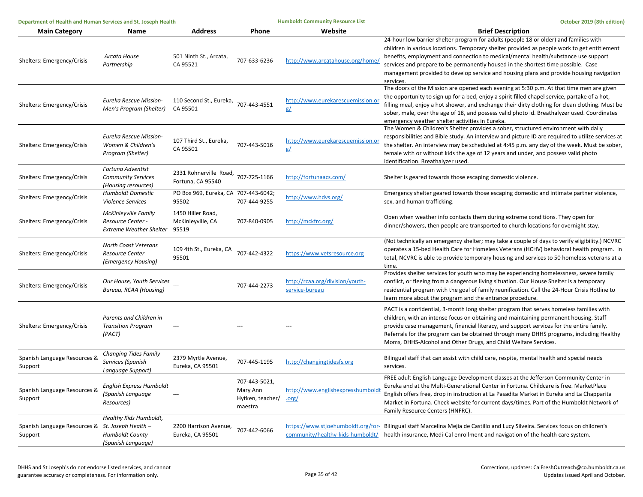| Department of Health and Human Services and St. Joseph Health |                                                                              |                                                  |                                                          | <b>Humboldt Community Resource List</b>           | October 2019 (8th edition)                                                                                                                                                                                                                                                                                                                                                                                                                                              |
|---------------------------------------------------------------|------------------------------------------------------------------------------|--------------------------------------------------|----------------------------------------------------------|---------------------------------------------------|-------------------------------------------------------------------------------------------------------------------------------------------------------------------------------------------------------------------------------------------------------------------------------------------------------------------------------------------------------------------------------------------------------------------------------------------------------------------------|
| <b>Main Category</b>                                          | Name                                                                         | <b>Address</b>                                   | Phone                                                    | Website                                           | <b>Brief Description</b>                                                                                                                                                                                                                                                                                                                                                                                                                                                |
| Shelters: Emergency/Crisis                                    | Arcata House<br>Partnership                                                  | 501 Ninth St., Arcata,<br>CA 95521               | 707-633-6236                                             | http://www.arcatahouse.org/home/                  | 24-hour low barrier shelter program for adults (people 18 or older) and families with<br>children in various locations. Temporary shelter provided as people work to get entitlement<br>benefits, employment and connection to medical/mental health/substance use support<br>services and prepare to be permanently housed in the shortest time possible. Case<br>management provided to develop service and housing plans and provide housing navigation<br>services. |
| Shelters: Emergency/Crisis                                    | Eureka Rescue Mission-<br>Men's Program (Shelter)                            | 110 Second St., Eureka, 707-443-4551<br>CA 95501 |                                                          | http://www.eurekarescuemission.org<br>g/          | The doors of the Mission are opened each evening at 5:30 p.m. At that time men are given<br>the opportunity to sign up for a bed, enjoy a spirit filled chapel service, partake of a hot,<br>filling meal, enjoy a hot shower, and exchange their dirty clothing for clean clothing. Must be<br>sober, male, over the age of 18, and possess valid photo id. Breathalyzer used. Coordinates<br>emergency weather shelter activities in Eureka.                          |
| Shelters: Emergency/Crisis                                    | Eureka Rescue Mission-<br>Women & Children's<br>Program (Shelter)            | 107 Third St., Eureka,<br>CA 95501               | 707-443-5016                                             | http://www.eurekarescuemission.or<br><u>g/</u>    | The Women & Children's Shelter provides a sober, structured environment with daily<br>responsibilities and Bible study. An interview and picture ID are required to utilize services at<br>the shelter. An interview may be scheduled at 4:45 p.m. any day of the week. Must be sober,<br>female with or without kids the age of 12 years and under, and possess valid photo<br>identification. Breathalyzer used.                                                      |
| Shelters: Emergency/Crisis                                    | Fortuna Adventist<br><b>Community Services</b><br>(Housing resources)        | 2331 Rohnerville Road,<br>Fortuna, CA 95540      | 707-725-1166                                             | http://fortunaacs.com/                            | Shelter is geared towards those escaping domestic violence.                                                                                                                                                                                                                                                                                                                                                                                                             |
| Shelters: Emergency/Crisis                                    | <b>Humboldt Domestic</b><br>Violence Services                                | PO Box 969, Eureka, CA 707-443-6042;<br>95502    | 707-444-9255                                             | http://www.hdvs.org/                              | Emergency shelter geared towards those escaping domestic and intimate partner violence,<br>sex, and human trafficking.                                                                                                                                                                                                                                                                                                                                                  |
| Shelters: Emergency/Crisis                                    | McKinleyville Family<br>Resource Center -<br><b>Extreme Weather Shelter</b>  | 1450 Hiller Road,<br>McKinleyville, CA<br>95519  | 707-840-0905                                             | http://mckfrc.org/                                | Open when weather info contacts them during extreme conditions. They open for<br>dinner/showers, then people are transported to church locations for overnight stay.                                                                                                                                                                                                                                                                                                    |
| Shelters: Emergency/Crisis                                    | <b>North Coast Veterans</b><br><b>Resource Center</b><br>(Emergency Housing) | 109 4th St., Eureka, CA<br>95501                 | 707-442-4322                                             | https://www.vetsresource.org                      | (Not technically an emergency shelter; may take a couple of days to verify eligibility.) NCVRC<br>operates a 15-bed Health Care for Homeless Veterans (HCHV) behavioral health program. In<br>total, NCVRC is able to provide temporary housing and services to 50 homeless veterans at a<br>time.                                                                                                                                                                      |
| Shelters: Emergency/Crisis                                    | Our House, Youth Services<br>Bureau, RCAA (Housing)                          |                                                  | 707-444-2273                                             | http://rcaa.org/division/youth-<br>service-bureau | Provides shelter services for youth who may be experiencing homelessness, severe family<br>conflict, or fleeing from a dangerous living situation. Our House Shelter is a temporary<br>residential program with the goal of family reunification. Call the 24-Hour Crisis Hotline to<br>learn more about the program and the entrance procedure.                                                                                                                        |
| Shelters: Emergency/Crisis                                    | Parents and Children in<br><b>Transition Program</b><br>(PACT)               |                                                  |                                                          |                                                   | PACT is a confidential, 3-month long shelter program that serves homeless families with<br>children, with an intense focus on obtaining and maintaining permanent housing. Staff<br>provide case management, financial literacy, and support services for the entire family.<br>Referrals for the program can be obtained through many DHHS programs, including Healthy<br>Moms, DHHS-Alcohol and Other Drugs, and Child Welfare Services.                              |
| Spanish Language Resources &<br>Support                       | Changing Tides Family<br>Services (Spanish<br>Language Support)              | 2379 Myrtle Avenue,<br>Eureka, CA 95501          | 707-445-1195                                             | http://changingtidesfs.org                        | Bilingual staff that can assist with child care, respite, mental health and special needs<br>services.                                                                                                                                                                                                                                                                                                                                                                  |
| Spanish Language Resources &<br>Support                       | English Express Humboldt<br>(Spanish Language<br>Resources)                  | ---                                              | 707-443-5021,<br>Mary Ann<br>Hytken, teacher/<br>maestra | http://www.englishexpresshumbold<br>.org/         | FREE adult English Language Development classes at the Jefferson Community Center in<br>Eureka and at the Multi-Generational Center in Fortuna. Childcare is free. MarketPlace<br>English offers free, drop in instruction at La Pasadita Market in Eureka and La Chapparita<br>Market in Fortuna. Check website for current days/times. Part of the Humboldt Network of<br>Family Resource Centers (HNFRC).                                                            |
| Spanish Language Resources & St. Joseph Health -<br>Support   | Healthy Kids Humboldt,<br><b>Humboldt County</b><br>(Spanish Language)       | 2200 Harrison Avenue,<br>Eureka, CA 95501        | 707-442-6066                                             |                                                   | https://www.stjoehumboldt.org/for- Bilingual staff Marcelina Mejia de Castillo and Lucy Silveira. Services focus on children's<br>community/healthy-kids-humboldt/ health insurance, Medi-Cal enrollment and navigation of the health care system.                                                                                                                                                                                                                      |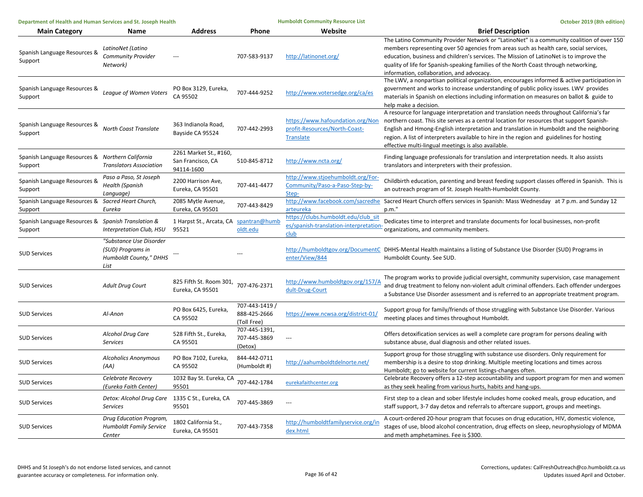| Department of Health and Human Services and St. Joseph Health |                                                                                |                                                           |                                               | <b>Humboldt Community Resource List</b>                                               | October 2019 (8th edition)                                                                                                                                                                                                                                                                                                                                                                                                             |
|---------------------------------------------------------------|--------------------------------------------------------------------------------|-----------------------------------------------------------|-----------------------------------------------|---------------------------------------------------------------------------------------|----------------------------------------------------------------------------------------------------------------------------------------------------------------------------------------------------------------------------------------------------------------------------------------------------------------------------------------------------------------------------------------------------------------------------------------|
| <b>Main Category</b>                                          | Name                                                                           | <b>Address</b>                                            | <b>Phone</b>                                  | Website                                                                               | <b>Brief Description</b>                                                                                                                                                                                                                                                                                                                                                                                                               |
| Spanish Language Resources &<br>Support                       | LatinoNet (Latino<br>Community Provider<br>Network)                            |                                                           | 707-583-9137                                  | http://latinonet.org/                                                                 | The Latino Community Provider Network or "LatinoNet" is a community coalition of over 150<br>members representing over 50 agencies from areas such as health care, social services,<br>education, business and children's services. The Mission of LatinoNet is to improve the<br>quality of life for Spanish-speaking families of the North Coast through networking,<br>information, collaboration, and advocacy.                    |
| Spanish Language Resources &<br>Support                       | League of Women Voters                                                         | PO Box 3129, Eureka,<br>CA 95502                          | 707-444-9252                                  | http://www.votersedge.org/ca/es                                                       | The LWV, a nonpartisan political organization, encourages informed & active participation in<br>government and works to increase understanding of public policy issues. LWV provides<br>materials in Spanish on elections including information on measures on ballot & guide to<br>help make a decision.                                                                                                                              |
| Spanish Language Resources &<br>Support                       | North Coast Translate                                                          | 363 Indianola Road,<br>Bayside CA 95524                   | 707-442-2993                                  | https://www.hafoundation.org/Non<br>profit-Resources/North-Coast-<br><b>Translate</b> | A resource for language interpretation and translation needs throughout California's far<br>northern coast. This site serves as a central location for resources that support Spanish-<br>English and Hmong-English interpretation and translation in Humboldt and the neighboring<br>region. A list of interpreters available to hire in the region and guidelines for hosting<br>effective multi-lingual meetings is also available. |
| Spanish Language Resources & Northern California<br>Support   | <b>Translators Association</b>                                                 | 2261 Market St., #160,<br>San Francisco, CA<br>94114-1600 | 510-845-8712                                  | http://www.ncta.org/                                                                  | Finding language professionals for translation and interpretation needs. It also assists<br>translators and interpreters with their profession.                                                                                                                                                                                                                                                                                        |
| Spanish Language Resources &<br>Support                       | Paso a Paso, St Joseph<br><b>Health (Spanish</b><br>Language)                  | 2200 Harrison Ave,<br>Eureka, CA 95501                    | 707-441-4477                                  | http://www.stjoehumboldt.org/For-<br>Community/Paso-a-Paso-Step-by-<br>Step-          | Childbirth education, parenting and breast feeding support classes offered in Spanish. This is<br>an outreach program of St. Joseph Health-Humboldt County.                                                                                                                                                                                                                                                                            |
| Spanish Language Resources & Sacred Heart Church,<br>Support  | Eureka                                                                         | 2085 Mytle Avenue,<br>Eureka, CA 95501                    | 707-443-8429                                  | http://www.facebook.com/sacredhe<br>arteureka                                         | Sacred Heart Church offers services in Spanish: Mass Wednesday at 7 p.m. and Sunday 12<br>p.m."                                                                                                                                                                                                                                                                                                                                        |
| Spanish Language Resources & Spanish Translation &<br>Support | Interpretation Club, HSU                                                       | 1 Harpst St., Arcata, CA spantran@humb<br>95521           | oldt.edu                                      | https://clubs.humboldt.edu/club_sit<br>es/spanish-translation-interpretation-<br>club | Dedicates time to interpret and translate documents for local businesses, non-profit<br>organizations, and community members.                                                                                                                                                                                                                                                                                                          |
| <b>SUD Services</b>                                           | "Substance Use Disorder<br>(SUD) Programs in<br>Humboldt County," DHHS<br>List |                                                           |                                               | enter/View/844                                                                        | http://humboldtgov.org/DocumentC DHHS-Mental Health maintains a listing of Substance Use Disorder (SUD) Programs in<br>Humboldt County. See SUD.                                                                                                                                                                                                                                                                                       |
| <b>SUD Services</b>                                           | <b>Adult Drug Court</b>                                                        | 825 Fifth St. Room 301, 707-476-2371<br>Eureka, CA 95501  |                                               | http://www.humboldtgov.org/157/A<br>dult-Drug-Court                                   | The program works to provide judicial oversight, community supervision, case management<br>and drug treatment to felony non-violent adult criminal offenders. Each offender undergoes<br>a Substance Use Disorder assessment and is referred to an appropriate treatment program.                                                                                                                                                      |
| <b>SUD Services</b>                                           | Al-Anon                                                                        | PO Box 6425, Eureka,<br>CA 95502                          | 707-443-1419 /<br>888-425-2666<br>(Toll Free) | https://www.ncwsa.org/district-01/                                                    | Support group for family/friends of those struggling with Substance Use Disorder. Various<br>meeting places and times throughout Humboldt.                                                                                                                                                                                                                                                                                             |
| <b>SUD Services</b>                                           | Alcohol Drug Care<br><b>Services</b>                                           | 528 Fifth St., Eureka,<br>CA 95501                        | 707-445-1391,<br>707-445-3869<br>(Detox)      | $\overline{a}$                                                                        | Offers detoxification services as well a complete care program for persons dealing with<br>substance abuse, dual diagnosis and other related issues.                                                                                                                                                                                                                                                                                   |
| <b>SUD Services</b>                                           | <b>Alcoholics Anonymous</b><br>(AA)                                            | PO Box 7102, Eureka,<br>CA 95502                          | 844-442-0711<br>(Humboldt #)                  | http://aahumboldtdelnorte.net/                                                        | Support group for those struggling with substance use disorders. Only requirement for<br>membership is a desire to stop drinking. Multiple meeting locations and times across<br>Humboldt; go to website for current listings-changes often.                                                                                                                                                                                           |
| <b>SUD Services</b>                                           | Celebrate Recovery<br>(Eureka Faith Center)                                    | 1032 Bay St. Eureka, CA<br>95501                          | 707-442-1784                                  | eurekafaithcenter.org                                                                 | Celebrate Recovery offers a 12-step accountability and support program for men and women<br>as they seek healing from various hurts, habits and hang-ups.                                                                                                                                                                                                                                                                              |
| <b>SUD Services</b>                                           | Detox: Alcohol Drug Care 1335 C St., Eureka, CA<br><b>Services</b>             | 95501                                                     | 707-445-3869                                  | $\qquad \qquad -$                                                                     | First step to a clean and sober lifestyle includes home cooked meals, group education, and<br>staff support, 3-7 day detox and referrals to aftercare support, groups and meetings.                                                                                                                                                                                                                                                    |
| <b>SUD Services</b>                                           | Drug Education Program,<br><b>Humboldt Family Service</b><br>Center            | 1802 California St.,<br>Eureka, CA 95501                  | 707-443-7358                                  | http://humboldtfamilyservice.org/in<br>dex.html                                       | A court-ordered 20-hour program that focuses on drug education, HIV, domestic violence,<br>stages of use, blood alcohol concentration, drug effects on sleep, neurophysiology of MDMA<br>and meth amphetamines. Fee is \$300.                                                                                                                                                                                                          |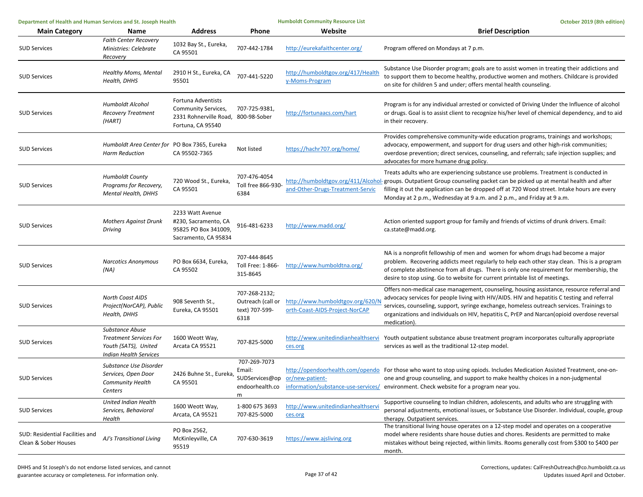| Department of Health and Human Services and St. Joseph Health |                                                                                                           | <b>Humboldt Community Resource List</b>                                                               |                                                              | October 2019 (8th edition)                                         |                                                                                                                                                                                                                                                                                                                                                                                                      |
|---------------------------------------------------------------|-----------------------------------------------------------------------------------------------------------|-------------------------------------------------------------------------------------------------------|--------------------------------------------------------------|--------------------------------------------------------------------|------------------------------------------------------------------------------------------------------------------------------------------------------------------------------------------------------------------------------------------------------------------------------------------------------------------------------------------------------------------------------------------------------|
| <b>Main Category</b>                                          | Name                                                                                                      | Address                                                                                               | Phone                                                        | Website                                                            | <b>Brief Description</b>                                                                                                                                                                                                                                                                                                                                                                             |
| <b>SUD Services</b>                                           | <b>Faith Center Recovery</b><br>Ministries: Celebrate<br>Recovery                                         | 1032 Bay St., Eureka,<br>CA 95501                                                                     | 707-442-1784                                                 | http://eurekafaithcenter.org/                                      | Program offered on Mondays at 7 p.m.                                                                                                                                                                                                                                                                                                                                                                 |
| <b>SUD Services</b>                                           | <b>Healthy Moms, Mental</b><br>Health, DHHS                                                               | 2910 H St., Eureka, CA<br>95501                                                                       | 707-441-5220                                                 | http://humboldtgov.org/417/Health<br>y-Moms-Program                | Substance Use Disorder program; goals are to assist women in treating their addictions and<br>to support them to become healthy, productive women and mothers. Childcare is provided<br>on site for children 5 and under; offers mental health counseling.                                                                                                                                           |
| <b>SUD Services</b>                                           | Humboldt Alcohol<br><b>Recovery Treatment</b><br>(HART)                                                   | Fortuna Adventists<br>Community Services,<br>2331 Rohnerville Road, 800-98-Sober<br>Fortuna, CA 95540 | 707-725-9381,                                                | http://fortunaacs.com/hart                                         | Program is for any individual arrested or convicted of Driving Under the Influence of alcohol<br>or drugs. Goal is to assist client to recognize his/her level of chemical dependency, and to aid<br>in their recovery.                                                                                                                                                                              |
| <b>SUD Services</b>                                           | Humboldt Area Center for PO Box 7365, Eureka<br><b>Harm Reduction</b>                                     | CA 95502-7365                                                                                         | Not listed                                                   | https://hachr707.org/home/                                         | Provides comprehensive community-wide education programs, trainings and workshops;<br>advocacy, empowerment, and support for drug users and other high-risk communities;<br>overdose prevention; direct services, counseling, and referrals; safe injection supplies; and<br>advocates for more humane drug policy.                                                                                  |
| <b>SUD Services</b>                                           | <b>Humboldt County</b><br>Programs for Recovery,<br>Mental Health, DHHS                                   | 720 Wood St., Eureka,<br>CA 95501                                                                     | 707-476-4054<br>Toll free 866-930-<br>6384                   | and-Other-Drugs-Treatment-Servic                                   | Treats adults who are experiencing substance use problems. Treatment is conducted in<br>http://humboldtgov.org/411/Alcohol-groups. Outpatient Group counseling packet can be picked up at mental health and after<br>filling it out the application can be dropped off at 720 Wood street. Intake hours are every<br>Monday at 2 p.m., Wednesday at 9 a.m. and 2 p.m., and Friday at 9 a.m.          |
| <b>SUD Services</b>                                           | <b>Mothers Against Drunk</b><br>Driving                                                                   | 2233 Watt Avenue<br>#230, Sacramento, CA<br>95825 PO Box 341009,<br>Sacramento, CA 95834              | 916-481-6233                                                 | http://www.madd.org/                                               | Action oriented support group for family and friends of victims of drunk drivers. Email:<br>ca.state@madd.org.                                                                                                                                                                                                                                                                                       |
| <b>SUD Services</b>                                           | <b>Narcotics Anonymous</b><br>(NA)                                                                        | PO Box 6634, Eureka,<br>CA 95502                                                                      | 707-444-8645<br>Toll Free: 1-866-<br>315-8645                | http://www.humboldtna.org/                                         | NA is a nonprofit fellowship of men and women for whom drugs had become a major<br>problem. Recovering addicts meet regularly to help each other stay clean. This is a program<br>of complete abstinence from all drugs. There is only one requirement for membership, the<br>desire to stop using. Go to website for current printable list of meetings.                                            |
| <b>SUD Services</b>                                           | <b>North Coast AIDS</b><br>Project(NorCAP), Public<br>Health, DHHS                                        | 908 Seventh St.,<br>Eureka, CA 95501                                                                  | 707-268-2132;<br>Outreach (call or<br>text) 707-599-<br>6318 | http://www.humboldtgov.org/620/N<br>orth-Coast-AIDS-Project-NorCAP | Offers non-medical case management, counseling, housing assistance, resource referral and<br>advocacy services for people living with HIV/AIDS. HIV and hepatitis C testing and referral<br>services, counseling, support, syringe exchange, homeless outreach services. Trainings to<br>organizations and individuals on HIV, hepatitis C, PrEP and Narcan(opioid overdose reversal<br>medication). |
| <b>SUD Services</b>                                           | Substance Abuse<br><b>Treatment Services For</b><br>Youth (SATS), United<br><b>Indian Health Services</b> | 1600 Weott Way,<br>Arcata CA 95521                                                                    | 707-825-5000                                                 | ces.org                                                            | http://www.unitedindianhealthservi Youth outpatient substance abuse treatment program incorporates culturally appropriate<br>services as well as the traditional 12-step model.                                                                                                                                                                                                                      |
| <b>SUD Services</b>                                           | Substance Use Disorder<br>Services, Open Door<br>Community Health<br>Centers                              | 2426 Buhne St., Eureka,<br>CA 95501                                                                   | 707-269-7073<br>Email:<br>endoorhealth.co<br>m               | SUDServices@op or/new-patient-                                     | http://opendoorhealth.com/opendo For those who want to stop using opiods. Includes Medication Assisted Treatment, one-on-<br>one and group counseling, and support to make healthy choices in a non-judgmental<br>information/substance-use-services/ environment. Check website for a program near you.                                                                                             |
| <b>SUD Services</b>                                           | United Indian Health<br>Services, Behavioral<br>Health                                                    | 1600 Weott Way,<br>Arcata, CA 95521                                                                   | 1-800 675 3693<br>707-825-5000                               | http://www.unitedindianhealthservi<br>ces.org                      | Supportive counseling to Indian children, adolescents, and adults who are struggling with<br>personal adjustments, emotional issues, or Substance Use Disorder. Individual, couple, group<br>therapy. Outpatient services.                                                                                                                                                                           |
| SUD: Residential Facilities and<br>Clean & Sober Houses       | AJ's Transitional Living                                                                                  | PO Box 2562,<br>McKinleyville, CA<br>95519                                                            | 707-630-3619                                                 | https://www.ajsliving.org                                          | The transitional living house operates on a 12-step model and operates on a cooperative<br>model where residents share house duties and chores. Residents are permitted to make<br>mistakes without being rejected, within limits. Rooms generally cost from \$300 to \$400 per<br>month.                                                                                                            |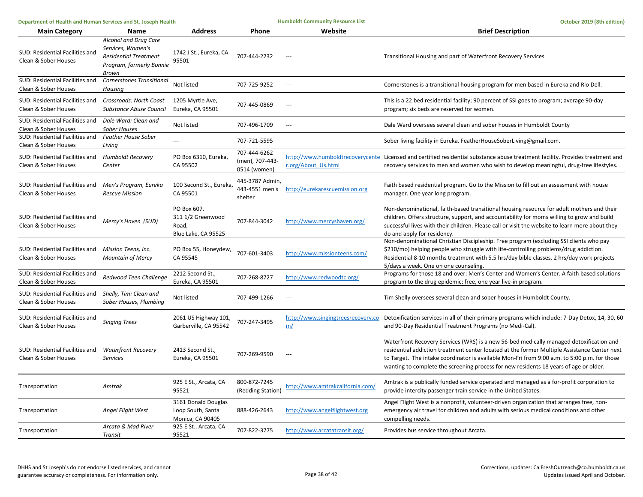| Department of Health and Human Services and St. Joseph Health |                                                                                                                 |                                                                  | <b>Humboldt Community Resource List</b>         | October 2019 (8th edition)               |                                                                                                                                                                                                                                                                                                                                                                                  |
|---------------------------------------------------------------|-----------------------------------------------------------------------------------------------------------------|------------------------------------------------------------------|-------------------------------------------------|------------------------------------------|----------------------------------------------------------------------------------------------------------------------------------------------------------------------------------------------------------------------------------------------------------------------------------------------------------------------------------------------------------------------------------|
| <b>Main Category</b>                                          | Name                                                                                                            | <b>Address</b>                                                   | Phone                                           | Website                                  | <b>Brief Description</b>                                                                                                                                                                                                                                                                                                                                                         |
| SUD: Residential Facilities and<br>Clean & Sober Houses       | Alcohol and Drug Care<br>Services, Women's<br><b>Residential Treatment</b><br>Program, formerly Bonnie<br>Brown | 1742 J St., Eureka, CA<br>95501                                  | 707-444-2232                                    | $---$                                    | Transitional Housing and part of Waterfront Recovery Services                                                                                                                                                                                                                                                                                                                    |
| SUD: Residential Facilities and<br>Clean & Sober Houses       | Cornerstones Transitional<br>Housing                                                                            | Not listed                                                       | 707-725-9252                                    | $\sim$                                   | Cornerstones is a transitional housing program for men based in Eureka and Rio Dell.                                                                                                                                                                                                                                                                                             |
| SUD: Residential Facilities and<br>Clean & Sober Houses       | Crossroads: North Coast<br>Substance Abuse Council                                                              | 1205 Myrtle Ave,<br>Eureka, CA 95501                             | 707-445-0869                                    | $\overline{a}$                           | This is a 22 bed residential facility; 90 percent of SSI goes to program; average 90-day<br>program; six beds are reserved for women.                                                                                                                                                                                                                                            |
| SUD: Residential Facilities and<br>Clean & Sober Houses       | Dale Ward: Clean and<br><b>Sober Houses</b>                                                                     | Not listed                                                       | 707-496-1709                                    | $\overline{\phantom{a}}$                 | Dale Ward oversees several clean and sober houses in Humboldt County                                                                                                                                                                                                                                                                                                             |
| SUD: Residential Facilities and<br>Clean & Sober Houses       | Feather House Sober<br>Living                                                                                   | $\sim$                                                           | 707-721-5595                                    |                                          | Sober living facility in Eureka. FeatherHouseSoberLiving@gmail.com.                                                                                                                                                                                                                                                                                                              |
| SUD: Residential Facilities and<br>Clean & Sober Houses       | <b>Humboldt Recovery</b><br>Center                                                                              | PO Box 6310, Eureka,<br>CA 95502                                 | 707-444-6262<br>(men), 707-443-<br>0514 (women) | r.org/About Us.html                      | http://www.humboldtrecoverycente Licensed and certified residential substance abuse treatment facility. Provides treatment and<br>recovery services to men and women who wish to develop meaningful, drug-free lifestyles.                                                                                                                                                       |
| SUD: Residential Facilities and<br>Clean & Sober Houses       | Men's Program, Eureka<br><b>Rescue Mission</b>                                                                  | 100 Second St., Eureka,<br>CA 95501                              | 445-3787 Admin,<br>443-4551 men's<br>shelter    | http://eurekarescuemission.org           | Faith based residential program. Go to the Mission to fill out an assessment with house<br>manager. One year long program.                                                                                                                                                                                                                                                       |
| SUD: Residential Facilities and<br>Clean & Sober Houses       | Mercy's Haven (SUD)                                                                                             | PO Box 607.<br>311 1/2 Greenwood<br>Road,<br>Blue Lake, CA 95525 | 707-844-3042                                    | http://www.mercyshaven.org/              | Non-denominational, faith-based transitional housing resource for adult mothers and their<br>children. Offers structure, support, and accountability for moms willing to grow and build<br>successful lives with their children. Please call or visit the website to learn more about they<br>do and apply for residency.                                                        |
| SUD: Residential Facilities and<br>Clean & Sober Houses       | Mission Teens, Inc.<br><b>Mountain of Mercy</b>                                                                 | PO Box 55, Honeydew,<br>CA 95545                                 | 707-601-3403                                    | http://www.missionteens.com/             | Non-denominational Christian Discipleship. Free program (excluding SSI clients who pay<br>\$210/mo) helping people who struggle with life-controlling problems/drug addiction.<br>Residential 8-10 months treatment with 5.5 hrs/day bible classes, 2 hrs/day work projects<br>5/days a week. One on one counseling.                                                             |
| SUD: Residential Facilities and<br>Clean & Sober Houses       | Redwood Teen Challenge                                                                                          | 2212 Second St.,<br>Eureka, CA 95501                             | 707-268-8727                                    | http://www.redwoodtc.org/                | Programs for those 18 and over: Men's Center and Women's Center. A faith based solutions<br>program to the drug epidemic; free, one year live-in program.                                                                                                                                                                                                                        |
| SUD: Residential Facilities and<br>Clean & Sober Houses       | Shelly, Tim: Clean and<br>Sober Houses, Plumbing                                                                | Not listed                                                       | 707-499-1266                                    | $\qquad \qquad -$                        | Tim Shelly oversees several clean and sober houses in Humboldt County.                                                                                                                                                                                                                                                                                                           |
| SUD: Residential Facilities and<br>Clean & Sober Houses       | <b>Singing Trees</b>                                                                                            | 2061 US Highway 101,<br>Garberville, CA 95542                    | 707-247-3495                                    | http://www.singingtreesrecovery.co<br>m/ | Detoxification services in all of their primary programs which include: 7-Day Detox, 14, 30, 60<br>and 90-Day Residential Treatment Programs (no Medi-Cal).                                                                                                                                                                                                                      |
| SUD: Residential Facilities and<br>Clean & Sober Houses       | <b>Waterfront Recovery</b><br>Services                                                                          | 2413 Second St.,<br>Eureka, CA 95501                             | 707-269-9590                                    | $\overline{a}$                           | Waterfront Recovery Services (WRS) is a new 56-bed medically managed detoxification and<br>residential addiction treatment center located at the former Multiple Assistance Center next<br>to Target. The intake coordinator is available Mon-Fri from 9:00 a.m. to 5:00 p.m. for those<br>wanting to complete the screening process for new residents 18 years of age or older. |
| Transportation                                                | Amtrak                                                                                                          | 925 E St., Arcata, CA<br>95521                                   | 800-872-7245<br>(Redding Station)               | http://www.amtrakcalifornia.com/         | Amtrak is a publically funded service operated and managed as a for-profit corporation to<br>provide intercity passenger train service in the United States.                                                                                                                                                                                                                     |
| Transportation                                                | Angel Flight West                                                                                               | 3161 Donald Douglas<br>Loop South, Santa<br>Monica, CA 90405     | 888-426-2643                                    | http://www.angelflightwest.org           | Angel Flight West is a nonprofit, volunteer-driven organization that arranges free, non-<br>emergency air travel for children and adults with serious medical conditions and other<br>compelling needs.                                                                                                                                                                          |
| Transportation                                                | Arcata & Mad River<br>Transit                                                                                   | 925 E St., Arcata, CA<br>95521                                   | 707-822-3775                                    | http://www.arcatatransit.org/            | Provides bus service throughout Arcata.                                                                                                                                                                                                                                                                                                                                          |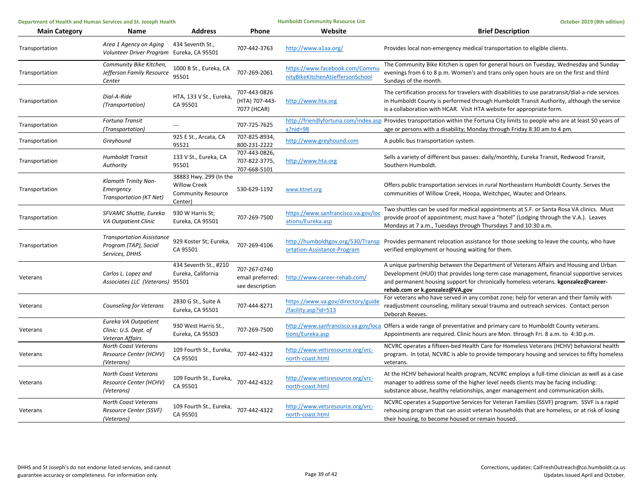| Department of Health and Human Services and St. Joseph Health |                                                                             |                                                                                       |                                                     | <b>Humboldt Community Resource List</b>                            | October 2019 (8th edition)                                                                                                                                                                                                                                                                                |
|---------------------------------------------------------------|-----------------------------------------------------------------------------|---------------------------------------------------------------------------------------|-----------------------------------------------------|--------------------------------------------------------------------|-----------------------------------------------------------------------------------------------------------------------------------------------------------------------------------------------------------------------------------------------------------------------------------------------------------|
| <b>Main Category</b>                                          | Name                                                                        | <b>Address</b>                                                                        | Phone                                               | Website                                                            | <b>Brief Description</b>                                                                                                                                                                                                                                                                                  |
| Transportation                                                | Area 1 Agency on Aging<br>Volunteer Driver Program                          | 434 Seventh St.,<br>Eureka, CA 95501                                                  | 707-442-3763                                        | http://www.a1aa.org/                                               | Provides local non-emergency medical transportation to eligible clients.                                                                                                                                                                                                                                  |
| Transportation                                                | Community Bike Kitchen,<br>Jefferson Family Resource<br>Center              | 1000 B St., Eureka, CA<br>95501                                                       | 707-269-2061                                        | https://www.facebook.com/Commu<br>nityBikeKitchenAtJeffersonSchool | The Community Bike Kitchen is open for general hours on Tuesday, Wednesday and Sunday<br>evenings from 6 to 8 p.m. Women's and trans only open hours are on the first and third<br>Sundays of the month.                                                                                                  |
| Transportation                                                | Dial-A-Ride<br>(Transportation)                                             | HTA, 133 V St., Eureka,<br>CA 95501                                                   | 707-443-0826<br>(HTA) 707-443-<br>7077 (HCAR)       | http://www.hta.org                                                 | The certification process for travelers with disabilities to use paratransit/dial-a-ride services<br>in Humboldt County is performed through Humboldt Transit Authority, although the service<br>is a collaboration with HCAR. Visit HTA website for appropriate form.                                    |
| Transportation                                                | Fortuna Transit<br>(Transportation)                                         |                                                                                       | 707-725-7625                                        | $x?$ nid=98                                                        | http://friendlyfortuna.com/index.asp Provides transportation within the Fortuna City limits to people who are at least 50 years of<br>age or persons with a disability; Monday through Friday 8:30 am to 4 pm.                                                                                            |
| Transportation                                                | Greyhound                                                                   | 925 E St., Arcata, CA<br>95521                                                        | 707-825-8934,<br>800-231-2222                       | http://www.greyhound.com                                           | A public bus transportation system.                                                                                                                                                                                                                                                                       |
| Transportation                                                | <b>Humboldt Transit</b><br>Authority                                        | 133 V St., Eureka, CA<br>95501                                                        | 707-443-0826,<br>707-822-3775,<br>707-668-5101      | http://www.hta.org                                                 | Sells a variety of different bus passes: daily/monthly, Eureka Transit, Redwood Transit,<br>Southern Humboldt.                                                                                                                                                                                            |
| Transportation                                                | Klamath Trinity Non-<br>Emergency<br>Transportation (KT Net)                | 38883 Hwy. 299 (In the<br><b>Willow Creek</b><br><b>Community Resource</b><br>Center) | 530-629-1192                                        | www.ktnet.org                                                      | Offers public transportation services in rural Northeastern Humboldt County. Serves the<br>communities of Willow Creek, Hoopa, Weitchpec, Wautec and Orleans.                                                                                                                                             |
| Transportation                                                | SFVAMC Shuttle, Eureka<br><b>VA Outpatient Clinic</b>                       | 930 W Harris St;<br>Eureka, CA 95501                                                  | 707-269-7500                                        | https://www.sanfrancisco.va.gov/loo<br>ations/Eureka.asp           | Two shuttles can be used for medical appointments at S.F. or Santa Rosa VA clinics. Must<br>provide proof of appointment; must have a "hotel" (Lodging through the V.A.). Leaves<br>Mondays at 7 a.m., Tuesdays through Thursdays 7 and 10:30 a.m.                                                        |
| Transportation                                                | <b>Transportation Assistance</b><br>Program (TAP), Social<br>Services, DHHS | 929 Koster St; Eureka,<br>CA 95501                                                    | 707-269-4106                                        | http://humboldtgov.org/530/Transp<br>ortation-Assistance-Program   | Provides permanent relocation assistance for those seeking to leave the county, who have<br>verified employment or housing waiting for them.                                                                                                                                                              |
| Veterans                                                      | Carlos L. Lopez and<br>Associates LLC (Veterans) 95501                      | 434 Seventh St., #210<br>Eureka, California                                           | 707-267-0740<br>email preferred:<br>see description | http://www.career-rehab.com/                                       | A unique partnership between the Department of Veterans Affairs and Housing and Urban<br>Development (HUD) that provides long-term case management, financial supportive services<br>and permanent housing support for chronically homeless veterans. kgonzalez@career-<br>rehab.com or k.gonzalez@VA.gov |
| Veterans                                                      | Counseling for Veterans                                                     | 2830 G St., Suite A<br>Eureka, CA 95501                                               | 707-444-8271                                        | https://www.va.gov/directory/guide<br>/facility.asp?id=513         | For veterans who have served in any combat zone; help for veteran and their family with<br>readjustment counseling, military sexual trauma and outreach services. Contact person<br>Deborah Reeves.                                                                                                       |
| Veterans                                                      | Eureka VA Outpatient<br>Clinic: U.S. Dept. of<br>Veteran Affairs            | 930 West Harris St.,<br>Eureka, CA 95503                                              | 707-269-7500                                        | tions/Eureka.asp                                                   | http://www.sanfrancisco.va.gov/loca Offers a wide range of preventative and primary care to Humboldt County veterans.<br>Appointments are required. Clinic hours are Mon. through Fri. 8 a.m. to 4:30 p.m.                                                                                                |
| Veterans                                                      | North Coast Veterans<br>Resource Center (HCHV)<br>(Veterans)                | 109 Fourth St., Eureka,<br>CA 95501                                                   | 707-442-4322                                        | http://www.vetsresource.org/vrc-<br>north-coast.html               | NCVRC operates a fifteen-bed Health Care for Homeless Veterans (HCHV) behavioral health<br>program. In total, NCVRC is able to provide temporary housing and services to fifty homeless<br>veterans.                                                                                                      |
| Veterans                                                      | North Coast Veterans<br>Resource Center (HCHV)<br>(Veterans)                | 109 Fourth St., Eureka, 707-442-4322<br>CA 95501                                      |                                                     | http://www.vetsresource.org/vrc-<br>north-coast.html               | At the HCHV behavioral health program, NCVRC employs a full-time clinician as well as a case<br>manager to address some of the higher level needs clients may be facing including:<br>substance abuse, healthy relationships, anger management and communication skills.                                  |
| Veterans                                                      | North Coast Veterans<br>Resource Center (SSVF)<br>(Veterans)                | 109 Fourth St., Eureka, 707-442-4322<br>CA 95501                                      |                                                     | http://www.vetsresource.org/vrc-<br>north-coast.html               | NCVRC operates a Supportive Services for Veteran Families (SSVF) program. SSVF is a rapid<br>rehousing program that can assist veteran households that are homeless, or at risk of losing<br>their housing, to become housed or remain housed.                                                            |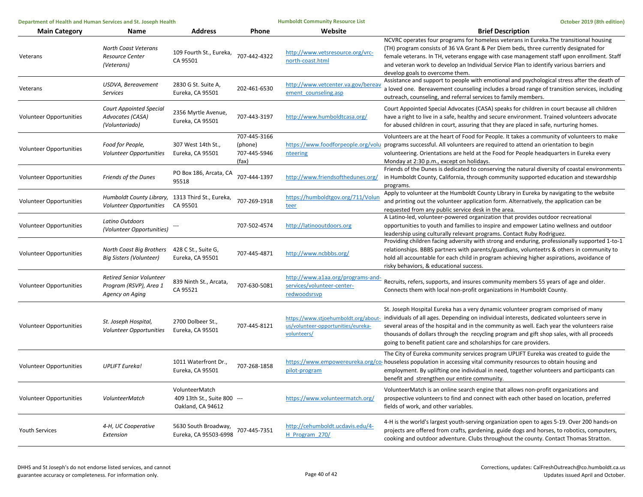| Department of Health and Human Services and St. Joseph Health |                                                                              |                                                                    | <b>Humboldt Community Resource List</b>          |                                                                                 | October 2019 (8th edition)                                                                                                                                                                                                                                                                                                                                                                                                                                                           |
|---------------------------------------------------------------|------------------------------------------------------------------------------|--------------------------------------------------------------------|--------------------------------------------------|---------------------------------------------------------------------------------|--------------------------------------------------------------------------------------------------------------------------------------------------------------------------------------------------------------------------------------------------------------------------------------------------------------------------------------------------------------------------------------------------------------------------------------------------------------------------------------|
| <b>Main Category</b>                                          | Name                                                                         | <b>Address</b>                                                     | Phone                                            | Website                                                                         | <b>Brief Description</b>                                                                                                                                                                                                                                                                                                                                                                                                                                                             |
| Veterans                                                      | <b>North Coast Veterans</b><br><b>Resource Center</b><br>(Veterans)          | 109 Fourth St., Eureka,<br>CA 95501                                | 707-442-4322                                     | http://www.vetsresource.org/vrc-<br>north-coast.html                            | NCVRC operates four programs for homeless veterans in Eureka. The transitional housing<br>(TH) program consists of 36 VA Grant & Per Diem beds, three currently designated for<br>female veterans. In TH, veterans engage with case management staff upon enrollment. Staff<br>and veteran work to develop an Individual Service Plan to identify various barriers and<br>develop goals to overcome them.                                                                            |
| Veterans                                                      | USDVA, Bereavement<br><b>Services</b>                                        | 2830 G St. Suite A,<br>Eureka, CA 95501                            | 202-461-6530                                     | http://www.vetcenter.va.gov/bereav<br>ement counseling.asp                      | Assistance and support to people with emotional and psychological stress after the death of<br>a loved one. Bereavement counseling includes a broad range of transition services, including<br>outreach, counseling, and referral services to family members.                                                                                                                                                                                                                        |
| Volunteer Opportunities                                       | <b>Court Appointed Special</b><br>Advocates (CASA)<br>(Voluntariado)         | 2356 Myrtle Avenue,<br>Eureka, CA 95501                            | 707-443-3197                                     | http://www.humboldtcasa.org/                                                    | Court Appointed Special Advocates (CASA) speaks for children in court because all children<br>have a right to live in a safe, healthy and secure environment. Trained volunteers advocate<br>for abused children in court, assuring that they are placed in safe, nurturing homes.                                                                                                                                                                                                   |
| Volunteer Opportunities                                       | Food for People,<br><b>Volunteer Opportunities</b>                           | 307 West 14th St.,<br>Eureka, CA 95501                             | 707-445-3166<br>(phone)<br>707-445-5946<br>(fax) | nteering                                                                        | Volunteers are at the heart of Food for People. It takes a community of volunteers to make<br>https://www.foodforpeople.org/volu programs successful. All volunteers are required to attend an orientation to begin<br>volunteering. Orientations are held at the Food for People headquarters in Eureka every<br>Monday at 2:30 p.m., except on holidays.                                                                                                                           |
| <b>Volunteer Opportunities</b>                                | <b>Friends of the Dunes</b>                                                  | PO Box 186, Arcata, CA<br>95518                                    | 707-444-1397                                     | http://www.friendsofthedunes.org/                                               | Friends of the Dunes is dedicated to conserving the natural diversity of coastal environments<br>in Humboldt County, California, through community supported education and stewardship<br>programs.                                                                                                                                                                                                                                                                                  |
| Volunteer Opportunities                                       | Humboldt County Library, 1313 Third St., Eureka,<br>Volunteer Opportunities  | CA 95501                                                           | 707-269-1918                                     | https://humboldtgov.org/711/Volun<br><u>teer</u>                                | Apply to volunteer at the Humboldt County Library in Eureka by navigating to the website<br>and printing out the volunteer application form. Alternatively, the application can be<br>requested from any public service desk in the area.                                                                                                                                                                                                                                            |
| Volunteer Opportunities                                       | Latino Outdoors<br>(Volunteer Opportunities)                                 |                                                                    | 707-502-4574                                     | http://latinooutdoors.org                                                       | A Latino-led, volunteer-powered organization that provides outdoor recreational<br>opportunities to youth and families to inspire and empower Latino wellness and outdoor<br>leadership using culturally relevant programs. Contact Ruby Rodriguez.                                                                                                                                                                                                                                  |
| Volunteer Opportunities                                       | North Coast Big Brothers<br><b>Big Sisters (Volunteer)</b>                   | 428 C St., Suite G,<br>Eureka, CA 95501                            | 707-445-4871                                     | http://www.ncbbbs.org/                                                          | Providing children facing adversity with strong and enduring, professionally supported 1-to-1<br>relationships. BBBS partners with parents/guardians, volunteetrs & others in community to<br>hold all accountable for each child in program achieving higher aspirations, avoidance of<br>risky behaviors, & educational success.                                                                                                                                                   |
| Volunteer Opportunities                                       | <b>Retired Senior Volunteer</b><br>Program (RSVP), Area 1<br>Agency on Aging | 839 Ninth St., Arcata,<br>CA 95521                                 | 707-630-5081                                     | http://www.a1aa.org/programs-and-<br>services/volunteer-center-<br>redwoodsrsvp | Recruits, refers, supports, and insures community members 55 years of age and older.<br>Connects them with local non-profit organizations in Humboldt County.                                                                                                                                                                                                                                                                                                                        |
| Volunteer Opportunities                                       | St. Joseph Hospital,<br>Volunteer Opportunities                              | 2700 Dolbeer St.,<br>Eureka, CA 95501                              | 707-445-8121                                     | us/volunteer-opportunities/eureka-<br>volunteers/                               | St. Joseph Hospital Eureka has a very dynamic volunteer program comprised of many<br>https://www.stjoehumboldt.org/about- individuals of all ages. Depending on individual interests, dedicated volunteers serve in<br>several areas of the hospital and in the community as well. Each year the volunteers raise<br>thousands of dollars through the recycling program and gift shop sales, with all proceeds<br>going to benefit patient care and scholarships for care providers. |
| <b>Volunteer Opportunities</b>                                | <b>UPLIFT Eureka!</b>                                                        | 1011 Waterfront Dr.,<br>Eureka, CA 95501                           | 707-268-1858                                     | pilot-program                                                                   | The City of Eureka community services program UPLIFT Eureka was created to guide the<br>https://www.empowereureka.org/co-houseless population in accessing vital community resources to obtain housing and<br>employment. By uplifting one individual in need, together volunteers and participants can<br>benefit and strengthen our entire community.                                                                                                                              |
| Volunteer Opportunities                                       | VolunteerMatch                                                               | VolunteerMatch<br>409 13th St., Suite 800 ---<br>Oakland, CA 94612 |                                                  | https://www.volunteermatch.org/                                                 | VolunteerMatch is an online search engine that allows non-profit organizations and<br>prospective volunteers to find and connect with each other based on location, preferred<br>fields of work, and other variables.                                                                                                                                                                                                                                                                |
| <b>Youth Services</b>                                         | 4-H, UC Cooperative<br>Extension                                             | 5630 South Broadway,<br>Eureka, CA 95503-6998                      | 707-445-7351                                     | http://cehumboldt.ucdavis.edu/4-<br>H Program 270/                              | 4-H is the world's largest youth-serving organization open to ages 5-19. Over 200 hands-on<br>projects are offered from crafts, gardening, guide dogs and horses, to robotics, computers,<br>cooking and outdoor adventure. Clubs throughout the county. Contact Thomas Stratton.                                                                                                                                                                                                    |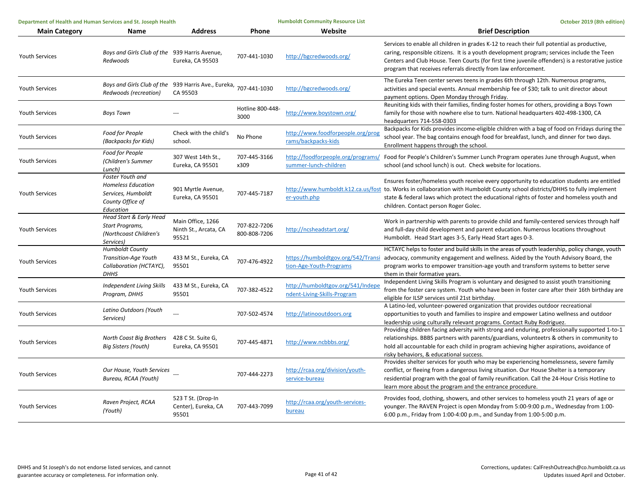| Department of Health and Human Services and St. Joseph Health |                                                                                                      | <b>Humboldt Community Resource List</b>             |                              | October 2019 (8th edition)                                       |                                                                                                                                                                                                                                                                                                                                                                  |
|---------------------------------------------------------------|------------------------------------------------------------------------------------------------------|-----------------------------------------------------|------------------------------|------------------------------------------------------------------|------------------------------------------------------------------------------------------------------------------------------------------------------------------------------------------------------------------------------------------------------------------------------------------------------------------------------------------------------------------|
| <b>Main Category</b>                                          | Name                                                                                                 | <b>Address</b>                                      | Phone                        | Website                                                          | <b>Brief Description</b>                                                                                                                                                                                                                                                                                                                                         |
| <b>Youth Services</b>                                         | Boys and Girls Club of the 939 Harris Avenue,<br>Redwoods                                            | Eureka, CA 95503                                    | 707-441-1030                 | http://bgcredwoods.org/                                          | Services to enable all children in grades K-12 to reach their full potential as productive,<br>caring, responsible citizens. It is a youth development program; services include the Teen<br>Centers and Club House. Teen Courts (for first time juvenile offenders) is a restorative justice<br>program that receives referrals directly from law enforcement.  |
| <b>Youth Services</b>                                         | Boys and Girls Club of the 939 Harris Ave., Eureka, 707-441-1030<br>Redwoods (recreation)            | CA 95503                                            |                              | http://bgcredwoods.org/                                          | The Eureka Teen center serves teens in grades 6th through 12th. Numerous programs,<br>activities and special events. Annual membership fee of \$30; talk to unit director about<br>payment options. Open Monday through Friday.                                                                                                                                  |
| <b>Youth Services</b>                                         | <b>Boys Town</b>                                                                                     |                                                     | Hotline 800-448-<br>3000     | http://www.boystown.org/                                         | Reuniting kids with their families, finding foster homes for others, providing a Boys Town<br>family for those with nowhere else to turn. National headquarters 402-498-1300, CA<br>headquarters 714-558-0303                                                                                                                                                    |
| <b>Youth Services</b>                                         | Food for People<br>(Backpacks for Kids)                                                              | Check with the child's<br>school.                   | No Phone                     | http://www.foodforpeople.org/prog<br>rams/backpacks-kids         | Backpacks for Kids provides income-eligible children with a bag of food on Fridays during the<br>school year. The bag contains enough food for breakfast, lunch, and dinner for two days.<br>Enrollment happens through the school.                                                                                                                              |
| <b>Youth Services</b>                                         | Food for People<br>(Children's Summer<br>Lunch)                                                      | 307 West 14th St.,<br>Eureka, CA 95501              | 707-445-3166<br>x309         | summer-lunch-children                                            | http://foodforpeople.org/programs/ Food for People's Children's Summer Lunch Program operates June through August, when<br>school (and school lunch) is out. Check website for locations.                                                                                                                                                                        |
| <b>Youth Services</b>                                         | Foster Youth and<br><b>Homeless Education</b><br>Services, Humboldt<br>County Office of<br>Education | 901 Myrtle Avenue,<br>Eureka, CA 95501              | 707-445-7187                 | er-youth.php                                                     | Ensures foster/homeless youth receive every opportunity to education students are entitled<br>http://www.humboldt.k12.ca.us/fost to. Works in collaboration with Humboldt County school districts/DHHS to fully implement<br>state & federal laws which protect the educational rights of foster and homeless youth and<br>children. Contact person Roger Golec. |
| <b>Youth Services</b>                                         | Head Start & Early Head<br>Start Programs,<br>(Northcoast Children's<br>Services)                    | Main Office, 1266<br>Ninth St., Arcata, CA<br>95521 | 707-822-7206<br>800-808-7206 | http://ncsheadstart.org/                                         | Work in partnership with parents to provide child and family-centered services through half<br>and full-day child development and parent education. Numerous locations throughout<br>Humboldt. Head Start ages 3-5, Early Head Start ages 0-3.                                                                                                                   |
| <b>Youth Services</b>                                         | <b>Humboldt County</b><br><b>Transition-Age Youth</b><br>Collaboration (HCTAYC),<br><b>DHHS</b>      | 433 M St., Eureka, CA<br>95501                      | 707-476-4922                 | https://humboldtgov.org/542/Transi<br>tion-Age-Youth-Programs    | HCTAYC helps to foster and build skills in the areas of youth leadership, policy change, youth<br>advocacy, community engagement and wellness. Aided by the Youth Advisory Board, the<br>program works to empower transition-age youth and transform systems to better serve<br>them in their formative years.                                                   |
| <b>Youth Services</b>                                         | Independent Living Skills<br>Program, DHHS                                                           | 433 M St., Eureka, CA<br>95501                      | 707-382-4522                 | http://humboldtgov.org/541/Indepe<br>ndent-Living-Skills-Program | Independent Living Skills Program is voluntary and designed to assist youth transitioning<br>from the foster care system. Youth who have been in foster care after their 16th birthday are<br>eligible for ILSP services until 21st birthday.                                                                                                                    |
| <b>Youth Services</b>                                         | Latino Outdoors (Youth<br>Services)                                                                  |                                                     | 707-502-4574                 | http://latinooutdoors.org                                        | A Latino-led, volunteer-powered organization that provides outdoor recreational<br>opportunities to youth and families to inspire and empower Latino wellness and outdoor<br>leadership using culturally relevant programs. Contact Ruby Rodriguez.                                                                                                              |
| <b>Youth Services</b>                                         | North Coast Big Brothers<br><b>Big Sisters (Youth)</b>                                               | 428 C St. Suite G,<br>Eureka, CA 95501              | 707-445-4871                 | http://www.ncbbbs.org/                                           | Providing children facing adversity with strong and enduring, professionally supported 1-to-1<br>relationships. BBBS partners with parents/guardians, volunteetrs & others in community to<br>hold all accountable for each child in program achieving higher aspirations, avoidance of<br>risky behaviors, & educational success.                               |
| <b>Youth Services</b>                                         | Our House, Youth Services<br>Bureau, RCAA (Youth)                                                    |                                                     | 707-444-2273                 | http://rcaa.org/division/youth-<br>service-bureau                | Provides shelter services for youth who may be experiencing homelessness, severe family<br>conflict, or fleeing from a dangerous living situation. Our House Shelter is a temporary<br>residential program with the goal of family reunification. Call the 24-Hour Crisis Hotline to<br>learn more about the program and the entrance procedure.                 |
| <b>Youth Services</b>                                         | Raven Project, RCAA<br>(Youth)                                                                       | 523 T St. (Drop-In<br>Center), Eureka, CA<br>95501  | 707-443-7099                 | http://rcaa.org/youth-services-<br>bureau                        | Provides food, clothing, showers, and other services to homeless youth 21 years of age or<br>younger. The RAVEN Project is open Monday from 5:00-9:00 p.m., Wednesday from 1:00-<br>6:00 p.m., Friday from 1:00-4:00 p.m., and Sunday from 1:00-5:00 p.m.                                                                                                        |